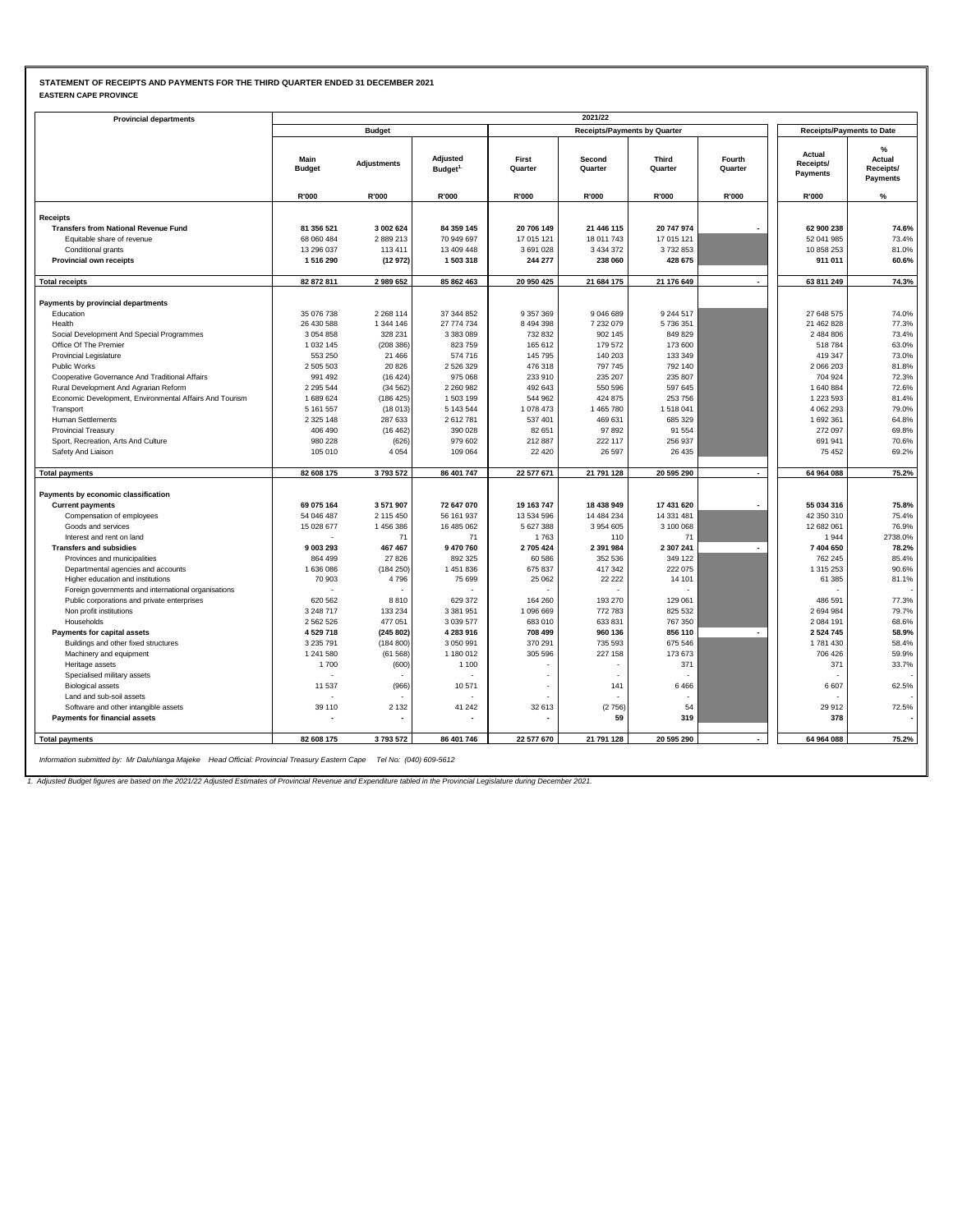### **STATEMENT OF RECEIPTS AND PAYMENTS FOR THE THIRD QUARTER ENDED 31 DECEMBER 2021 EASTERN CAPE PROVINCE**

| <b>Provincial departments</b>                           |                       |                    |                                  |                  | 2021/22                             |                         |                          |                                  |                                      |
|---------------------------------------------------------|-----------------------|--------------------|----------------------------------|------------------|-------------------------------------|-------------------------|--------------------------|----------------------------------|--------------------------------------|
|                                                         |                       | <b>Budget</b>      |                                  |                  | <b>Receipts/Payments by Quarter</b> |                         |                          | <b>Receipts/Payments to Date</b> |                                      |
|                                                         | Main<br><b>Budget</b> | <b>Adjustments</b> | Adjusted<br>Budget <sup>1.</sup> | First<br>Quarter | Second<br>Quarter                   | <b>Third</b><br>Quarter | Fourth<br>Quarter        | Actual<br>Receipts/<br>Payments  | %<br>Actual<br>Receipts/<br>Payments |
|                                                         | R'000                 | R'000              | R'000                            | R'000            | R'000                               | R'000                   | R'000                    | R'000                            | %                                    |
| <b>Receipts</b>                                         |                       |                    |                                  |                  |                                     |                         |                          |                                  |                                      |
| <b>Transfers from National Revenue Fund</b>             | 81 356 521            | 3 002 624          | 84 359 145                       | 20 706 149       | 21 446 115                          | 20 747 974              |                          | 62 900 238                       | 74.6%                                |
| Equitable share of revenue                              | 68 060 484            | 2889213            | 70 949 697                       | 17 015 121       | 18 011 743                          | 17 015 121              |                          | 52 041 985                       | 73.4%                                |
| Conditional grants                                      | 13 296 037            | 113 411            | 13 409 448                       | 3 691 028        | 3 4 3 4 3 7 2                       | 3732853                 |                          | 10 858 253                       | 81.0%                                |
| <b>Provincial own receipts</b>                          | 1516290               | (12972)            | 1503318                          | 244 277          | 238 060                             | 428 675                 |                          | 911 011                          | 60.6%                                |
|                                                         |                       |                    |                                  |                  |                                     |                         |                          |                                  |                                      |
| <b>Total receipts</b>                                   | 82 872 811            | 2989652            | 85 862 463                       | 20 950 425       | 21 684 175                          | 21 176 649              |                          | 63 811 249                       | 74.3%                                |
| Payments by provincial departments                      |                       |                    |                                  |                  |                                     |                         |                          |                                  |                                      |
| Education                                               | 35 076 738            | 2 2 68 1 14        | 37 344 852                       | 9 357 369        | 9 046 689                           | 9 244 517               |                          | 27 648 575                       | 74.0%                                |
| Health                                                  | 26 430 588            | 1 344 146          | 27 774 734                       | 8 4 9 4 3 9 8    | 7 232 079                           | 5736351                 |                          | 21 462 828                       | 77.3%                                |
| Social Development And Special Programmes               | 3 0 5 4 8 5 8         | 328 231            | 3 383 089                        | 732 832          | 902 145                             | 849 829                 |                          | 2 484 806                        | 73.4%                                |
| Office Of The Premier                                   | 1 0 3 2 1 4 5         | (208 386)          | 823759                           | 165 612          | 179 572                             | 173 600                 |                          | 518784                           | 63.0%                                |
| <b>Provincial Legislature</b>                           | 553 250               | 21 4 66            | 574 716                          | 145 795          | 140 203                             | 133 349                 |                          | 419 347                          | 73.0%                                |
| <b>Public Works</b>                                     | 2 505 503             | 20 8 26            | 2 5 2 6 3 2 9                    | 476 318          | 797 745                             | 792 140                 |                          | 2 066 203                        | 81.8%                                |
|                                                         | 991 492               | (16424)            | 975 068                          | 233 910          | 235 207                             | 235 807                 |                          | 704 924                          | 72.3%                                |
| Cooperative Governance And Traditional Affairs          | 2 2 9 5 5 4 4         | (34562)            |                                  | 492 643          | 550 596                             | 597 645                 |                          | 1640884                          | 72.6%                                |
| Rural Development And Agrarian Reform                   | 1689624               |                    | 2 2 6 0 9 8 2                    |                  |                                     |                         |                          |                                  | 81.4%                                |
| Economic Development, Environmental Affairs And Tourism | 5 161 557             | (186 425)          | 1503199                          | 544 962          | 424 875                             | 253 756                 |                          | 1 223 593                        |                                      |
| Transport                                               |                       | (18013)            | 5 143 544                        | 1 078 473        | 1 465 780                           | 1518041                 |                          | 4 062 293                        | 79.0%                                |
| <b>Human Settlements</b>                                | 2 3 2 5 1 4 8         | 287 633            | 2612781                          | 537 401          | 469 631                             | 685 329                 |                          | 1 692 361                        | 64.8%                                |
| <b>Provincial Treasury</b>                              | 406 490               | (16462)            | 390 028                          | 82 651           | 97892                               | 91 554                  |                          | 272 097                          | 69.8%                                |
| Sport, Recreation, Arts And Culture                     | 980 228               | (626)              | 979 602                          | 212 887          | 222 117                             | 256 937                 |                          | 691 941                          | 70.6%                                |
| Safety And Liaison                                      | 105 010               | 4 0 5 4            | 109 064                          | 22 4 20          | 26 597                              | 26 435                  |                          | 75 452                           | 69.2%                                |
| <b>Total payments</b>                                   | 82 608 175            | 3793572            | 86 401 747                       | 22 577 671       | 21 791 128                          | 20 595 290              |                          | 64 964 088                       | 75.2%                                |
| Payments by economic classification                     |                       |                    |                                  |                  |                                     |                         |                          |                                  |                                      |
| <b>Current payments</b>                                 | 69 075 164            | 3571907            | 72 647 070                       | 19 163 747       | 18 438 949                          | 17 431 620              |                          | 55 034 316                       | 75.8%                                |
| Compensation of employees                               | 54 046 487            | 2 115 450          | 56 161 937                       | 13 534 596       | 14 484 234                          | 14 331 481              |                          | 42 350 310                       | 75.4%                                |
| Goods and services                                      | 15 028 677            | 1456386            | 16 485 062                       | 5 627 388        | 3954605                             | 3 100 068               |                          | 12 682 061                       | 76.9%                                |
| Interest and rent on land                               |                       | 71                 | 71                               | 1763             | 110                                 | 71                      |                          | 1944                             | 2738.0%                              |
| <b>Transfers and subsidies</b>                          | 9003293               | 467 467            | 9470760                          | 2705424          | 2 3 9 1 9 8 4                       | 2 307 241               |                          | 7404650                          | 78.2%                                |
| Provinces and municipalities                            | 864 499               | 27826              | 892 325                          | 60 586           | 352 536                             | 349 122                 |                          | 762 245                          | 85.4%                                |
| Departmental agencies and accounts                      | 1636086               | (184 250)          | 1451836                          | 675 837          | 417 342                             | 222 075                 |                          | 1 315 253                        | 90.6%                                |
| Higher education and institutions                       | 70 903                | 4796               | 75 699                           | 25 062           | 22 222                              | 14 101                  |                          | 61 385                           | 81.1%                                |
| Foreign governments and international organisations     |                       |                    |                                  |                  |                                     |                         |                          |                                  |                                      |
| Public corporations and private enterprises             | 620 562               | 8810               | 629 372                          | 164 260          | 193 270                             | 129 061                 |                          | 486 591                          | 77.3%                                |
| Non profit institutions                                 | 3 248 717             | 133 234            | 3 381 951                        | 1 096 669        | 772 783                             | 825 532                 |                          | 2694984                          | 79.7%                                |
| Households                                              | 2 562 526             | 477 051            | 3 0 39 5 77                      | 683 010          | 633 831                             | 767 350                 |                          | 2 084 191                        | 68.6%                                |
| Payments for capital assets                             | 4529718               | (245802)           | 4 283 916                        | 708 499          | 960 136                             | 856 110                 | $\overline{\phantom{a}}$ | 2 5 2 4 7 4 5                    | 58.9%                                |
| Buildings and other fixed structures                    | 3 2 3 5 7 9 1         | (184 800)          | 3 050 991                        | 370 291          | 735 593                             | 675 546                 |                          | 1781430                          | 58.4%                                |
| Machinery and equipment                                 | 1 241 580             | (61568)            | 1 180 012                        | 305 596          | 227 158                             | 173 673                 |                          | 706 426                          | 59.9%                                |
| Heritage assets                                         | 1700                  | (600)              | 1 1 0 0                          |                  |                                     | 371                     |                          | 371                              | 33.7%                                |
| Specialised military assets                             |                       |                    |                                  |                  |                                     |                         |                          |                                  |                                      |
| <b>Biological assets</b>                                | 11 537                | (966)              | 10571                            |                  | 141                                 | 6466                    |                          | 6607                             | 62.5%                                |
| Land and sub-soil assets                                |                       |                    |                                  |                  |                                     |                         |                          |                                  |                                      |
| Software and other intangible assets                    | 39 110                | 2 1 3 2            | 41 24 2                          | 32 613           | (2756)                              | 54                      |                          | 29912                            | 72.5%                                |
| Payments for financial assets                           |                       |                    |                                  |                  | 59                                  | 319                     |                          | 378                              |                                      |
|                                                         |                       |                    |                                  |                  |                                     |                         |                          |                                  |                                      |
| <b>Total payments</b>                                   | 82 608 175            | 3793572            | 86 401 746                       | 22 577 670       | 21 791 128                          | 20 595 290              |                          | 64 964 088                       | 75.2%                                |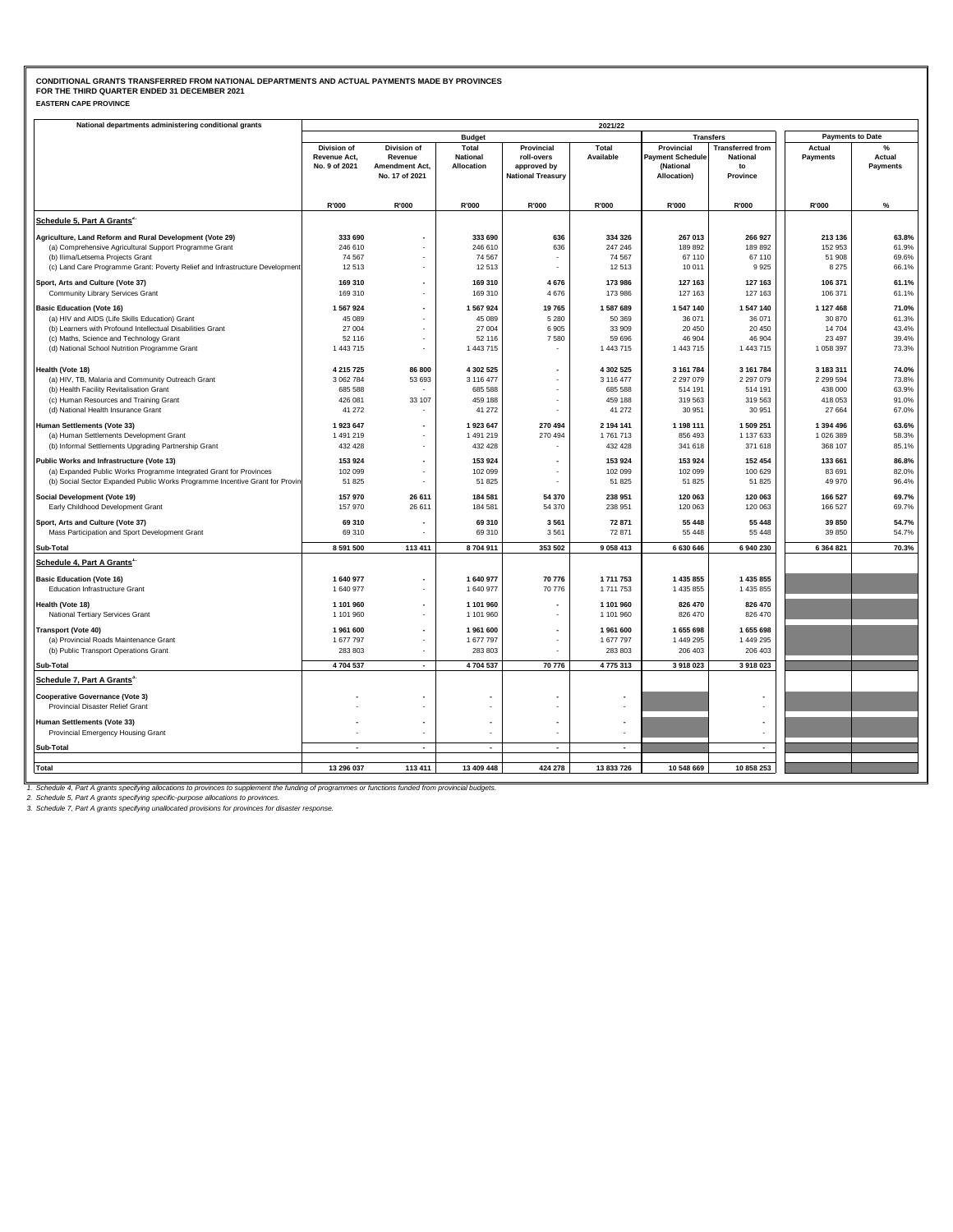| <b>EASTERN CAPE PROVINCE</b> |  |
|------------------------------|--|
|------------------------------|--|

| National departments administering conditional grants                                                                                              |                                              |                                          |                                        |                                         | 2021/22              |                                                    |                                                  |                         |                            |
|----------------------------------------------------------------------------------------------------------------------------------------------------|----------------------------------------------|------------------------------------------|----------------------------------------|-----------------------------------------|----------------------|----------------------------------------------------|--------------------------------------------------|-------------------------|----------------------------|
|                                                                                                                                                    |                                              |                                          | <b>Budget</b>                          |                                         |                      |                                                    | <b>Transfers</b>                                 | <b>Payments to Date</b> |                            |
|                                                                                                                                                    | Division of<br>Revenue Act,<br>No. 9 of 2021 | Division of<br>Revenue<br>Amendment Act, | Total<br><b>National</b><br>Allocation | Provincial<br>roll-overs<br>approved by | Total<br>Available   | Provincial<br><b>Payment Schedule</b><br>(National | <b>Transferred from</b><br><b>National</b><br>to | Actual<br>Payments      | $\%$<br>Actual<br>Payments |
|                                                                                                                                                    |                                              | No. 17 of 2021                           |                                        | <b>National Treasury</b>                |                      | Allocation)                                        | Province                                         |                         |                            |
|                                                                                                                                                    | R'000                                        | R'000                                    | R'000                                  | R'000                                   | R'000                | R'000                                              | R'000                                            | R'000                   | %                          |
| Schedule 5, Part A Grants <sup>2</sup>                                                                                                             |                                              |                                          |                                        |                                         |                      |                                                    |                                                  |                         |                            |
| Agriculture, Land Reform and Rural Development (Vote 29)                                                                                           | 333 690                                      |                                          | 333 690                                | 636                                     | 334 326              | 267 013                                            | 266 927                                          | 213 136                 | 63.8%                      |
| (a) Comprehensive Agricultural Support Programme Grant                                                                                             | 246 610                                      |                                          | 246 610                                | 636                                     | 247 246              | 189 892                                            | 189 892                                          | 152 953                 | 61.9%                      |
| (b) Ilima/Letsema Projects Grant                                                                                                                   | 74 567                                       |                                          | 74 567                                 |                                         | 74 567               | 67 110                                             | 67 110                                           | 51 908                  | 69.6%                      |
| (c) Land Care Programme Grant: Poverty Relief and Infrastructure Development                                                                       | 12513                                        |                                          | 12 513                                 |                                         | 12513                | 10 011                                             | 9925                                             | 8 2 7 5                 | 66.1%                      |
| Sport, Arts and Culture (Vote 37)                                                                                                                  | 169 310                                      |                                          | 169 310                                | 4 6 7 6                                 | 173 986              | 127 163                                            | 127 163                                          | 106 371                 | 61.1%                      |
| Community Library Services Grant                                                                                                                   | 169 310                                      |                                          | 169 310                                | 4676                                    | 173 986              | 127 163                                            | 127 163                                          | 106 371                 | 61.1%                      |
| <b>Basic Education (Vote 16)</b>                                                                                                                   | 1 567 924                                    | $\overline{\phantom{a}}$                 | 1 567 924                              | 19765                                   | 1587689              | 1 547 140                                          | 1 547 140                                        | 1 127 468               | 71.0%                      |
| (a) HIV and AIDS (Life Skills Education) Grant<br>(b) Learners with Profound Intellectual Disabilities Grant                                       | 45 089<br>27 004                             | $\overline{\phantom{a}}$                 | 45 089<br>27 004                       | 5 2 8 0<br>6 9 0 5                      | 50 369<br>33 909     | 36 071<br>20 450                                   | 36 071<br>20 450                                 | 30 870<br>14 704        | 61.3%<br>43.4%             |
| (c) Maths, Science and Technology Grant                                                                                                            | 52 116                                       |                                          | 52 116                                 | 7580                                    | 59 696               | 46 904                                             | 46 904                                           | 23 4 97                 | 39.4%                      |
| (d) National School Nutrition Programme Grant                                                                                                      | 1 443 715                                    | $\bar{a}$                                | 1 443 715                              |                                         | 1 443 715            | 1 443 715                                          | 1 443 715                                        | 1 058 397               | 73.3%                      |
|                                                                                                                                                    |                                              |                                          |                                        |                                         |                      |                                                    |                                                  |                         |                            |
| Health (Vote 18)                                                                                                                                   | 4 215 725<br>3 062 784                       | 86 800                                   | 4 302 525                              | ٠                                       | 4 302 525            | 3 161 784<br>2 297 079                             | 3 161 784<br>2 297 079                           | 3 183 311<br>2 299 594  | 74.0%<br>73.8%             |
| (a) HIV, TB, Malaria and Community Outreach Grant<br>(b) Health Facility Revitalisation Grant                                                      | 685 588                                      | 53 693                                   | 3 116 477<br>685 588                   |                                         | 3 116 477<br>685 588 | 514 191                                            | 514 191                                          | 438 000                 | 63.9%                      |
| (c) Human Resources and Training Grant                                                                                                             | 426 081                                      | 33 107                                   | 459 188                                | ٠                                       | 459 188              | 319 563                                            | 319 563                                          | 418 053                 | 91.0%                      |
| (d) National Health Insurance Grant                                                                                                                | 41 272                                       |                                          | 41 272                                 |                                         | 41 27 2              | 30 951                                             | 30 951                                           | 27 664                  | 67.0%                      |
| Human Settlements (Vote 33)                                                                                                                        | 1923 647                                     |                                          | 1923 647                               | 270 494                                 | 2 194 141            | 1 198 111                                          | 1 509 251                                        | 1 394 496               | 63.6%                      |
| (a) Human Settlements Development Grant                                                                                                            | 1491219                                      |                                          | 1 491 219                              | 270 494                                 | 1761713              | 856 493                                            | 1 137 633                                        | 1 026 389               | 58.3%                      |
| (b) Informal Settlements Upgrading Partnership Grant                                                                                               | 432 428                                      |                                          | 432 428                                |                                         | 432 428              | 341 618                                            | 371 618                                          | 368 107                 | 85.1%                      |
| Public Works and Infrastructure (Vote 13)                                                                                                          | 153 924                                      |                                          | 153 924                                |                                         | 153 924              | 153 924                                            | 152 454                                          | 133 661                 | 86.8%                      |
| (a) Expanded Public Works Programme Integrated Grant for Provinces<br>(b) Social Sector Expanded Public Works Programme Incentive Grant for Provin | 102 099<br>51 825                            | $\overline{\phantom{a}}$                 | 102 099<br>51 825                      | ٠                                       | 102 099<br>51 825    | 102 099<br>51 825                                  | 100 629<br>51 825                                | 83 691<br>49 970        | 82.0%<br>96.4%             |
| Social Development (Vote 19)                                                                                                                       | 157 970                                      | 26 611                                   | 184 581                                | 54 370                                  | 238 951              | 120 063                                            | 120 063                                          | 166 527                 | 69.7%                      |
| Early Childhood Development Grant                                                                                                                  | 157 970                                      | 26 611                                   | 184 581                                | 54 370                                  | 238 951              | 120 063                                            | 120 063                                          | 166 527                 | 69.7%                      |
| Sport, Arts and Culture (Vote 37)                                                                                                                  | 69 310                                       |                                          | 69 310                                 | 3 5 6 1                                 | 72 871               | 55 448                                             | 55 448                                           | 39 850                  | 54.7%                      |
| Mass Participation and Sport Development Grant                                                                                                     | 69 310                                       |                                          | 69 310                                 | 3 5 6 1                                 | 72 871               | 55 448                                             | 55 448                                           | 39 850                  | 54.7%                      |
| Sub-Total                                                                                                                                          | 8 591 500                                    | 113 411                                  | 8704911                                | 353 502                                 | 9 0 58 4 13          | 6 630 646                                          | 6 940 230                                        | 6 364 821               | 70.3%                      |
| Schedule 4, Part A Grants <sup>1</sup>                                                                                                             |                                              |                                          |                                        |                                         |                      |                                                    |                                                  |                         |                            |
| <b>Basic Education (Vote 16)</b>                                                                                                                   | 1 640 977                                    |                                          | 1 640 977                              | 70 776                                  | 1711753              | 1 435 855                                          | 1 435 855                                        |                         |                            |
| <b>Education Infrastructure Grant</b>                                                                                                              | 1640977                                      |                                          | 1 640 977                              | 70 776                                  | 1711753              | 1 435 855                                          | 1 435 855                                        |                         |                            |
| Health (Vote 18)                                                                                                                                   | 1 101 960                                    |                                          | 1 101 960                              |                                         | 1 101 960            | 826 470                                            | 826 470                                          |                         |                            |
| National Tertiary Services Grant                                                                                                                   | 1 101 960                                    |                                          | 1 101 960                              | ٠                                       | 1 101 960            | 826 470                                            | 826 470                                          |                         |                            |
| <b>Transport (Vote 40)</b>                                                                                                                         | 1961600                                      |                                          | 1 961 600                              | $\blacksquare$                          | 1961600              | 1 655 698                                          | 1 655 698                                        |                         |                            |
| (a) Provincial Roads Maintenance Grant                                                                                                             | 1 677 797                                    |                                          | 1 677 797                              |                                         | 1677797              | 1 449 295                                          | 1 449 295                                        |                         |                            |
| (b) Public Transport Operations Grant                                                                                                              | 283 803                                      |                                          | 283 803                                |                                         | 283 803              | 206 403                                            | 206 403                                          |                         |                            |
| Sub-Total                                                                                                                                          | 4704537                                      | $\overline{a}$                           | 4704537                                | 70 776                                  | 4775313              | 3 918 023                                          | 3 918 023                                        |                         |                            |
| Schedule 7, Part A Grants <sup>3</sup>                                                                                                             |                                              |                                          |                                        |                                         |                      |                                                    |                                                  |                         |                            |
| <b>Cooperative Governance (Vote 3)</b><br>Provincial Disaster Relief Grant                                                                         |                                              |                                          |                                        |                                         |                      |                                                    |                                                  |                         |                            |
| Human Settlements (Vote 33)<br>Provincial Emergency Housing Grant                                                                                  |                                              |                                          |                                        | $\overline{\phantom{a}}$                |                      |                                                    |                                                  |                         |                            |
| Sub-Total                                                                                                                                          | $\sim$                                       | $\overline{a}$                           |                                        | $\overline{a}$                          |                      |                                                    | $\blacksquare$                                   |                         |                            |
|                                                                                                                                                    |                                              |                                          |                                        |                                         |                      |                                                    |                                                  |                         |                            |
| <b>Total</b>                                                                                                                                       | 13 296 037                                   | 113 411                                  | 13 409 448                             | 424 278                                 | 13 833 726           | 10 548 669                                         | 10 858 253                                       |                         |                            |
| nt the founding                                                                                                                                    |                                              | ar francisco frances frances are         |                                        |                                         |                      |                                                    |                                                  |                         |                            |

1. Schedule 4, Part A grants specifying allocations to provinces to supplement the funding of programmes or functions funded from provincial budgets.<br>2. Schedule 5, Part A grants specifying specific-purpose allocations to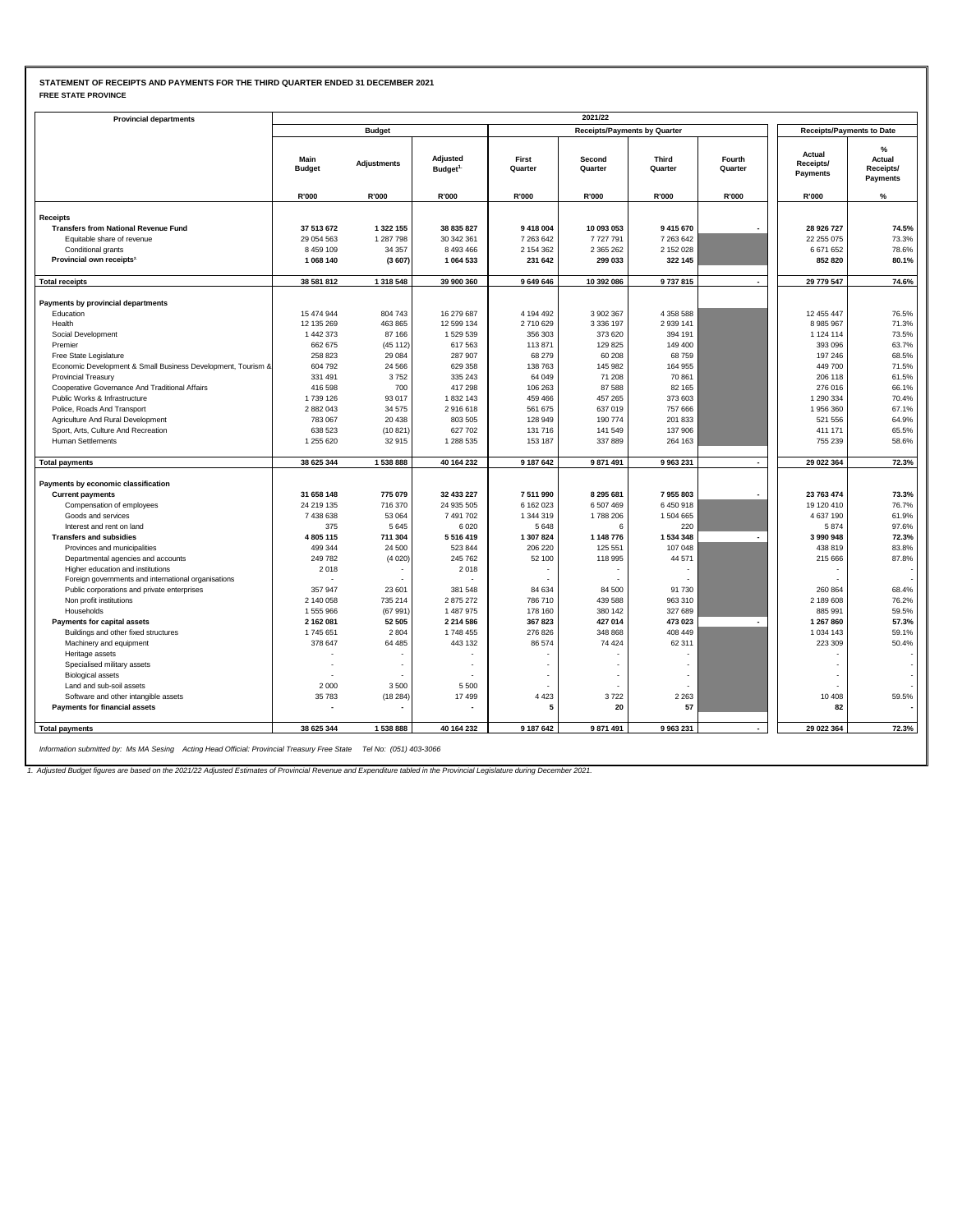### **STATEMENT OF RECEIPTS AND PAYMENTS FOR THE THIRD QUARTER ENDED 31 DECEMBER 2021 FREE STATE PROVINCE**

| <b>Provincial departments</b>                                                            |                       |                    |                                  |                   |                                     |                  |                          |                                        |                                      |
|------------------------------------------------------------------------------------------|-----------------------|--------------------|----------------------------------|-------------------|-------------------------------------|------------------|--------------------------|----------------------------------------|--------------------------------------|
|                                                                                          |                       | <b>Budget</b>      |                                  |                   | <b>Receipts/Payments by Quarter</b> |                  |                          | <b>Receipts/Payments to Date</b>       |                                      |
|                                                                                          | Main<br><b>Budget</b> | <b>Adjustments</b> | Adjusted<br>Budget <sup>1.</sup> | First<br>Quarter  | Second<br>Quarter                   | Third<br>Quarter | Fourth<br>Quarter        | Actual<br>Receipts/<br><b>Payments</b> | %<br>Actual<br>Receipts/<br>Payments |
|                                                                                          | R'000                 | R'000              | R'000                            | R'000             | R'000                               | R'000            | <b>R'000</b>             | R'000                                  | %                                    |
| <b>Receipts</b>                                                                          |                       |                    |                                  |                   |                                     |                  |                          |                                        |                                      |
| <b>Transfers from National Revenue Fund</b>                                              | 37 513 672            | 1 322 155          | 38 835 827                       | 9 418 004         | 10 093 053                          | 9 4 1 5 6 7 0    |                          | 28 926 727                             | 74.5%                                |
| Equitable share of revenue                                                               | 29 054 563            | 1 287 798          | 30 342 361                       | 7 263 642         | 7727791                             | 7 263 642        |                          | 22 255 075                             | 73.3%                                |
| Conditional grants                                                                       | 8 459 109             | 34 357             | 8 493 466                        | 2 154 362         | 2 3 6 5 2 6 2                       | 2 152 028        |                          | 6671652                                | 78.6%                                |
| Provincial own receipts <sup>2</sup>                                                     | 1 068 140             | (3607)             | 1 064 533                        | 231 642           | 299 033                             | 322 145          |                          | 852 820                                | 80.1%                                |
| <b>Total receipts</b>                                                                    | 38 581 812            | 1 318 548          | 39 900 360                       | 9 649 646         | 10 392 086                          | 9737815          | $\overline{\phantom{a}}$ | 29 779 547                             | 74.6%                                |
|                                                                                          |                       |                    |                                  |                   |                                     |                  |                          |                                        |                                      |
| Payments by provincial departments                                                       |                       |                    |                                  |                   |                                     |                  |                          |                                        |                                      |
| Education                                                                                | 15 474 944            | 804 743            | 16 279 687                       | 4 194 492         | 3 902 367                           | 4 3 5 8 5 8 8    |                          | 12 455 447                             | 76.5%                                |
| Health                                                                                   | 12 135 269            | 463 865            | 12 599 134                       | 2710629           | 3 3 3 6 1 9 7                       | 2 9 39 141       |                          | 8985967                                | 71.3%                                |
| Social Development                                                                       | 1 442 373             | 87 166             | 1529539                          | 356 303           | 373 620                             | 394 191          |                          | 1 1 2 4 1 1 4                          | 73.5%<br>63.7%                       |
| Premier                                                                                  | 662 675<br>258 823    | (45112)<br>29 084  | 617 563<br>287 907               | 113 871<br>68 279 | 129 825<br>60 208                   | 149 400<br>68759 |                          | 393 096<br>197 246                     | 68.5%                                |
| Free State Legislature<br>Economic Development & Small Business Development, Tourism &   | 604 792               | 24 5 66            | 629 358                          | 138 763           | 145 982                             | 164 955          |                          | 449 700                                | 71.5%                                |
| <b>Provincial Treasury</b>                                                               | 331 491               | 3752               | 335 243                          | 64 049            | 71 208                              | 70 861           |                          | 206 118                                | 61.5%                                |
| Cooperative Governance And Traditional Affairs                                           | 416 598               | 700                | 417 298                          | 106 263           | 87 588                              | 82 165           |                          | 276 016                                | 66.1%                                |
| Public Works & Infrastructure                                                            | 1739 126              | 93 017             | 1832143                          | 459 466           | 457 265                             | 373 603          |                          | 1 290 334                              | 70.4%                                |
| Police, Roads And Transport                                                              | 2 882 043             | 34 575             | 2916618                          | 561 675           | 637 019                             | 757 666          |                          | 1956360                                | 67.1%                                |
| Agriculture And Rural Development                                                        | 783 067               | 20 438             | 803 505                          | 128 949           | 190 774                             | 201 833          |                          | 521 556                                | 64.9%                                |
| Sport, Arts, Culture And Recreation                                                      | 638 523               | (10.821)           | 627 702                          | 131 716           | 141 549                             | 137 906          |                          | 411 171                                | 65.5%                                |
| Human Settlements                                                                        | 1 255 620             | 32915              | 1 288 535                        | 153 187           | 337 889                             | 264 163          |                          | 755 239                                | 58.6%                                |
| <b>Total payments</b>                                                                    | 38 625 344            | 1538888            | 40 164 232                       | 9 187 642         | 9 871 491                           | 9 963 231        |                          | 29 022 364                             | 72.3%                                |
|                                                                                          |                       |                    |                                  |                   |                                     |                  |                          |                                        |                                      |
| Payments by economic classification                                                      |                       |                    |                                  |                   |                                     |                  |                          |                                        |                                      |
| <b>Current payments</b>                                                                  | 31 658 148            | 775 079            | 32 433 227                       | 7511990           | 8 295 681                           | 7955803          |                          | 23 763 474                             | 73.3%                                |
| Compensation of employees                                                                | 24 219 135            | 716 370            | 24 935 505                       | 6 162 023         | 6 507 469                           | 6450918          |                          | 19 120 410                             | 76.7%                                |
| Goods and services                                                                       | 7 438 638             | 53 064             | 7 491 702                        | 1 344 319         | 1788 206                            | 1504665          |                          | 4 637 190                              | 61.9%                                |
| Interest and rent on land                                                                | 375                   | 5645               | 6 0 20                           | 5 6 4 8           | 6                                   | 220              |                          | 5874                                   | 97.6%                                |
| <b>Transfers and subsidies</b>                                                           | 4 805 115             | 711 304            | 5516419                          | 1 307 824         | 1 148 776                           | 1 534 348        | $\overline{\phantom{a}}$ | 3990948                                | 72.3%                                |
| Provinces and municipalities                                                             | 499 344               | 24 500             | 523 844                          | 206 220           | 125 551                             | 107 048          |                          | 438 819                                | 83.8%                                |
| Departmental agencies and accounts                                                       | 249782                | (4020)             | 245 762                          | 52 100            | 118 995<br>÷                        | 44 571           |                          | 215 666                                | 87.8%                                |
| Higher education and institutions<br>Foreign governments and international organisations | 2018                  |                    | 2018                             |                   |                                     |                  |                          |                                        |                                      |
| Public corporations and private enterprises                                              | 357 947               | 23 601             | 381 548                          | 84 634            | 84 500                              | 91 730           |                          | 260 864                                | 68.4%                                |
| Non profit institutions                                                                  | 2 140 058             | 735 214            | 2875272                          | 786 710           | 439 588                             | 963 310          |                          | 2 189 608                              | 76.2%                                |
| Households                                                                               | 1555966               | (67 991)           | 1 487 975                        | 178 160           | 380 142                             | 327 689          |                          | 885 991                                | 59.5%                                |
| Payments for capital assets                                                              | 2 162 081             | 52 505             | 2 2 1 4 5 8 6                    | 367 823           | 427 014                             | 473 023          |                          | 1 267 860                              | 57.3%                                |
| Buildings and other fixed structures                                                     | 1745 651              | 2804               | 1748 455                         | 276 826           | 348 868                             | 408 449          |                          | 1 0 3 4 1 4 3                          | 59.1%                                |
| Machinery and equipment                                                                  | 378 647               | 64 485             | 443 132                          | 86 574            | 74 424                              | 62 311           |                          | 223 309                                | 50.4%                                |
| Heritage assets                                                                          |                       |                    |                                  |                   |                                     |                  |                          |                                        |                                      |
| Specialised military assets                                                              |                       |                    |                                  |                   |                                     |                  |                          |                                        |                                      |
| <b>Biological assets</b>                                                                 |                       |                    |                                  |                   |                                     |                  |                          |                                        |                                      |
| Land and sub-soil assets                                                                 | 2 0 0 0               | 3500               | 5 5 0 0                          |                   |                                     |                  |                          |                                        |                                      |
| Software and other intangible assets                                                     | 35783                 | (18284)            | 17499                            | 4 4 2 3           | 3722                                | 2 2 6 3          |                          | 10 40 8                                | 59.5%                                |
| Payments for financial assets                                                            |                       |                    |                                  | 5                 | 20                                  | 57               |                          | 82                                     |                                      |
| <b>Total payments</b>                                                                    | 38 625 344            | 1538888            | 40 164 232                       | 9 187 642         | 9 871 491                           | 9 963 231        |                          | 29 022 364                             | 72.3%                                |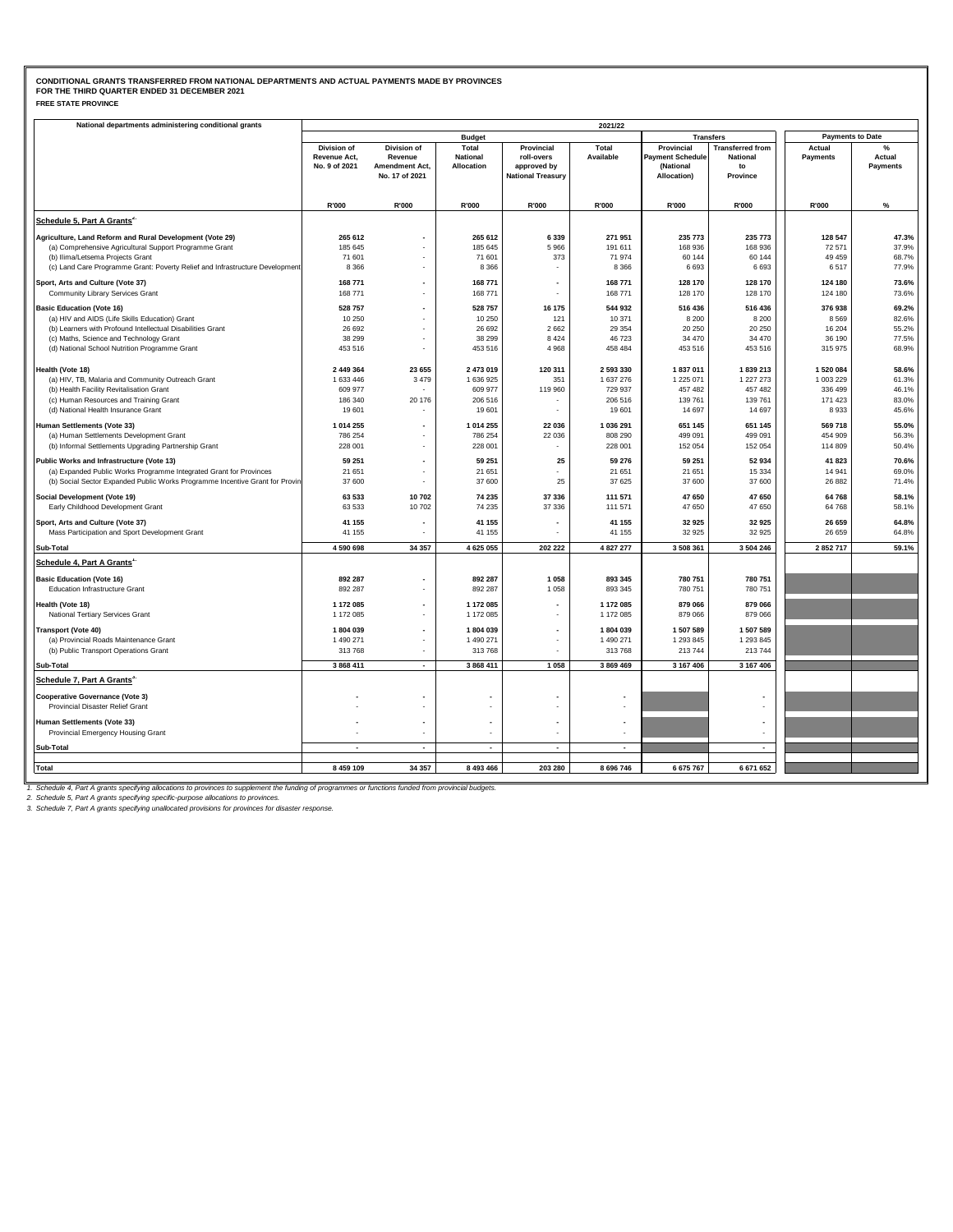| National departments administering conditional grants                                         |                     |                             |                          |                          | 2021/22   |                         |                         |                         |          |
|-----------------------------------------------------------------------------------------------|---------------------|-----------------------------|--------------------------|--------------------------|-----------|-------------------------|-------------------------|-------------------------|----------|
|                                                                                               |                     |                             | <b>Budget</b>            |                          |           |                         | <b>Transfers</b>        | <b>Payments to Date</b> |          |
|                                                                                               | Division of         | Division of                 | Total                    | Provincial               | Total     | Provincial              | <b>Transferred from</b> | Actual                  | %        |
|                                                                                               | <b>Revenue Act.</b> | Revenue                     | <b>National</b>          | roll-overs               | Available | <b>Payment Schedule</b> | <b>National</b>         | Payments                | Actual   |
|                                                                                               | No. 9 of 2021       | Amendment Act,              | Allocation               | approved by              |           | (National               | to                      |                         | Payments |
|                                                                                               |                     | No. 17 of 2021              |                          | <b>National Treasury</b> |           | Allocation)             | Province                |                         |          |
|                                                                                               |                     |                             |                          |                          |           |                         |                         |                         |          |
|                                                                                               | R'000               | R'000                       | R'000                    | R'000                    | R'000     | R'000                   | R'000                   | R'000                   | %        |
| Schedule 5, Part A Grants <sup>2</sup>                                                        |                     |                             |                          |                          |           |                         |                         |                         |          |
| Agriculture, Land Reform and Rural Development (Vote 29)                                      | 265 612             |                             | 265 612                  | 6 3 3 9                  | 271951    | 235 773                 | 235 773                 | 128 547                 | 47.3%    |
| (a) Comprehensive Agricultural Support Programme Grant                                        | 185 645             |                             | 185 645                  | 5966                     | 191 611   | 168 936                 | 168 936                 | 72 571                  | 37.9%    |
| (b) Ilima/Letsema Projects Grant                                                              | 71 601              |                             | 71 601                   | 373                      | 71974     | 60 144                  | 60 144                  | 49 45 9                 | 68.7%    |
| (c) Land Care Programme Grant: Poverty Relief and Infrastructure Development                  | 8 3 6 6             |                             | 8 3 6 6                  |                          | 8 3 6 6   | 6 6 9 3                 | 6 6 9 3                 | 6517                    | 77.9%    |
| Sport, Arts and Culture (Vote 37)                                                             | 168 771             |                             | 168 771                  | $\overline{\phantom{a}}$ | 168 771   | 128 170                 | 128 170                 | 124 180                 | 73.6%    |
| Community Library Services Grant                                                              | 168 771             |                             | 168 771                  | ä,                       | 168 771   | 128 170                 | 128 170                 | 124 180                 | 73.6%    |
| <b>Basic Education (Vote 16)</b>                                                              | 528 757             | $\blacksquare$              | 528 757                  | 16 175                   | 544 932   | 516 436                 | 516 436                 | 376938                  | 69.2%    |
| (a) HIV and AIDS (Life Skills Education) Grant                                                | 10 250              |                             | 10 250                   | 121                      | 10 371    | 8 2 0 0                 | 8 2 0 0                 | 8569                    | 82.6%    |
| (b) Learners with Profound Intellectual Disabilities Grant                                    | 26 692              |                             | 26 692                   | 2 6 6 2                  | 29 354    | 20 250                  | 20 250                  | 16 204                  | 55.2%    |
| (c) Maths, Science and Technology Grant                                                       | 38 299              |                             | 38 299                   | 8 4 2 4                  | 46723     | 34 470                  | 34 470                  | 36 190                  | 77.5%    |
| (d) National School Nutrition Programme Grant                                                 | 453 516             |                             | 453 516                  | 4 9 6 8                  | 458 484   | 453 516                 | 453 516                 | 315 975                 | 68.9%    |
| Health (Vote 18)                                                                              | 2 449 364           | 23 655                      | 2 473 019                | 120 311                  | 2 593 330 | 1837011                 | 1839 213                | 1520084                 | 58.6%    |
|                                                                                               | 1 633 446           | 3 4 7 9                     | 1 636 925                | 351                      | 1 637 276 | 1 225 071               | 1 227 273               | 1 003 229               | 61.3%    |
| (a) HIV, TB, Malaria and Community Outreach Grant<br>(b) Health Facility Revitalisation Grant | 609 977             |                             | 609 977                  | 119 960                  | 729 937   | 457 482                 | 457 482                 | 336 499                 | 46.1%    |
| (c) Human Resources and Training Grant                                                        | 186 340             | 20 176                      | 206 516                  | ٠                        | 206 516   | 139 761                 | 139 761                 | 171 423                 | 83.0%    |
| (d) National Health Insurance Grant                                                           | 19 601              |                             | 19 601                   |                          | 19601     | 14 697                  | 14 697                  | 8933                    | 45.6%    |
| Human Settlements (Vote 33)                                                                   | 1 014 255           |                             | 1 014 255                | 22 036                   | 1 036 291 | 651 145                 | 651 145                 | 569 718                 | 55.0%    |
| (a) Human Settlements Development Grant                                                       | 786 254             |                             | 786 254                  | 22 036                   | 808 290   | 499 091                 | 499 091                 | 454 909                 | 56.3%    |
| (b) Informal Settlements Upgrading Partnership Grant                                          | 228 001             |                             | 228 001                  |                          | 228 001   | 152 054                 | 152 054                 | 114 809                 | 50.4%    |
| Public Works and Infrastructure (Vote 13)                                                     | 59 251              |                             | 59 251                   | 25                       | 59 276    | 59 251                  | 52 934                  | 41 823                  | 70.6%    |
| (a) Expanded Public Works Programme Integrated Grant for Provinces                            | 21 651              | $\overline{\phantom{a}}$    | 21 651                   |                          | 21 651    | 21 651                  | 15 3 34                 | 14 941                  | 69.0%    |
| (b) Social Sector Expanded Public Works Programme Incentive Grant for Provin                  | 37 600              |                             | 37 600                   | 25                       | 37 625    | 37 600                  | 37 600                  | 26 882                  | 71.4%    |
| Social Development (Vote 19)                                                                  | 63 533              | 10702                       | 74 235                   | 37 336                   | 111 571   | 47 650                  | 47 650                  | 64768                   | 58.1%    |
| Early Childhood Development Grant                                                             | 63 5 33             | 10 702                      | 74 235                   | 37 336                   | 111 571   | 47 650                  | 47 650                  | 64768                   | 58.1%    |
|                                                                                               | 41 155              |                             | 41 155                   |                          | 41 155    | 32 925                  | 32 925                  | 26 659                  | 64.8%    |
| Sport, Arts and Culture (Vote 37)<br>Mass Participation and Sport Development Grant           | 41 155              |                             | 41 155                   |                          | 41 155    | 32 925                  | 32 925                  | 26 659                  | 64.8%    |
|                                                                                               | 4 590 698           | 34 357                      | 4 625 055                | 202 222                  | 4 827 277 | 3 508 361               | 3 504 246               | 2852717                 | 59.1%    |
| Sub-Total<br>Schedule 4, Part A Grants <sup>1</sup>                                           |                     |                             |                          |                          |           |                         |                         |                         |          |
|                                                                                               |                     |                             |                          |                          |           |                         |                         |                         |          |
| <b>Basic Education (Vote 16)</b>                                                              | 892 287             |                             | 892 287                  | 1 0 5 8                  | 893 345   | 780 751                 | 780 751                 |                         |          |
| <b>Education Infrastructure Grant</b>                                                         | 892 287             |                             | 892 287                  | 1 0 5 8                  | 893 345   | 780 751                 | 780 751                 |                         |          |
| Health (Vote 18)                                                                              | 1 172 085           |                             | 1 172 085                |                          | 1 172 085 | 879 066                 | 879 066                 |                         |          |
| National Tertiary Services Grant                                                              | 1 172 085           |                             | 1 172 085                | $\mathbf{r}$             | 1 172 085 | 879 066                 | 879 066                 |                         |          |
| <b>Transport (Vote 40)</b>                                                                    | 1804039             |                             | 1804 039                 | $\overline{\phantom{a}}$ | 1804039   | 1 507 589               | 1 507 589               |                         |          |
| (a) Provincial Roads Maintenance Grant                                                        | 1 490 271           |                             | 1 490 271                |                          | 1 490 271 | 1 293 845               | 1 293 845               |                         |          |
| (b) Public Transport Operations Grant                                                         | 313768              |                             | 313 768                  |                          | 313768    | 213 744                 | 213 744                 |                         |          |
| Sub-Total                                                                                     | 3 868 411           | $\overline{a}$              | 3 868 411                | 1 0 5 8                  | 3 869 469 | 3 167 406               | 3 167 406               |                         |          |
| Schedule 7, Part A Grants <sup>3</sup>                                                        |                     |                             |                          |                          |           |                         |                         |                         |          |
| <b>Cooperative Governance (Vote 3)</b>                                                        |                     |                             |                          |                          |           |                         |                         |                         |          |
| Provincial Disaster Relief Grant                                                              |                     |                             |                          |                          |           |                         |                         |                         |          |
| Human Settlements (Vote 33)                                                                   |                     |                             |                          | $\overline{\phantom{a}}$ |           |                         |                         |                         |          |
| Provincial Emergency Housing Grant                                                            |                     |                             |                          |                          |           |                         |                         |                         |          |
| Sub-Total                                                                                     | ٠                   | $\overline{a}$              | $\overline{\phantom{a}}$ | $\overline{a}$           |           |                         | $\blacksquare$          |                         |          |
|                                                                                               |                     |                             |                          |                          |           |                         |                         |                         |          |
| Total                                                                                         | 8 459 109           | 34 357                      | 8 493 466                | 203 280                  | 8 696 746 | 6 675 767               | 6 671 652               |                         |          |
| nt the founding                                                                               |                     | as functions funded from on |                          |                          |           |                         |                         |                         |          |

1. Schedule 4, Part A grants specifying allocations to provinces to supplement the funding of programmes or functions funded from provincial budgets.<br>2. Schedule 5, Part A grants specifying specific-purpose allocations to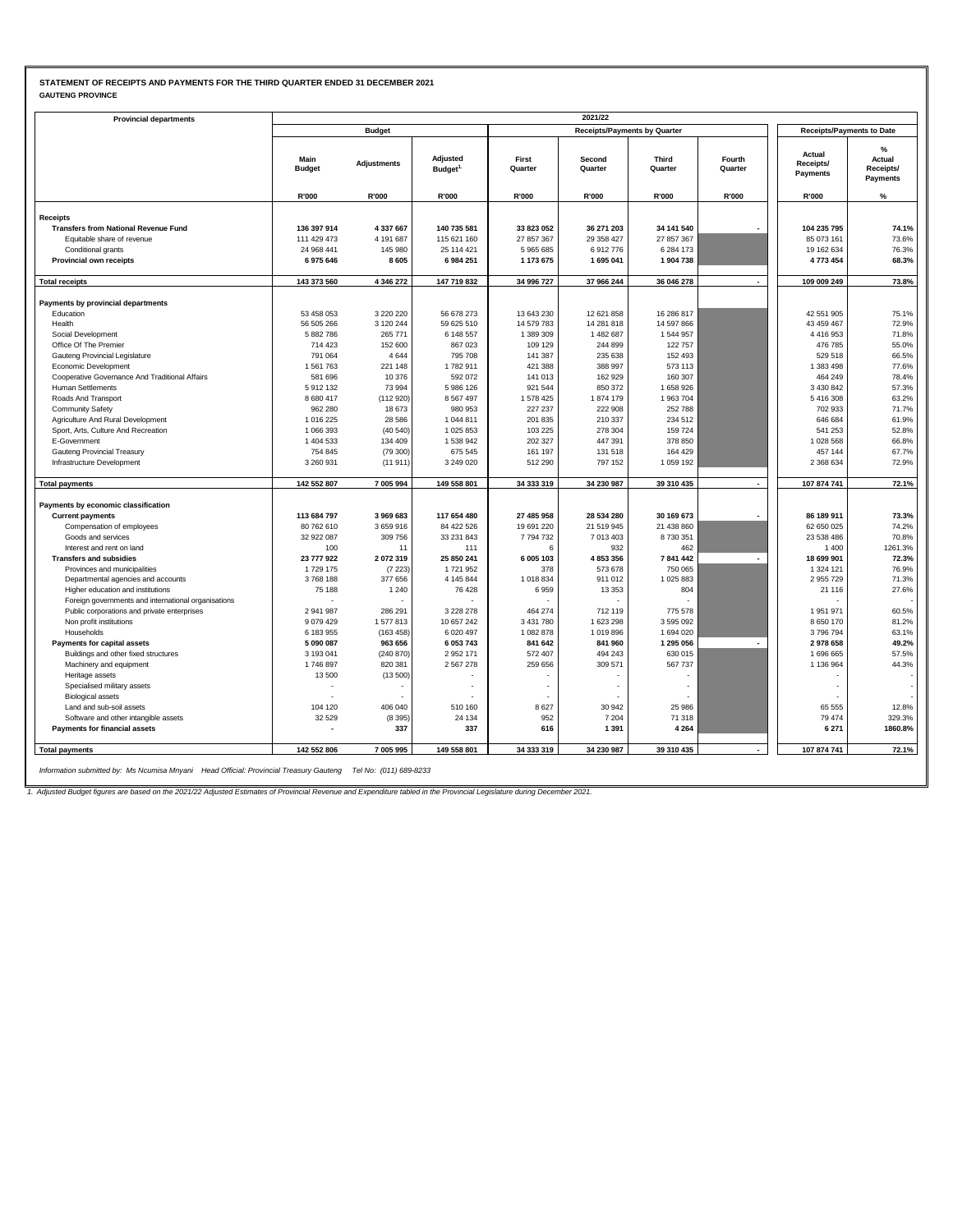### **STATEMENT OF RECEIPTS AND PAYMENTS FOR THE THIRD QUARTER ENDED 31 DECEMBER 2021 GAUTENG PROVINCE**

| <b>Provincial departments</b>                       |                          |                    |                                 |                       | 2021/22                             |                       |                          |                                  |                                      |
|-----------------------------------------------------|--------------------------|--------------------|---------------------------------|-----------------------|-------------------------------------|-----------------------|--------------------------|----------------------------------|--------------------------------------|
|                                                     |                          | <b>Budget</b>      |                                 |                       | <b>Receipts/Payments by Quarter</b> |                       |                          | <b>Receipts/Payments to Date</b> |                                      |
|                                                     |                          |                    |                                 |                       |                                     |                       |                          |                                  |                                      |
|                                                     | Main<br><b>Budget</b>    | <b>Adjustments</b> | Adjusted<br>Budget <sup>1</sup> | First<br>Quarter      | Second<br>Quarter                   | Third<br>Quarter      | Fourth<br>Quarter        | Actual<br>Receipts/<br>Payments  | %<br>Actual<br>Receipts/<br>Payments |
|                                                     | R'000                    | R'000              | R'000                           | R'000                 | R'000                               | R'000                 | <b>R'000</b>             | R'000                            | %                                    |
| <b>Receipts</b>                                     |                          |                    |                                 |                       |                                     |                       |                          |                                  |                                      |
| <b>Transfers from National Revenue Fund</b>         | 136 397 914              | 4 337 667          | 140 735 581                     | 33 823 052            | 36 271 203                          | 34 141 540            |                          | 104 235 795                      | 74.1%                                |
| Equitable share of revenue                          | 111 429 473              | 4 191 687          | 115 621 160                     | 27 857 367            | 29 358 427                          | 27 857 367            |                          | 85 073 161                       | 73.6%                                |
| Conditional grants                                  | 24 968 441               | 145 980            | 25 114 421                      | 5965685               | 6912776                             | 6 284 173             |                          | 19 162 634                       | 76.3%                                |
| Provincial own receipts                             | 6975646                  | 8605               | 6 984 251                       | 1 173 675             | 1695041                             | 1904738               |                          | 4773454                          | 68.3%                                |
|                                                     |                          |                    |                                 |                       |                                     |                       |                          |                                  |                                      |
| <b>Total receipts</b>                               | 143 373 560              | 4 346 272          | 147 719 832                     | 34 996 727            | 37 966 244                          | 36 046 278            |                          | 109 009 249                      | 73.8%                                |
| Payments by provincial departments                  |                          |                    |                                 |                       |                                     |                       |                          |                                  |                                      |
| Education                                           | 53 458 053               | 3 2 2 0 2 2 0      | 56 678 273                      | 13 643 230            | 12 621 858                          | 16 286 817            |                          | 42 551 905                       | 75.1%                                |
| Health                                              | 56 505 266               | 3 120 244          | 59 625 510                      | 14 579 783            | 14 281 818                          | 14 597 866            |                          | 43 459 467                       | 72.9%                                |
| Social Development                                  | 5 882 786                | 265 771            | 6 148 557                       | 1 389 309             | 1 482 687                           | 1544957               |                          | 4416953                          | 71.8%                                |
| Office Of The Premier                               | 714 423                  | 152 600            | 867 023                         | 109 129               | 244 899                             | 122 757               |                          | 476 785                          | 55.0%                                |
| Gauteng Provincial Legislature                      | 791 064                  | 4644               | 795 708                         | 141 387               | 235 638                             | 152 493               |                          | 529 518                          | 66.5%                                |
| Economic Development                                | 1561763                  | 221 148            | 1782911                         | 421 388               | 388 997                             | 573 113               |                          | 1 383 498                        | 77.6%                                |
| Cooperative Governance And Traditional Affairs      | 581 696                  | 10 376             | 592 072                         | 141 013               | 162 929                             | 160 307               |                          | 464 249                          | 78.4%                                |
| <b>Human Settlements</b>                            | 5912132                  | 73 994             | 5 986 126                       | 921 544               | 850 372                             | 1658926               |                          | 3 4 3 0 8 4 2                    | 57.3%                                |
| Roads And Transport                                 | 8 680 417                | (112 920)          | 8 5 6 7 4 9 7                   | 1578 425              | 1874 179                            | 1963704               |                          | 5416308                          | 63.2%                                |
| <b>Community Safety</b>                             | 962 280                  | 18673              | 980 953                         | 227 237               | 222 908                             | 252 788               |                          | 702 933                          | 71.7%                                |
| Agriculture And Rural Development                   | 1016225                  | 28 5 86            | 1044811                         | 201 835               | 210 337                             | 234 512               |                          | 646 684                          | 61.9%                                |
| Sport, Arts, Culture And Recreation                 | 1 066 393                | (40 540)           | 1 025 853                       | 103 225               | 278 304                             | 159 724               |                          | 541 253                          | 52.8%                                |
| E-Government                                        | 1 404 533                | 134 409            | 1 538 942                       | 202 327               | 447 391                             | 378 850               |                          | 1028 568                         | 66.8%                                |
| Gauteng Provincial Treasury                         | 754 845                  | (79300)            | 675 545                         | 161 197               | 131 518                             | 164 429               |                          | 457 144                          | 67.7%                                |
| Infrastructure Development                          | 3 260 931                | (11911)            | 3 249 020                       | 512 290               | 797 152                             | 1 0 5 9 1 9 2         |                          | 2 368 634                        | 72.9%                                |
| <b>Total payments</b>                               | 142 552 807              | 7 005 994          | 149 558 801                     | 34 333 319            | 34 230 987                          | 39 310 435            | $\overline{\phantom{a}}$ | 107 874 741                      | 72.1%                                |
|                                                     |                          |                    |                                 |                       |                                     |                       |                          |                                  |                                      |
| Payments by economic classification                 |                          |                    |                                 |                       |                                     |                       |                          |                                  |                                      |
| <b>Current payments</b>                             | 113 684 797              | 3 969 683          | 117 654 480<br>84 422 526       | 27 485 958            | 28 534 280                          | 30 169 673            |                          | 86 189 911                       | 73.3%<br>74.2%                       |
| Compensation of employees<br>Goods and services     | 80 762 610<br>32 922 087 | 3659916<br>309 756 | 33 231 843                      | 19 691 220<br>7794732 | 21 519 945<br>7013403               | 21 438 860<br>8730351 |                          | 62 650 025<br>23 538 486         | 70.8%                                |
| Interest and rent on land                           | 100                      | 11                 | 111                             | 6                     | 932                                 | 462                   |                          | 1400                             | 1261.3%                              |
| <b>Transfers and subsidies</b>                      | 23 777 922               | 2072319            | 25 850 241                      | 6 005 103             | 4 853 356                           | 7841442               |                          | 18 699 901                       | 72.3%                                |
| Provinces and municipalities                        | 1729 175                 | (7223)             | 1721952                         | 378                   | 573 678                             | 750 065               |                          | 1 3 2 4 1 2 1                    | 76.9%                                |
| Departmental agencies and accounts                  | 3768188                  | 377 656            | 4 145 844                       | 1018834               | 911 012                             | 1 025 883             |                          | 2955729                          | 71.3%                                |
| Higher education and institutions                   | 75 188                   | 1 2 4 0            | 76 428                          | 6959                  | 13 3 5 3                            | 804                   |                          | 21 116                           | 27.6%                                |
| Foreign governments and international organisations |                          |                    |                                 |                       |                                     |                       |                          |                                  |                                      |
| Public corporations and private enterprises         | 2 941 987                | 286 291            | 3 2 2 8 2 7 8                   | 464 274               | 712 119                             | 775 578               |                          | 1951971                          | 60.5%                                |
| Non profit institutions                             | 9 0 7 9 4 2 9            | 1577813            | 10 657 242                      | 3 4 3 1 7 8 0         | 1 623 298                           | 3595092               |                          | 8 6 5 0 1 7 0                    | 81.2%                                |
| Households                                          | 6 183 955                | (163, 458)         | 6 0 20 4 97                     | 1 082 878             | 1019896                             | 1694020               |                          | 3796794                          | 63.1%                                |
| Payments for capital assets                         | 5 090 087                | 963 656            | 6 053 743                       | 841 642               | 841 960                             | 1 295 056             |                          | 2978658                          | 49.2%                                |
| Buildings and other fixed structures                | 3 193 041                | (240 870)          | 2 9 5 2 1 7 1                   | 572 407               | 494 243                             | 630 015               |                          | 1696665                          | 57.5%                                |
| Machinery and equipment                             | 1746897                  | 820 381            | 2567278                         | 259 656               | 309 571                             | 567 737               |                          | 1 136 964                        | 44.3%                                |
| Heritage assets                                     | 13500                    | (13500)            |                                 |                       |                                     |                       |                          |                                  |                                      |
| Specialised military assets                         |                          |                    |                                 |                       |                                     |                       |                          |                                  |                                      |
| <b>Biological assets</b>                            |                          |                    |                                 |                       |                                     |                       |                          |                                  |                                      |
| Land and sub-soil assets                            | 104 120                  | 406 040            | 510 160                         | 8627                  | 30 942                              | 25 986                |                          | 65 555                           | 12.8%                                |
| Software and other intangible assets                | 32 5 29                  | (8395)             | 24 134                          | 952                   | 7 2 0 4                             | 71 318                |                          | 79 474                           | 329.3%                               |
| <b>Payments for financial assets</b>                |                          | 337                | 337                             | 616                   | 1 3 9 1                             | 4 2 6 4               |                          | 6 2 7 1                          | 1860.8%                              |
|                                                     |                          |                    |                                 |                       |                                     |                       |                          |                                  |                                      |

*Information submitted by: Ms Ncumisa Mnyani Head Official: Provincial Treasury Gauteng Tel No: (011) 689-8233*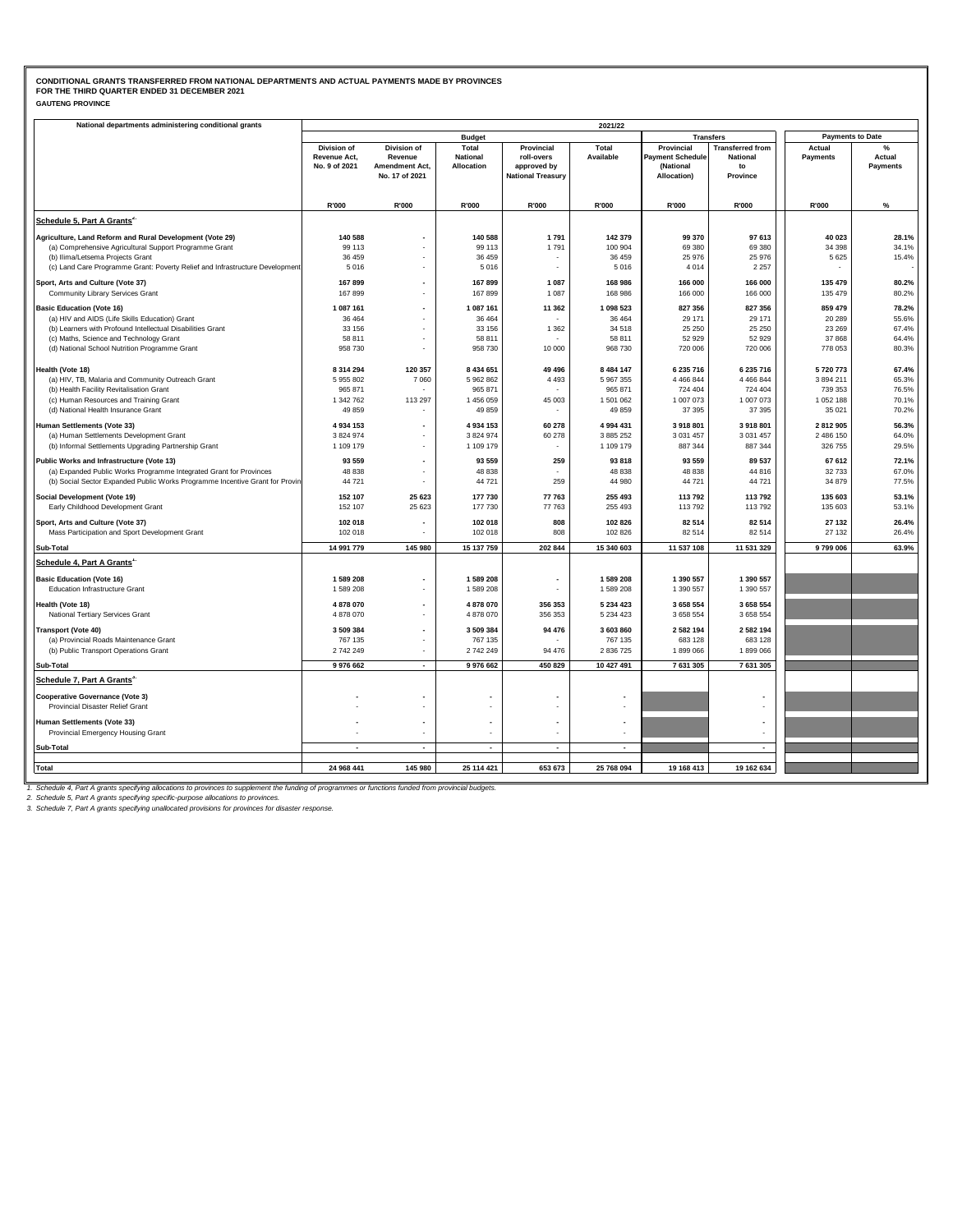| <b>GAUTENG PROVINCE</b> |
|-------------------------|
|-------------------------|

| National departments administering conditional grants                                                                                              |                               |                           |                               |                           | 2021/22        |                                      |                          |                         |                    |
|----------------------------------------------------------------------------------------------------------------------------------------------------|-------------------------------|---------------------------|-------------------------------|---------------------------|----------------|--------------------------------------|--------------------------|-------------------------|--------------------|
|                                                                                                                                                    |                               |                           | <b>Budget</b>                 |                           |                |                                      | <b>Transfers</b>         | <b>Payments to Date</b> |                    |
|                                                                                                                                                    | <b>Division of</b>            | Division of               | Total                         | Provincial                | Total          | Provincial                           | <b>Transferred from</b>  | Actual                  | $\%$               |
|                                                                                                                                                    | Revenue Act.<br>No. 9 of 2021 | Revenue<br>Amendment Act, | <b>National</b><br>Allocation | roll-overs<br>approved by | Available      | <b>Payment Schedule</b><br>(National | <b>National</b><br>to    | Payments                | Actual<br>Payments |
|                                                                                                                                                    |                               | No. 17 of 2021            |                               | <b>National Treasury</b>  |                | Allocation)                          | Province                 |                         |                    |
|                                                                                                                                                    |                               |                           |                               |                           |                |                                      |                          |                         |                    |
|                                                                                                                                                    | R'000                         | R'000                     | R'000                         | R'000                     | R'000          | R'000                                | R'000                    | R'000                   | %                  |
| Schedule 5, Part A Grants <sup>2</sup>                                                                                                             |                               |                           |                               |                           |                |                                      |                          |                         |                    |
|                                                                                                                                                    |                               |                           |                               |                           |                |                                      |                          |                         |                    |
| Agriculture, Land Reform and Rural Development (Vote 29)                                                                                           | 140 588                       |                           | 140 588                       | 1791                      | 142 379        | 99 370                               | 97 613                   | 40 0 23                 | 28.1%              |
| (a) Comprehensive Agricultural Support Programme Grant                                                                                             | 99 113                        |                           | 99 113                        | 1791                      | 100 904        | 69 380                               | 69 380                   | 34 3 98                 | 34.1%              |
| (b) Ilima/Letsema Projects Grant<br>(c) Land Care Programme Grant: Poverty Relief and Infrastructure Development                                   | 36 45 9<br>5016               |                           | 36 45 9<br>5 0 1 6            |                           | 36 459<br>5016 | 25 976<br>4 0 1 4                    | 25 976<br>2 2 5 7        | 5625                    | 15.4%              |
|                                                                                                                                                    |                               |                           |                               |                           |                |                                      |                          |                         |                    |
| Sport, Arts and Culture (Vote 37)                                                                                                                  | 167899                        |                           | 167 899                       | 1 0 8 7                   | 168 986        | 166 000                              | 166 000                  | 135 479                 | 80.2%              |
| Community Library Services Grant                                                                                                                   | 167899                        |                           | 167 899                       | 1 0 8 7                   | 168 986        | 166 000                              | 166 000                  | 135 479                 | 80.2%              |
| <b>Basic Education (Vote 16)</b>                                                                                                                   | 1 087 161                     | $\blacksquare$            | 1 087 161                     | 11 362                    | 1 098 523      | 827 356                              | 827 356                  | 859 479                 | 78.2%              |
| (a) HIV and AIDS (Life Skills Education) Grant                                                                                                     | 36 4 64                       |                           | 36 464                        |                           | 36 4 64        | 29 171                               | 29 171                   | 20 289                  | 55.6%              |
| (b) Learners with Profound Intellectual Disabilities Grant                                                                                         | 33 156                        | $\overline{\phantom{a}}$  | 33 156                        | 1 3 6 2                   | 34 518         | 25 250                               | 25 250                   | 23 26 9                 | 67.4%              |
| (c) Maths, Science and Technology Grant                                                                                                            | 58 811                        |                           | 58 811                        |                           | 58 811         | 52 929                               | 52 929                   | 37868                   | 64.4%              |
| (d) National School Nutrition Programme Grant                                                                                                      | 958 730                       | ÷,                        | 958 730                       | 10 000                    | 968 730        | 720 006                              | 720 006                  | 778 053                 | 80.3%              |
| Health (Vote 18)                                                                                                                                   | 8 3 1 4 2 9 4                 | 120 357                   | 8 434 651                     | 49 49 6                   | 8 4 8 4 1 4 7  | 6 235 716                            | 6 235 716                | 5720773                 | 67.4%              |
| (a) HIV, TB, Malaria and Community Outreach Grant                                                                                                  | 5 955 802                     | 7 0 6 0                   | 5 962 862                     | 4 4 9 3                   | 5 967 355      | 4 4 6 6 8 4 4                        | 4 4 6 6 8 4 4            | 3 894 211               | 65.3%              |
| (b) Health Facility Revitalisation Grant                                                                                                           | 965 871                       |                           | 965 871                       |                           | 965 871        | 724 404                              | 724 404                  | 739 353                 | 76.5%              |
| (c) Human Resources and Training Grant                                                                                                             | 1 342 762                     | 113 297                   | 1 456 059                     | 45 003                    | 1 501 062      | 1 007 073                            | 1 007 073                | 1 052 188               | 70.1%              |
| (d) National Health Insurance Grant                                                                                                                | 49 859                        |                           | 49 859                        |                           | 49 859         | 37 395                               | 37 395                   | 35 0 21                 | 70.2%              |
| Human Settlements (Vote 33)                                                                                                                        | 4 9 34 153                    |                           | 4 934 153                     | 60 278                    | 4 994 431      | 3 918 801                            | 3 918 801                | 2812905                 | 56.3%              |
| (a) Human Settlements Development Grant                                                                                                            | 3 824 974                     |                           | 3 824 974                     | 60 278                    | 3 885 252      | 3 0 3 1 4 5 7                        | 3 0 31 4 57              | 2 486 150               | 64.0%              |
| (b) Informal Settlements Upgrading Partnership Grant                                                                                               | 1 109 179                     |                           | 1 109 179                     |                           | 1 109 179      | 887 344                              | 887 344                  | 326 755                 | 29.5%              |
| Public Works and Infrastructure (Vote 13)                                                                                                          | 93 559                        | $\overline{\phantom{a}}$  | 93 559                        | 259                       | 93818          | 93 559                               | 89 537                   | 67 612                  | 72.1%              |
| (a) Expanded Public Works Programme Integrated Grant for Provinces                                                                                 | 48 838                        | $\overline{\phantom{a}}$  | 48 838                        |                           | 48 838         | 48 838                               | 44 816                   | 32733                   | 67.0%              |
| (b) Social Sector Expanded Public Works Programme Incentive Grant for Provin                                                                       | 44 721                        | $\ddot{\phantom{1}}$      | 44 721                        | 259                       | 44 980         | 44 721                               | 44 721                   | 34 879                  | 77.5%              |
| Social Development (Vote 19)                                                                                                                       | 152 107                       | 25 623                    | 177 730                       | 77 763                    | 255 493        | 113 792                              | 113 792                  | 135 603                 | 53.1%              |
| Early Childhood Development Grant                                                                                                                  | 152 107                       | 25 6 23                   | 177 730                       | 77 763                    | 255 493        | 113 792                              | 113 792                  | 135 603                 | 53.1%              |
| Sport, Arts and Culture (Vote 37)                                                                                                                  | 102 018                       |                           | 102 018                       | 808                       | 102 826        | 82 514                               | 82 514                   | 27 132                  | 26.4%              |
| Mass Participation and Sport Development Grant                                                                                                     | 102 018                       | $\overline{\phantom{a}}$  | 102 018                       | 808                       | 102 826        | 82 514                               | 82 514                   | 27 132                  | 26.4%              |
| Sub-Total                                                                                                                                          | 14 991 779                    | 145 980                   | 15 137 759                    | 202 844                   | 15 340 603     | 11 537 108                           | 11 531 329               | 9799006                 | 63.9%              |
| Schedule 4, Part A Grants <sup>1</sup>                                                                                                             |                               |                           |                               |                           |                |                                      |                          |                         |                    |
| <b>Basic Education (Vote 16)</b>                                                                                                                   | 1589208                       |                           | 1 589 208                     | $\blacksquare$            | 1589208        | 1 390 557                            | 1 390 557                |                         |                    |
| <b>Education Infrastructure Grant</b>                                                                                                              | 1589208                       |                           | 1 589 208                     | $\mathbf{r}$              | 1589208        | 1 390 557                            | 1 390 557                |                         |                    |
|                                                                                                                                                    |                               |                           |                               |                           |                |                                      |                          |                         |                    |
| Health (Vote 18)                                                                                                                                   | 4878070                       |                           | 4 878 070                     | 356 353                   | 5 234 423      | 3 658 554                            | 3 658 554                |                         |                    |
| National Tertiary Services Grant                                                                                                                   | 4878070                       |                           | 4 878 070                     | 356 353                   | 5 2 3 4 4 2 3  | 3 658 554                            | 3 658 554                |                         |                    |
| <b>Transport (Vote 40)</b>                                                                                                                         | 3 509 384                     |                           | 3 509 384                     | 94 476                    | 3 603 860      | 2 582 194                            | 2 582 194                |                         |                    |
| (a) Provincial Roads Maintenance Grant                                                                                                             | 767 135                       | $\overline{\phantom{a}}$  | 767 135                       |                           | 767 135        | 683 128                              | 683 128                  |                         |                    |
| (b) Public Transport Operations Grant                                                                                                              | 2742249                       | $\overline{\phantom{a}}$  | 2 742 249                     | 94 476                    | 2 836 725      | 1899066                              | 1899066                  |                         |                    |
| Sub-Total                                                                                                                                          | 9976662                       | $\blacksquare$            | 9 976 662                     | 450 829                   | 10 427 491     | 7 631 305                            | 7 631 305                |                         |                    |
| Schedule 7, Part A Grants <sup>3.</sup>                                                                                                            |                               |                           |                               |                           |                |                                      |                          |                         |                    |
| <b>Cooperative Governance (Vote 3)</b>                                                                                                             |                               |                           |                               |                           |                |                                      |                          |                         |                    |
| Provincial Disaster Relief Grant                                                                                                                   |                               |                           |                               |                           |                |                                      |                          |                         |                    |
| Human Settlements (Vote 33)                                                                                                                        |                               | $\overline{\phantom{a}}$  |                               | $\overline{\phantom{a}}$  |                |                                      |                          |                         |                    |
| Provincial Emergency Housing Grant                                                                                                                 |                               |                           |                               |                           |                |                                      |                          |                         |                    |
| Sub-Total                                                                                                                                          |                               | $\blacksquare$            |                               | $\overline{\phantom{a}}$  |                |                                      | $\overline{\phantom{a}}$ |                         |                    |
|                                                                                                                                                    |                               |                           |                               |                           |                |                                      |                          |                         |                    |
| <b>Total</b>                                                                                                                                       | 24 968 441                    | 145 980                   | 25 114 421                    | 653 673                   | 25 768 094     | 19 168 413                           | 19 162 634               |                         |                    |
| Schoolule 4. Pert A greate enecifiung ellecations to provinces to supplement the funding of programmes or functions funded from provincial budgets |                               |                           |                               |                           |                |                                      |                          |                         |                    |

1. Schedule 4, Part A grants specifying allocations to provinces to supplement the funding of programmes or functions funded from provincial budgets.<br>2. Schedule 5, Part A grants specifying specific-purpose allocations to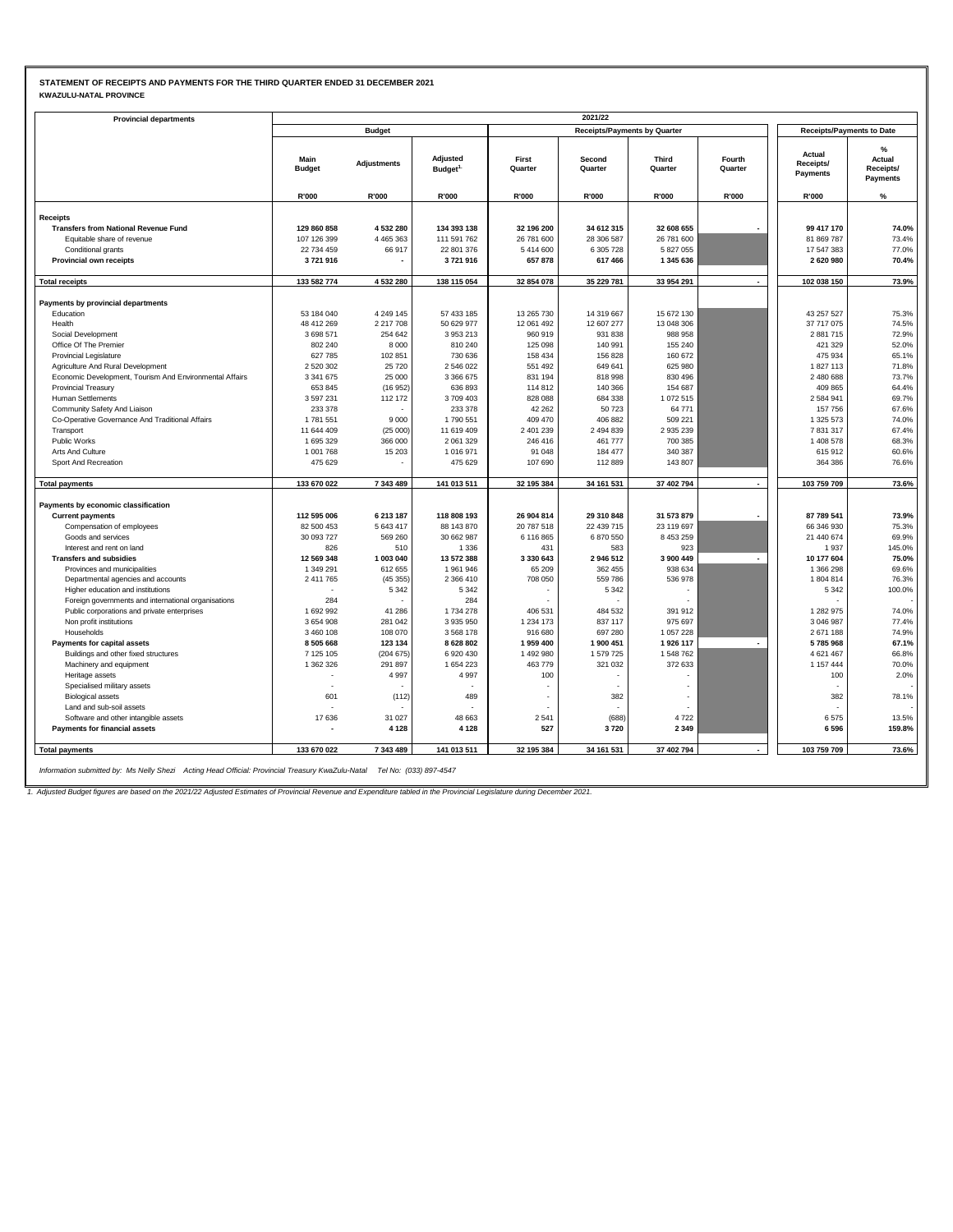### **STATEMENT OF RECEIPTS AND PAYMENTS FOR THE THIRD QUARTER ENDED 31 DECEMBER 2021 KWAZULU-NATAL PROVINCE**

| <b>Provincial departments</b>                           |                       |                    |                                 |                  | 2021/22                             |                  |                          |                                        |                                         |
|---------------------------------------------------------|-----------------------|--------------------|---------------------------------|------------------|-------------------------------------|------------------|--------------------------|----------------------------------------|-----------------------------------------|
|                                                         |                       | <b>Budget</b>      |                                 |                  | <b>Receipts/Payments by Quarter</b> |                  |                          | <b>Receipts/Payments to Date</b>       |                                         |
|                                                         | Main<br><b>Budget</b> | <b>Adjustments</b> | Adjusted<br>Budget <sup>1</sup> | First<br>Quarter | Second<br>Quarter                   | Third<br>Quarter | Fourth<br>Quarter        | Actual<br>Receipts/<br><b>Payments</b> | $\%$<br>Actual<br>Receipts/<br>Payments |
|                                                         | R'000                 | R'000              | R'000                           | R'000            | R'000                               | R'000            | <b>R'000</b>             | R'000                                  | %                                       |
| <b>Receipts</b>                                         |                       |                    |                                 |                  |                                     |                  |                          |                                        |                                         |
| <b>Transfers from National Revenue Fund</b>             | 129 860 858           | 4532280            | 134 393 138                     | 32 196 200       | 34 612 315                          | 32 608 655       |                          | 99 417 170                             | 74.0%                                   |
| Equitable share of revenue                              | 107 126 399           | 4 4 6 5 3 6 3      | 111 591 762                     | 26 781 600       | 28 306 587                          | 26 781 600       |                          | 81 869 787                             | 73.4%                                   |
| Conditional grants                                      | 22 734 459            | 66 917             | 22 801 376                      | 5414600          | 6 305 728                           | 5 827 055        |                          | 17 547 383                             | 77.0%                                   |
| Provincial own receipts                                 | 3721916               |                    | 3721916                         | 657 878          | 617 466                             | 1 345 636        |                          | 2620980                                | 70.4%                                   |
|                                                         |                       |                    |                                 |                  |                                     |                  |                          |                                        |                                         |
| <b>Total receipts</b>                                   | 133 582 774           | 4 532 280          | 138 115 054                     | 32 854 078       | 35 229 781                          | 33 954 291       | $\overline{\phantom{a}}$ | 102 038 150                            | 73.9%                                   |
| Payments by provincial departments                      |                       |                    |                                 |                  |                                     |                  |                          |                                        |                                         |
| Education                                               | 53 184 040            | 4 249 145          | 57 433 185                      | 13 265 730       | 14 319 667                          | 15 672 130       |                          | 43 257 527                             | 75.3%                                   |
| Health                                                  | 48 412 269            | 2 217 708          | 50 629 977                      | 12 061 492       | 12 607 277                          | 13 048 306       |                          | 37 717 075                             | 74.5%                                   |
| Social Development                                      | 3 698 571             | 254 642            | 3953213                         | 960 919          | 931 838                             | 988 958          |                          | 2881715                                | 72.9%                                   |
| Office Of The Premier                                   | 802 240               | 8 0 0 0            | 810 240                         | 125 098          | 140 991                             | 155 240          |                          | 421 329                                | 52.0%                                   |
| <b>Provincial Legislature</b>                           | 627 785               | 102 851            | 730 636                         | 158 434          | 156 828                             | 160 672          |                          | 475 934                                | 65.1%                                   |
| Agriculture And Rural Development                       | 2 520 302             | 25720              | 2 546 022                       | 551 492          | 649 641                             | 625 980          |                          | 1827113                                | 71.8%                                   |
| Economic Development, Tourism And Environmental Affairs | 3 341 675             | 25 000             | 3 366 675                       | 831 194          | 818 998                             | 830 496          |                          | 2 480 688                              | 73.7%                                   |
| <b>Provincial Treasury</b>                              | 653 845               | (16952)            | 636 893                         | 114 812          | 140 366                             | 154 687          |                          | 409 865                                | 64.4%                                   |
| <b>Human Settlements</b>                                | 3 597 231             | 112 172            | 3709403                         | 828 088          | 684 338                             | 1 072 515        |                          | 2 5 8 4 9 4 1                          | 69.7%                                   |
| Community Safety And Liaison                            | 233 378               |                    | 233 378                         | 42 262           | 50723                               | 64 771           |                          | 157756                                 | 67.6%                                   |
| Co-Operative Governance And Traditional Affairs         | 1781551               | 9 0 0 0            | 1790 551                        | 409 470          | 406 882                             | 509 221          |                          | 1 325 573                              | 74.0%                                   |
| Transport                                               | 11 644 409            | (25000)            | 11 619 409                      | 2 401 239        | 2 494 839                           | 2 935 239        |                          | 7831317                                | 67.4%                                   |
| Public Works                                            | 1695329               | 366 000            | 2 061 329                       | 246 416          | 461 777                             | 700 385          |                          | 1 408 578                              | 68.3%                                   |
| Arts And Culture                                        | 1 001 768             | 15 203             | 1016971                         | 91 048           | 184 477                             | 340 387          |                          | 615912                                 | 60.6%                                   |
| Sport And Recreation                                    | 475 629               |                    | 475 629                         | 107 690          | 112 889                             | 143 807          |                          | 364 386                                | 76.6%                                   |
| <b>Total payments</b>                                   | 133 670 022           | 7 343 489          | 141 013 511                     | 32 195 384       | 34 161 531                          | 37 402 794       |                          | 103 759 709                            | 73.6%                                   |
| Payments by economic classification                     |                       |                    |                                 |                  |                                     |                  |                          |                                        |                                         |
| <b>Current payments</b>                                 | 112 595 006           | 6 213 187          | 118 808 193                     | 26 904 814       | 29 310 848                          | 31 573 879       |                          | 87 789 541                             | 73.9%                                   |
| Compensation of employees                               | 82 500 453            | 5 643 417          | 88 143 870                      | 20 787 518       | 22 439 715                          | 23 119 697       |                          | 66 346 930                             | 75.3%                                   |
| Goods and services                                      | 30 093 727            | 569 260            | 30 662 987                      | 6 116 865        | 6 870 550                           | 8 453 259        |                          | 21 440 674                             | 69.9%                                   |
| Interest and rent on land                               | 826                   | 510                | 1 3 3 6                         | 431              | 583                                 | 923              |                          | 1937                                   | 145.0%                                  |
| <b>Transfers and subsidies</b>                          | 12 569 348            | 1 003 040          | 13 572 388                      | 3 3 3 0 6 4 3    | 2946512                             | 3 900 449        |                          | 10 177 604                             | 75.0%                                   |
| Provinces and municipalities                            | 1 349 291             | 612 655            | 1961946                         | 65 209           | 362 455                             | 938 634          |                          | 1 366 298                              | 69.6%                                   |
| Departmental agencies and accounts                      | 2 411 765             | (45355)            | 2 366 410                       | 708 050          | 559 786                             | 536 978          |                          | 1804814                                | 76.3%                                   |
| Higher education and institutions                       |                       | 5 3 4 2            | 5 3 4 2                         |                  | 5 3 4 2                             |                  |                          | 5 3 4 2                                | 100.0%                                  |
| Foreign governments and international organisations     | 284                   |                    | 284                             |                  |                                     |                  |                          |                                        |                                         |
| Public corporations and private enterprises             | 1692992               | 41 286             | 1734278                         | 406 531          | 484 532                             | 391 912          |                          | 1 282 975                              | 74.0%                                   |
| Non profit institutions                                 | 3654908               | 281 042            | 3 9 3 5 9 5 0                   | 1 2 3 4 1 7 3    | 837 117                             | 975 697          |                          | 3 046 987                              | 77.4%                                   |
| Households                                              | 3 460 108             | 108 070            | 3 5 68 178                      | 916 680          | 697 280                             | 1 057 228        |                          | 2671188                                | 74.9%                                   |
| Payments for capital assets                             | 8 505 668             | 123 134            | 8 6 28 8 0 2                    | 1959 400         | 1 900 451                           | 1926 117         |                          | 5785968                                | 67.1%                                   |
| Buildings and other fixed structures                    | 7 125 105             | (204675)           | 6 9 20 4 30                     | 1 492 980        | 1579725                             | 1 548 762        |                          | 4621467                                | 66.8%                                   |
| Machinery and equipment                                 | 1 362 326             | 291 897            | 1654223                         | 463 779          | 321 032                             | 372 633          |                          | 1 157 444                              | 70.0%                                   |
| Heritage assets                                         |                       | 4 9 9 7            | 4 9 9 7                         | 100              |                                     |                  |                          | 100                                    | 2.0%                                    |
| Specialised military assets                             |                       |                    |                                 |                  |                                     | ٠                |                          |                                        |                                         |
| <b>Biological assets</b>                                | 601                   | (112)              | 489                             |                  | 382                                 |                  |                          | 382                                    | 78.1%                                   |
| Land and sub-soil assets                                |                       |                    |                                 |                  |                                     |                  |                          |                                        |                                         |
| Software and other intangible assets                    | 17636                 | 31 0 27            | 48 663                          | 2 5 4 1          | (688)                               | 4722             |                          | 6575                                   | 13.5%                                   |
| Payments for financial assets                           |                       | 4 1 2 8            | 4 1 2 8                         | 527              | 3720                                | 2 3 4 9          |                          | 6596                                   | 159.8%                                  |
|                                                         |                       |                    |                                 |                  |                                     |                  |                          |                                        |                                         |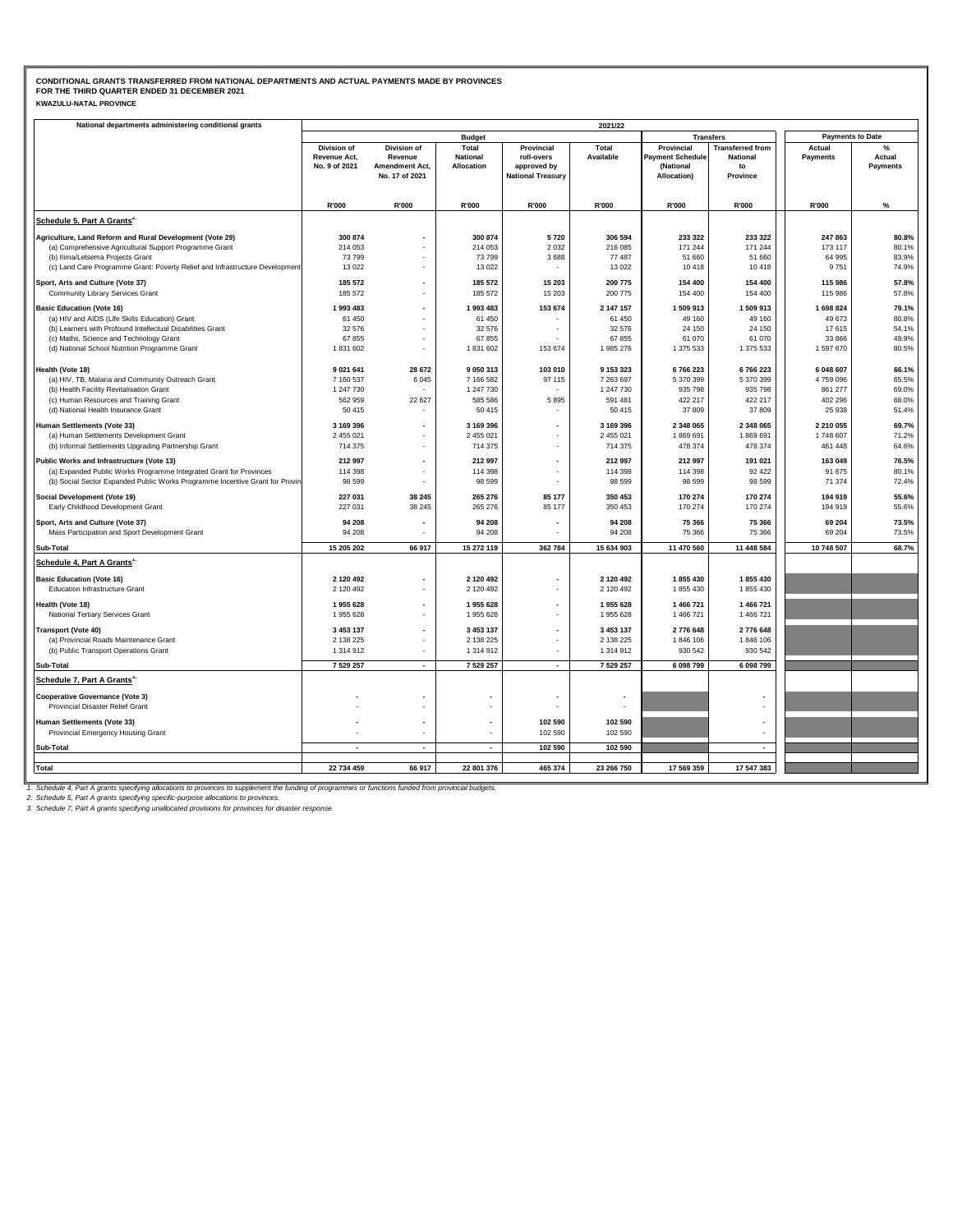| <b>KWAZULU-NATAL PROVINCE</b> |  |
|-------------------------------|--|
|-------------------------------|--|

| <b>Payments to Date</b><br><b>Budget</b><br><b>Transfers</b><br>$\%$<br>Division of<br>Division of<br><b>Transferred from</b><br>Total<br>Provincial<br>Total<br>Provincial<br>Actual<br>Revenue Act,<br>Revenue<br><b>National</b><br>roll-overs<br>Available<br><b>Payment Schedule</b><br><b>National</b><br>Payments<br>Actual<br>No. 9 of 2021<br>Amendment Act,<br>Allocation<br>approved by<br>(National<br>to<br>Payments<br>No. 17 of 2021<br><b>National Treasury</b><br>Allocation)<br>Province<br>R'000<br>R'000<br>R'000<br>R'000<br>R'000<br>R'000<br>R'000<br>R'000<br>$\%$<br>Schedule 5, Part A Grants <sup>2</sup><br>300 874<br>306 594<br>233 322<br>233 322<br>247 863<br>Agriculture, Land Reform and Rural Development (Vote 29)<br>300 874<br>5720<br>80.8%<br>(a) Comprehensive Agricultural Support Programme Grant<br>214 053<br>214 053<br>2 0 3 2<br>216 085<br>171 244<br>171 244<br>173 117<br>80.1%<br>3688<br>77 487<br>51 660<br>64 995<br>83.9%<br>(b) Ilima/Letsema Projects Grant<br>73 799<br>73 799<br>51 660<br>(c) Land Care Programme Grant: Poverty Relief and Infrastructure Development<br>13 0 22<br>13 0 22<br>13 0 22<br>10 418<br>10 418<br>9751<br>74.9%<br>200 775<br>Sport, Arts and Culture (Vote 37)<br>185 572<br>185 572<br>15 203<br>154 400<br>154 400<br>115 986<br>57.8%<br>Community Library Services Grant<br>185 572<br>185 572<br>15 203<br>200 775<br>154 400<br>154 400<br>115 986<br>57.8%<br>1993 483<br>1993 483<br>153 674<br>2 147 157<br>1 509 913<br>1 698 824<br><b>Basic Education (Vote 16)</b><br>1 509 913<br>79.1%<br>(a) HIV and AIDS (Life Skills Education) Grant<br>49 160<br>61 450<br>61 450<br>61 450<br>49 160<br>49 673<br>80.8%<br>(b) Learners with Profound Intellectual Disabilities Grant<br>32 576<br>32 576<br>24 150<br>54.1%<br>32 576<br>24 150<br>17615<br>÷.<br>(c) Maths, Science and Technology Grant<br>67855<br>67 855<br>67855<br>61 070<br>61 070<br>33 866<br>49.9%<br>(d) National School Nutrition Programme Grant<br>1831602<br>1 831 602<br>153 674<br>1985 276<br>1 375 533<br>1 375 533<br>1597670<br>80.5%<br>$\sim$<br>103 010<br>Health (Vote 18)<br>9 0 21 641<br>28 672<br>9 050 313<br>9 153 323<br>6766223<br>6766223<br>6 048 607<br>66.1%<br>(a) HIV, TB, Malaria and Community Outreach Grant<br>7 160 537<br>6 0 4 5<br>7 166 582<br>97 115<br>7 263 697<br>5 370 399<br>5 370 399<br>4759096<br>65.5%<br>(b) Health Facility Revitalisation Grant<br>1 247 730<br>1 247 730<br>1 247 730<br>935 798<br>935 798<br>861 277<br>69.0%<br>(c) Human Resources and Training Grant<br>562 959<br>22 627<br>585 586<br>591 481<br>422 217<br>422 217<br>402 296<br>68.0%<br>5 8 9 5<br>(d) National Health Insurance Grant<br>50 415<br>37 809<br>37 809<br>51.4%<br>50 415<br>50 415<br>25 9 38<br>3 169 396<br>2 348 065<br>2 348 065<br>2 210 055<br>69.7%<br>Human Settlements (Vote 33)<br>3 169 396<br>3 169 396<br>$\sim$<br>(a) Human Settlements Development Grant<br>2 455 021<br>2 455 021<br>2 455 021<br>1869691<br>1869691<br>1748 607<br>71.2%<br>(b) Informal Settlements Upgrading Partnership Grant<br>714 375<br>714 375<br>714 375<br>478 374<br>478 374<br>461 448<br>64.6%<br>$\overline{\phantom{a}}$<br>76.5%<br>212 997<br>212 997<br>212 997<br>212 997<br>191 021<br>163 049<br>Public Works and Infrastructure (Vote 13)<br>114 398<br>114 398<br>114 398<br>92 4 22<br>91 675<br>80.1%<br>(a) Expanded Public Works Programme Integrated Grant for Provinces<br>114 398<br>(b) Social Sector Expanded Public Works Programme Incentive Grant for Provin<br>98 599<br>98 599<br>98 599<br>98 599<br>98 599<br>71 374<br>72.4%<br>227 031<br>265 276<br>85 177<br>350 453<br>170 274<br>170 274<br>55.6%<br>Social Development (Vote 19)<br>38 245<br>194 919<br>Early Childhood Development Grant<br>227 031<br>38 245<br>265 276<br>85 177<br>350 453<br>170 274<br>170 274<br>194 919<br>55.6%<br>94 208<br>73.5%<br>Sport, Arts and Culture (Vote 37)<br>94 208<br>94 208<br>75 366<br>75 366<br>69 204<br>73.5%<br>Mass Participation and Sport Development Grant<br>94 208<br>94 208<br>94 208<br>75 366<br>75 366<br>69 204<br>15 272 119<br>362 784<br>15 634 903<br>11 470 560<br>11 448 584<br>10 748 507<br>68.7%<br>15 205 202<br>66 917<br>Sub-Total<br>Schedule 4, Part A Grants <sup>1</sup><br><b>Basic Education (Vote 16)</b><br>2 120 492<br>2 120 492<br>2 120 492<br>1855430<br>1855430<br>Education Infrastructure Grant<br>2 120 492<br>2 120 492<br>2 120 492<br>1 855 430<br>1855430<br>1955 628<br>1 466 721<br>Health (Vote 18)<br>1955628<br>1955 628<br>1 466 721<br>National Tertiary Services Grant<br>1 955 628<br>1 955 628<br>1955 628<br>1 466 721<br>1 466 721<br>3 453 137<br>3 453 137<br>3 453 137<br>2776 648<br>2776 648<br><b>Transport (Vote 40)</b><br>$\overline{\phantom{a}}$<br>1846 106<br>(a) Provincial Roads Maintenance Grant<br>2 138 225<br>2 138 225<br>2 138 225<br>1846 106<br>(b) Public Transport Operations Grant<br>1 314 912<br>1 314 912<br>1 314 912<br>930 542<br>930 542<br>$\sim$<br>7 529 257<br>7 529 257<br>7 529 257<br>6 098 799<br>6 098 799<br>Sub-Total<br>$\overline{a}$<br>$\overline{\phantom{a}}$<br>Schedule 7, Part A Grants <sup>3</sup><br><b>Cooperative Governance (Vote 3)</b><br>Provincial Disaster Relief Grant<br>102 590<br>102 590<br>Human Settlements (Vote 33)<br>Provincial Emergency Housing Grant<br>102 590<br>102 590<br>Sub-Total<br>102 590<br>102 590<br>$\overline{\phantom{a}}$<br>÷<br>22 734 459<br>66 917<br>22 801 376<br>465 374<br>23 266 750<br>17 569 359<br>17 547 383<br><b>Total</b> | National departments administering conditional grants | 2021/22 |  |  |  |  |  |  |  |  |
|-----------------------------------------------------------------------------------------------------------------------------------------------------------------------------------------------------------------------------------------------------------------------------------------------------------------------------------------------------------------------------------------------------------------------------------------------------------------------------------------------------------------------------------------------------------------------------------------------------------------------------------------------------------------------------------------------------------------------------------------------------------------------------------------------------------------------------------------------------------------------------------------------------------------------------------------------------------------------------------------------------------------------------------------------------------------------------------------------------------------------------------------------------------------------------------------------------------------------------------------------------------------------------------------------------------------------------------------------------------------------------------------------------------------------------------------------------------------------------------------------------------------------------------------------------------------------------------------------------------------------------------------------------------------------------------------------------------------------------------------------------------------------------------------------------------------------------------------------------------------------------------------------------------------------------------------------------------------------------------------------------------------------------------------------------------------------------------------------------------------------------------------------------------------------------------------------------------------------------------------------------------------------------------------------------------------------------------------------------------------------------------------------------------------------------------------------------------------------------------------------------------------------------------------------------------------------------------------------------------------------------------------------------------------------------------------------------------------------------------------------------------------------------------------------------------------------------------------------------------------------------------------------------------------------------------------------------------------------------------------------------------------------------------------------------------------------------------------------------------------------------------------------------------------------------------------------------------------------------------------------------------------------------------------------------------------------------------------------------------------------------------------------------------------------------------------------------------------------------------------------------------------------------------------------------------------------------------------------------------------------------------------------------------------------------------------------------------------------------------------------------------------------------------------------------------------------------------------------------------------------------------------------------------------------------------------------------------------------------------------------------------------------------------------------------------------------------------------------------------------------------------------------------------------------------------------------------------------------------------------------------------------------------------------------------------------------------------------------------------------------------------------------------------------------------------------------------------------------------------------------------------------------------------------------------------------------------------------------------------------------------------------------------------------------------------------------------------------------------------------------------------------------------------------------------------------------------------------------------------------------------------------------------------------------------------------------------------------------------------------------------------------------------------------------------------------------------------------------------------------------------------------------------------------------------------------------------------------------------------------------------------------------------------------------------------------------------------------------------------------------------------------------------------------------------------------------------------------------------------------------------------------------------------------------------------------------------------------------------------------------------------------------------------|-------------------------------------------------------|---------|--|--|--|--|--|--|--|--|
|                                                                                                                                                                                                                                                                                                                                                                                                                                                                                                                                                                                                                                                                                                                                                                                                                                                                                                                                                                                                                                                                                                                                                                                                                                                                                                                                                                                                                                                                                                                                                                                                                                                                                                                                                                                                                                                                                                                                                                                                                                                                                                                                                                                                                                                                                                                                                                                                                                                                                                                                                                                                                                                                                                                                                                                                                                                                                                                                                                                                                                                                                                                                                                                                                                                                                                                                                                                                                                                                                                                                                                                                                                                                                                                                                                                                                                                                                                                                                                                                                                                                                                                                                                                                                                                                                                                                                                                                                                                                                                                                                                                                                                                                                                                                                                                                                                                                                                                                                                                                                                                                                                                                                                                                                                                                                                                                                                                                                                                                                                                                                                                                                                                           |                                                       |         |  |  |  |  |  |  |  |  |
|                                                                                                                                                                                                                                                                                                                                                                                                                                                                                                                                                                                                                                                                                                                                                                                                                                                                                                                                                                                                                                                                                                                                                                                                                                                                                                                                                                                                                                                                                                                                                                                                                                                                                                                                                                                                                                                                                                                                                                                                                                                                                                                                                                                                                                                                                                                                                                                                                                                                                                                                                                                                                                                                                                                                                                                                                                                                                                                                                                                                                                                                                                                                                                                                                                                                                                                                                                                                                                                                                                                                                                                                                                                                                                                                                                                                                                                                                                                                                                                                                                                                                                                                                                                                                                                                                                                                                                                                                                                                                                                                                                                                                                                                                                                                                                                                                                                                                                                                                                                                                                                                                                                                                                                                                                                                                                                                                                                                                                                                                                                                                                                                                                                           |                                                       |         |  |  |  |  |  |  |  |  |
|                                                                                                                                                                                                                                                                                                                                                                                                                                                                                                                                                                                                                                                                                                                                                                                                                                                                                                                                                                                                                                                                                                                                                                                                                                                                                                                                                                                                                                                                                                                                                                                                                                                                                                                                                                                                                                                                                                                                                                                                                                                                                                                                                                                                                                                                                                                                                                                                                                                                                                                                                                                                                                                                                                                                                                                                                                                                                                                                                                                                                                                                                                                                                                                                                                                                                                                                                                                                                                                                                                                                                                                                                                                                                                                                                                                                                                                                                                                                                                                                                                                                                                                                                                                                                                                                                                                                                                                                                                                                                                                                                                                                                                                                                                                                                                                                                                                                                                                                                                                                                                                                                                                                                                                                                                                                                                                                                                                                                                                                                                                                                                                                                                                           |                                                       |         |  |  |  |  |  |  |  |  |
|                                                                                                                                                                                                                                                                                                                                                                                                                                                                                                                                                                                                                                                                                                                                                                                                                                                                                                                                                                                                                                                                                                                                                                                                                                                                                                                                                                                                                                                                                                                                                                                                                                                                                                                                                                                                                                                                                                                                                                                                                                                                                                                                                                                                                                                                                                                                                                                                                                                                                                                                                                                                                                                                                                                                                                                                                                                                                                                                                                                                                                                                                                                                                                                                                                                                                                                                                                                                                                                                                                                                                                                                                                                                                                                                                                                                                                                                                                                                                                                                                                                                                                                                                                                                                                                                                                                                                                                                                                                                                                                                                                                                                                                                                                                                                                                                                                                                                                                                                                                                                                                                                                                                                                                                                                                                                                                                                                                                                                                                                                                                                                                                                                                           |                                                       |         |  |  |  |  |  |  |  |  |
|                                                                                                                                                                                                                                                                                                                                                                                                                                                                                                                                                                                                                                                                                                                                                                                                                                                                                                                                                                                                                                                                                                                                                                                                                                                                                                                                                                                                                                                                                                                                                                                                                                                                                                                                                                                                                                                                                                                                                                                                                                                                                                                                                                                                                                                                                                                                                                                                                                                                                                                                                                                                                                                                                                                                                                                                                                                                                                                                                                                                                                                                                                                                                                                                                                                                                                                                                                                                                                                                                                                                                                                                                                                                                                                                                                                                                                                                                                                                                                                                                                                                                                                                                                                                                                                                                                                                                                                                                                                                                                                                                                                                                                                                                                                                                                                                                                                                                                                                                                                                                                                                                                                                                                                                                                                                                                                                                                                                                                                                                                                                                                                                                                                           |                                                       |         |  |  |  |  |  |  |  |  |
|                                                                                                                                                                                                                                                                                                                                                                                                                                                                                                                                                                                                                                                                                                                                                                                                                                                                                                                                                                                                                                                                                                                                                                                                                                                                                                                                                                                                                                                                                                                                                                                                                                                                                                                                                                                                                                                                                                                                                                                                                                                                                                                                                                                                                                                                                                                                                                                                                                                                                                                                                                                                                                                                                                                                                                                                                                                                                                                                                                                                                                                                                                                                                                                                                                                                                                                                                                                                                                                                                                                                                                                                                                                                                                                                                                                                                                                                                                                                                                                                                                                                                                                                                                                                                                                                                                                                                                                                                                                                                                                                                                                                                                                                                                                                                                                                                                                                                                                                                                                                                                                                                                                                                                                                                                                                                                                                                                                                                                                                                                                                                                                                                                                           |                                                       |         |  |  |  |  |  |  |  |  |
|                                                                                                                                                                                                                                                                                                                                                                                                                                                                                                                                                                                                                                                                                                                                                                                                                                                                                                                                                                                                                                                                                                                                                                                                                                                                                                                                                                                                                                                                                                                                                                                                                                                                                                                                                                                                                                                                                                                                                                                                                                                                                                                                                                                                                                                                                                                                                                                                                                                                                                                                                                                                                                                                                                                                                                                                                                                                                                                                                                                                                                                                                                                                                                                                                                                                                                                                                                                                                                                                                                                                                                                                                                                                                                                                                                                                                                                                                                                                                                                                                                                                                                                                                                                                                                                                                                                                                                                                                                                                                                                                                                                                                                                                                                                                                                                                                                                                                                                                                                                                                                                                                                                                                                                                                                                                                                                                                                                                                                                                                                                                                                                                                                                           |                                                       |         |  |  |  |  |  |  |  |  |
|                                                                                                                                                                                                                                                                                                                                                                                                                                                                                                                                                                                                                                                                                                                                                                                                                                                                                                                                                                                                                                                                                                                                                                                                                                                                                                                                                                                                                                                                                                                                                                                                                                                                                                                                                                                                                                                                                                                                                                                                                                                                                                                                                                                                                                                                                                                                                                                                                                                                                                                                                                                                                                                                                                                                                                                                                                                                                                                                                                                                                                                                                                                                                                                                                                                                                                                                                                                                                                                                                                                                                                                                                                                                                                                                                                                                                                                                                                                                                                                                                                                                                                                                                                                                                                                                                                                                                                                                                                                                                                                                                                                                                                                                                                                                                                                                                                                                                                                                                                                                                                                                                                                                                                                                                                                                                                                                                                                                                                                                                                                                                                                                                                                           |                                                       |         |  |  |  |  |  |  |  |  |
|                                                                                                                                                                                                                                                                                                                                                                                                                                                                                                                                                                                                                                                                                                                                                                                                                                                                                                                                                                                                                                                                                                                                                                                                                                                                                                                                                                                                                                                                                                                                                                                                                                                                                                                                                                                                                                                                                                                                                                                                                                                                                                                                                                                                                                                                                                                                                                                                                                                                                                                                                                                                                                                                                                                                                                                                                                                                                                                                                                                                                                                                                                                                                                                                                                                                                                                                                                                                                                                                                                                                                                                                                                                                                                                                                                                                                                                                                                                                                                                                                                                                                                                                                                                                                                                                                                                                                                                                                                                                                                                                                                                                                                                                                                                                                                                                                                                                                                                                                                                                                                                                                                                                                                                                                                                                                                                                                                                                                                                                                                                                                                                                                                                           |                                                       |         |  |  |  |  |  |  |  |  |
|                                                                                                                                                                                                                                                                                                                                                                                                                                                                                                                                                                                                                                                                                                                                                                                                                                                                                                                                                                                                                                                                                                                                                                                                                                                                                                                                                                                                                                                                                                                                                                                                                                                                                                                                                                                                                                                                                                                                                                                                                                                                                                                                                                                                                                                                                                                                                                                                                                                                                                                                                                                                                                                                                                                                                                                                                                                                                                                                                                                                                                                                                                                                                                                                                                                                                                                                                                                                                                                                                                                                                                                                                                                                                                                                                                                                                                                                                                                                                                                                                                                                                                                                                                                                                                                                                                                                                                                                                                                                                                                                                                                                                                                                                                                                                                                                                                                                                                                                                                                                                                                                                                                                                                                                                                                                                                                                                                                                                                                                                                                                                                                                                                                           |                                                       |         |  |  |  |  |  |  |  |  |
|                                                                                                                                                                                                                                                                                                                                                                                                                                                                                                                                                                                                                                                                                                                                                                                                                                                                                                                                                                                                                                                                                                                                                                                                                                                                                                                                                                                                                                                                                                                                                                                                                                                                                                                                                                                                                                                                                                                                                                                                                                                                                                                                                                                                                                                                                                                                                                                                                                                                                                                                                                                                                                                                                                                                                                                                                                                                                                                                                                                                                                                                                                                                                                                                                                                                                                                                                                                                                                                                                                                                                                                                                                                                                                                                                                                                                                                                                                                                                                                                                                                                                                                                                                                                                                                                                                                                                                                                                                                                                                                                                                                                                                                                                                                                                                                                                                                                                                                                                                                                                                                                                                                                                                                                                                                                                                                                                                                                                                                                                                                                                                                                                                                           |                                                       |         |  |  |  |  |  |  |  |  |
|                                                                                                                                                                                                                                                                                                                                                                                                                                                                                                                                                                                                                                                                                                                                                                                                                                                                                                                                                                                                                                                                                                                                                                                                                                                                                                                                                                                                                                                                                                                                                                                                                                                                                                                                                                                                                                                                                                                                                                                                                                                                                                                                                                                                                                                                                                                                                                                                                                                                                                                                                                                                                                                                                                                                                                                                                                                                                                                                                                                                                                                                                                                                                                                                                                                                                                                                                                                                                                                                                                                                                                                                                                                                                                                                                                                                                                                                                                                                                                                                                                                                                                                                                                                                                                                                                                                                                                                                                                                                                                                                                                                                                                                                                                                                                                                                                                                                                                                                                                                                                                                                                                                                                                                                                                                                                                                                                                                                                                                                                                                                                                                                                                                           |                                                       |         |  |  |  |  |  |  |  |  |
|                                                                                                                                                                                                                                                                                                                                                                                                                                                                                                                                                                                                                                                                                                                                                                                                                                                                                                                                                                                                                                                                                                                                                                                                                                                                                                                                                                                                                                                                                                                                                                                                                                                                                                                                                                                                                                                                                                                                                                                                                                                                                                                                                                                                                                                                                                                                                                                                                                                                                                                                                                                                                                                                                                                                                                                                                                                                                                                                                                                                                                                                                                                                                                                                                                                                                                                                                                                                                                                                                                                                                                                                                                                                                                                                                                                                                                                                                                                                                                                                                                                                                                                                                                                                                                                                                                                                                                                                                                                                                                                                                                                                                                                                                                                                                                                                                                                                                                                                                                                                                                                                                                                                                                                                                                                                                                                                                                                                                                                                                                                                                                                                                                                           |                                                       |         |  |  |  |  |  |  |  |  |
|                                                                                                                                                                                                                                                                                                                                                                                                                                                                                                                                                                                                                                                                                                                                                                                                                                                                                                                                                                                                                                                                                                                                                                                                                                                                                                                                                                                                                                                                                                                                                                                                                                                                                                                                                                                                                                                                                                                                                                                                                                                                                                                                                                                                                                                                                                                                                                                                                                                                                                                                                                                                                                                                                                                                                                                                                                                                                                                                                                                                                                                                                                                                                                                                                                                                                                                                                                                                                                                                                                                                                                                                                                                                                                                                                                                                                                                                                                                                                                                                                                                                                                                                                                                                                                                                                                                                                                                                                                                                                                                                                                                                                                                                                                                                                                                                                                                                                                                                                                                                                                                                                                                                                                                                                                                                                                                                                                                                                                                                                                                                                                                                                                                           |                                                       |         |  |  |  |  |  |  |  |  |
|                                                                                                                                                                                                                                                                                                                                                                                                                                                                                                                                                                                                                                                                                                                                                                                                                                                                                                                                                                                                                                                                                                                                                                                                                                                                                                                                                                                                                                                                                                                                                                                                                                                                                                                                                                                                                                                                                                                                                                                                                                                                                                                                                                                                                                                                                                                                                                                                                                                                                                                                                                                                                                                                                                                                                                                                                                                                                                                                                                                                                                                                                                                                                                                                                                                                                                                                                                                                                                                                                                                                                                                                                                                                                                                                                                                                                                                                                                                                                                                                                                                                                                                                                                                                                                                                                                                                                                                                                                                                                                                                                                                                                                                                                                                                                                                                                                                                                                                                                                                                                                                                                                                                                                                                                                                                                                                                                                                                                                                                                                                                                                                                                                                           |                                                       |         |  |  |  |  |  |  |  |  |
|                                                                                                                                                                                                                                                                                                                                                                                                                                                                                                                                                                                                                                                                                                                                                                                                                                                                                                                                                                                                                                                                                                                                                                                                                                                                                                                                                                                                                                                                                                                                                                                                                                                                                                                                                                                                                                                                                                                                                                                                                                                                                                                                                                                                                                                                                                                                                                                                                                                                                                                                                                                                                                                                                                                                                                                                                                                                                                                                                                                                                                                                                                                                                                                                                                                                                                                                                                                                                                                                                                                                                                                                                                                                                                                                                                                                                                                                                                                                                                                                                                                                                                                                                                                                                                                                                                                                                                                                                                                                                                                                                                                                                                                                                                                                                                                                                                                                                                                                                                                                                                                                                                                                                                                                                                                                                                                                                                                                                                                                                                                                                                                                                                                           |                                                       |         |  |  |  |  |  |  |  |  |
|                                                                                                                                                                                                                                                                                                                                                                                                                                                                                                                                                                                                                                                                                                                                                                                                                                                                                                                                                                                                                                                                                                                                                                                                                                                                                                                                                                                                                                                                                                                                                                                                                                                                                                                                                                                                                                                                                                                                                                                                                                                                                                                                                                                                                                                                                                                                                                                                                                                                                                                                                                                                                                                                                                                                                                                                                                                                                                                                                                                                                                                                                                                                                                                                                                                                                                                                                                                                                                                                                                                                                                                                                                                                                                                                                                                                                                                                                                                                                                                                                                                                                                                                                                                                                                                                                                                                                                                                                                                                                                                                                                                                                                                                                                                                                                                                                                                                                                                                                                                                                                                                                                                                                                                                                                                                                                                                                                                                                                                                                                                                                                                                                                                           |                                                       |         |  |  |  |  |  |  |  |  |
|                                                                                                                                                                                                                                                                                                                                                                                                                                                                                                                                                                                                                                                                                                                                                                                                                                                                                                                                                                                                                                                                                                                                                                                                                                                                                                                                                                                                                                                                                                                                                                                                                                                                                                                                                                                                                                                                                                                                                                                                                                                                                                                                                                                                                                                                                                                                                                                                                                                                                                                                                                                                                                                                                                                                                                                                                                                                                                                                                                                                                                                                                                                                                                                                                                                                                                                                                                                                                                                                                                                                                                                                                                                                                                                                                                                                                                                                                                                                                                                                                                                                                                                                                                                                                                                                                                                                                                                                                                                                                                                                                                                                                                                                                                                                                                                                                                                                                                                                                                                                                                                                                                                                                                                                                                                                                                                                                                                                                                                                                                                                                                                                                                                           |                                                       |         |  |  |  |  |  |  |  |  |
|                                                                                                                                                                                                                                                                                                                                                                                                                                                                                                                                                                                                                                                                                                                                                                                                                                                                                                                                                                                                                                                                                                                                                                                                                                                                                                                                                                                                                                                                                                                                                                                                                                                                                                                                                                                                                                                                                                                                                                                                                                                                                                                                                                                                                                                                                                                                                                                                                                                                                                                                                                                                                                                                                                                                                                                                                                                                                                                                                                                                                                                                                                                                                                                                                                                                                                                                                                                                                                                                                                                                                                                                                                                                                                                                                                                                                                                                                                                                                                                                                                                                                                                                                                                                                                                                                                                                                                                                                                                                                                                                                                                                                                                                                                                                                                                                                                                                                                                                                                                                                                                                                                                                                                                                                                                                                                                                                                                                                                                                                                                                                                                                                                                           |                                                       |         |  |  |  |  |  |  |  |  |
|                                                                                                                                                                                                                                                                                                                                                                                                                                                                                                                                                                                                                                                                                                                                                                                                                                                                                                                                                                                                                                                                                                                                                                                                                                                                                                                                                                                                                                                                                                                                                                                                                                                                                                                                                                                                                                                                                                                                                                                                                                                                                                                                                                                                                                                                                                                                                                                                                                                                                                                                                                                                                                                                                                                                                                                                                                                                                                                                                                                                                                                                                                                                                                                                                                                                                                                                                                                                                                                                                                                                                                                                                                                                                                                                                                                                                                                                                                                                                                                                                                                                                                                                                                                                                                                                                                                                                                                                                                                                                                                                                                                                                                                                                                                                                                                                                                                                                                                                                                                                                                                                                                                                                                                                                                                                                                                                                                                                                                                                                                                                                                                                                                                           |                                                       |         |  |  |  |  |  |  |  |  |
|                                                                                                                                                                                                                                                                                                                                                                                                                                                                                                                                                                                                                                                                                                                                                                                                                                                                                                                                                                                                                                                                                                                                                                                                                                                                                                                                                                                                                                                                                                                                                                                                                                                                                                                                                                                                                                                                                                                                                                                                                                                                                                                                                                                                                                                                                                                                                                                                                                                                                                                                                                                                                                                                                                                                                                                                                                                                                                                                                                                                                                                                                                                                                                                                                                                                                                                                                                                                                                                                                                                                                                                                                                                                                                                                                                                                                                                                                                                                                                                                                                                                                                                                                                                                                                                                                                                                                                                                                                                                                                                                                                                                                                                                                                                                                                                                                                                                                                                                                                                                                                                                                                                                                                                                                                                                                                                                                                                                                                                                                                                                                                                                                                                           |                                                       |         |  |  |  |  |  |  |  |  |
|                                                                                                                                                                                                                                                                                                                                                                                                                                                                                                                                                                                                                                                                                                                                                                                                                                                                                                                                                                                                                                                                                                                                                                                                                                                                                                                                                                                                                                                                                                                                                                                                                                                                                                                                                                                                                                                                                                                                                                                                                                                                                                                                                                                                                                                                                                                                                                                                                                                                                                                                                                                                                                                                                                                                                                                                                                                                                                                                                                                                                                                                                                                                                                                                                                                                                                                                                                                                                                                                                                                                                                                                                                                                                                                                                                                                                                                                                                                                                                                                                                                                                                                                                                                                                                                                                                                                                                                                                                                                                                                                                                                                                                                                                                                                                                                                                                                                                                                                                                                                                                                                                                                                                                                                                                                                                                                                                                                                                                                                                                                                                                                                                                                           |                                                       |         |  |  |  |  |  |  |  |  |
|                                                                                                                                                                                                                                                                                                                                                                                                                                                                                                                                                                                                                                                                                                                                                                                                                                                                                                                                                                                                                                                                                                                                                                                                                                                                                                                                                                                                                                                                                                                                                                                                                                                                                                                                                                                                                                                                                                                                                                                                                                                                                                                                                                                                                                                                                                                                                                                                                                                                                                                                                                                                                                                                                                                                                                                                                                                                                                                                                                                                                                                                                                                                                                                                                                                                                                                                                                                                                                                                                                                                                                                                                                                                                                                                                                                                                                                                                                                                                                                                                                                                                                                                                                                                                                                                                                                                                                                                                                                                                                                                                                                                                                                                                                                                                                                                                                                                                                                                                                                                                                                                                                                                                                                                                                                                                                                                                                                                                                                                                                                                                                                                                                                           |                                                       |         |  |  |  |  |  |  |  |  |
|                                                                                                                                                                                                                                                                                                                                                                                                                                                                                                                                                                                                                                                                                                                                                                                                                                                                                                                                                                                                                                                                                                                                                                                                                                                                                                                                                                                                                                                                                                                                                                                                                                                                                                                                                                                                                                                                                                                                                                                                                                                                                                                                                                                                                                                                                                                                                                                                                                                                                                                                                                                                                                                                                                                                                                                                                                                                                                                                                                                                                                                                                                                                                                                                                                                                                                                                                                                                                                                                                                                                                                                                                                                                                                                                                                                                                                                                                                                                                                                                                                                                                                                                                                                                                                                                                                                                                                                                                                                                                                                                                                                                                                                                                                                                                                                                                                                                                                                                                                                                                                                                                                                                                                                                                                                                                                                                                                                                                                                                                                                                                                                                                                                           |                                                       |         |  |  |  |  |  |  |  |  |
|                                                                                                                                                                                                                                                                                                                                                                                                                                                                                                                                                                                                                                                                                                                                                                                                                                                                                                                                                                                                                                                                                                                                                                                                                                                                                                                                                                                                                                                                                                                                                                                                                                                                                                                                                                                                                                                                                                                                                                                                                                                                                                                                                                                                                                                                                                                                                                                                                                                                                                                                                                                                                                                                                                                                                                                                                                                                                                                                                                                                                                                                                                                                                                                                                                                                                                                                                                                                                                                                                                                                                                                                                                                                                                                                                                                                                                                                                                                                                                                                                                                                                                                                                                                                                                                                                                                                                                                                                                                                                                                                                                                                                                                                                                                                                                                                                                                                                                                                                                                                                                                                                                                                                                                                                                                                                                                                                                                                                                                                                                                                                                                                                                                           |                                                       |         |  |  |  |  |  |  |  |  |
|                                                                                                                                                                                                                                                                                                                                                                                                                                                                                                                                                                                                                                                                                                                                                                                                                                                                                                                                                                                                                                                                                                                                                                                                                                                                                                                                                                                                                                                                                                                                                                                                                                                                                                                                                                                                                                                                                                                                                                                                                                                                                                                                                                                                                                                                                                                                                                                                                                                                                                                                                                                                                                                                                                                                                                                                                                                                                                                                                                                                                                                                                                                                                                                                                                                                                                                                                                                                                                                                                                                                                                                                                                                                                                                                                                                                                                                                                                                                                                                                                                                                                                                                                                                                                                                                                                                                                                                                                                                                                                                                                                                                                                                                                                                                                                                                                                                                                                                                                                                                                                                                                                                                                                                                                                                                                                                                                                                                                                                                                                                                                                                                                                                           |                                                       |         |  |  |  |  |  |  |  |  |
|                                                                                                                                                                                                                                                                                                                                                                                                                                                                                                                                                                                                                                                                                                                                                                                                                                                                                                                                                                                                                                                                                                                                                                                                                                                                                                                                                                                                                                                                                                                                                                                                                                                                                                                                                                                                                                                                                                                                                                                                                                                                                                                                                                                                                                                                                                                                                                                                                                                                                                                                                                                                                                                                                                                                                                                                                                                                                                                                                                                                                                                                                                                                                                                                                                                                                                                                                                                                                                                                                                                                                                                                                                                                                                                                                                                                                                                                                                                                                                                                                                                                                                                                                                                                                                                                                                                                                                                                                                                                                                                                                                                                                                                                                                                                                                                                                                                                                                                                                                                                                                                                                                                                                                                                                                                                                                                                                                                                                                                                                                                                                                                                                                                           |                                                       |         |  |  |  |  |  |  |  |  |
|                                                                                                                                                                                                                                                                                                                                                                                                                                                                                                                                                                                                                                                                                                                                                                                                                                                                                                                                                                                                                                                                                                                                                                                                                                                                                                                                                                                                                                                                                                                                                                                                                                                                                                                                                                                                                                                                                                                                                                                                                                                                                                                                                                                                                                                                                                                                                                                                                                                                                                                                                                                                                                                                                                                                                                                                                                                                                                                                                                                                                                                                                                                                                                                                                                                                                                                                                                                                                                                                                                                                                                                                                                                                                                                                                                                                                                                                                                                                                                                                                                                                                                                                                                                                                                                                                                                                                                                                                                                                                                                                                                                                                                                                                                                                                                                                                                                                                                                                                                                                                                                                                                                                                                                                                                                                                                                                                                                                                                                                                                                                                                                                                                                           |                                                       |         |  |  |  |  |  |  |  |  |
|                                                                                                                                                                                                                                                                                                                                                                                                                                                                                                                                                                                                                                                                                                                                                                                                                                                                                                                                                                                                                                                                                                                                                                                                                                                                                                                                                                                                                                                                                                                                                                                                                                                                                                                                                                                                                                                                                                                                                                                                                                                                                                                                                                                                                                                                                                                                                                                                                                                                                                                                                                                                                                                                                                                                                                                                                                                                                                                                                                                                                                                                                                                                                                                                                                                                                                                                                                                                                                                                                                                                                                                                                                                                                                                                                                                                                                                                                                                                                                                                                                                                                                                                                                                                                                                                                                                                                                                                                                                                                                                                                                                                                                                                                                                                                                                                                                                                                                                                                                                                                                                                                                                                                                                                                                                                                                                                                                                                                                                                                                                                                                                                                                                           |                                                       |         |  |  |  |  |  |  |  |  |
|                                                                                                                                                                                                                                                                                                                                                                                                                                                                                                                                                                                                                                                                                                                                                                                                                                                                                                                                                                                                                                                                                                                                                                                                                                                                                                                                                                                                                                                                                                                                                                                                                                                                                                                                                                                                                                                                                                                                                                                                                                                                                                                                                                                                                                                                                                                                                                                                                                                                                                                                                                                                                                                                                                                                                                                                                                                                                                                                                                                                                                                                                                                                                                                                                                                                                                                                                                                                                                                                                                                                                                                                                                                                                                                                                                                                                                                                                                                                                                                                                                                                                                                                                                                                                                                                                                                                                                                                                                                                                                                                                                                                                                                                                                                                                                                                                                                                                                                                                                                                                                                                                                                                                                                                                                                                                                                                                                                                                                                                                                                                                                                                                                                           |                                                       |         |  |  |  |  |  |  |  |  |
|                                                                                                                                                                                                                                                                                                                                                                                                                                                                                                                                                                                                                                                                                                                                                                                                                                                                                                                                                                                                                                                                                                                                                                                                                                                                                                                                                                                                                                                                                                                                                                                                                                                                                                                                                                                                                                                                                                                                                                                                                                                                                                                                                                                                                                                                                                                                                                                                                                                                                                                                                                                                                                                                                                                                                                                                                                                                                                                                                                                                                                                                                                                                                                                                                                                                                                                                                                                                                                                                                                                                                                                                                                                                                                                                                                                                                                                                                                                                                                                                                                                                                                                                                                                                                                                                                                                                                                                                                                                                                                                                                                                                                                                                                                                                                                                                                                                                                                                                                                                                                                                                                                                                                                                                                                                                                                                                                                                                                                                                                                                                                                                                                                                           |                                                       |         |  |  |  |  |  |  |  |  |
|                                                                                                                                                                                                                                                                                                                                                                                                                                                                                                                                                                                                                                                                                                                                                                                                                                                                                                                                                                                                                                                                                                                                                                                                                                                                                                                                                                                                                                                                                                                                                                                                                                                                                                                                                                                                                                                                                                                                                                                                                                                                                                                                                                                                                                                                                                                                                                                                                                                                                                                                                                                                                                                                                                                                                                                                                                                                                                                                                                                                                                                                                                                                                                                                                                                                                                                                                                                                                                                                                                                                                                                                                                                                                                                                                                                                                                                                                                                                                                                                                                                                                                                                                                                                                                                                                                                                                                                                                                                                                                                                                                                                                                                                                                                                                                                                                                                                                                                                                                                                                                                                                                                                                                                                                                                                                                                                                                                                                                                                                                                                                                                                                                                           |                                                       |         |  |  |  |  |  |  |  |  |
|                                                                                                                                                                                                                                                                                                                                                                                                                                                                                                                                                                                                                                                                                                                                                                                                                                                                                                                                                                                                                                                                                                                                                                                                                                                                                                                                                                                                                                                                                                                                                                                                                                                                                                                                                                                                                                                                                                                                                                                                                                                                                                                                                                                                                                                                                                                                                                                                                                                                                                                                                                                                                                                                                                                                                                                                                                                                                                                                                                                                                                                                                                                                                                                                                                                                                                                                                                                                                                                                                                                                                                                                                                                                                                                                                                                                                                                                                                                                                                                                                                                                                                                                                                                                                                                                                                                                                                                                                                                                                                                                                                                                                                                                                                                                                                                                                                                                                                                                                                                                                                                                                                                                                                                                                                                                                                                                                                                                                                                                                                                                                                                                                                                           |                                                       |         |  |  |  |  |  |  |  |  |
|                                                                                                                                                                                                                                                                                                                                                                                                                                                                                                                                                                                                                                                                                                                                                                                                                                                                                                                                                                                                                                                                                                                                                                                                                                                                                                                                                                                                                                                                                                                                                                                                                                                                                                                                                                                                                                                                                                                                                                                                                                                                                                                                                                                                                                                                                                                                                                                                                                                                                                                                                                                                                                                                                                                                                                                                                                                                                                                                                                                                                                                                                                                                                                                                                                                                                                                                                                                                                                                                                                                                                                                                                                                                                                                                                                                                                                                                                                                                                                                                                                                                                                                                                                                                                                                                                                                                                                                                                                                                                                                                                                                                                                                                                                                                                                                                                                                                                                                                                                                                                                                                                                                                                                                                                                                                                                                                                                                                                                                                                                                                                                                                                                                           |                                                       |         |  |  |  |  |  |  |  |  |
|                                                                                                                                                                                                                                                                                                                                                                                                                                                                                                                                                                                                                                                                                                                                                                                                                                                                                                                                                                                                                                                                                                                                                                                                                                                                                                                                                                                                                                                                                                                                                                                                                                                                                                                                                                                                                                                                                                                                                                                                                                                                                                                                                                                                                                                                                                                                                                                                                                                                                                                                                                                                                                                                                                                                                                                                                                                                                                                                                                                                                                                                                                                                                                                                                                                                                                                                                                                                                                                                                                                                                                                                                                                                                                                                                                                                                                                                                                                                                                                                                                                                                                                                                                                                                                                                                                                                                                                                                                                                                                                                                                                                                                                                                                                                                                                                                                                                                                                                                                                                                                                                                                                                                                                                                                                                                                                                                                                                                                                                                                                                                                                                                                                           |                                                       |         |  |  |  |  |  |  |  |  |
|                                                                                                                                                                                                                                                                                                                                                                                                                                                                                                                                                                                                                                                                                                                                                                                                                                                                                                                                                                                                                                                                                                                                                                                                                                                                                                                                                                                                                                                                                                                                                                                                                                                                                                                                                                                                                                                                                                                                                                                                                                                                                                                                                                                                                                                                                                                                                                                                                                                                                                                                                                                                                                                                                                                                                                                                                                                                                                                                                                                                                                                                                                                                                                                                                                                                                                                                                                                                                                                                                                                                                                                                                                                                                                                                                                                                                                                                                                                                                                                                                                                                                                                                                                                                                                                                                                                                                                                                                                                                                                                                                                                                                                                                                                                                                                                                                                                                                                                                                                                                                                                                                                                                                                                                                                                                                                                                                                                                                                                                                                                                                                                                                                                           |                                                       |         |  |  |  |  |  |  |  |  |
|                                                                                                                                                                                                                                                                                                                                                                                                                                                                                                                                                                                                                                                                                                                                                                                                                                                                                                                                                                                                                                                                                                                                                                                                                                                                                                                                                                                                                                                                                                                                                                                                                                                                                                                                                                                                                                                                                                                                                                                                                                                                                                                                                                                                                                                                                                                                                                                                                                                                                                                                                                                                                                                                                                                                                                                                                                                                                                                                                                                                                                                                                                                                                                                                                                                                                                                                                                                                                                                                                                                                                                                                                                                                                                                                                                                                                                                                                                                                                                                                                                                                                                                                                                                                                                                                                                                                                                                                                                                                                                                                                                                                                                                                                                                                                                                                                                                                                                                                                                                                                                                                                                                                                                                                                                                                                                                                                                                                                                                                                                                                                                                                                                                           |                                                       |         |  |  |  |  |  |  |  |  |
|                                                                                                                                                                                                                                                                                                                                                                                                                                                                                                                                                                                                                                                                                                                                                                                                                                                                                                                                                                                                                                                                                                                                                                                                                                                                                                                                                                                                                                                                                                                                                                                                                                                                                                                                                                                                                                                                                                                                                                                                                                                                                                                                                                                                                                                                                                                                                                                                                                                                                                                                                                                                                                                                                                                                                                                                                                                                                                                                                                                                                                                                                                                                                                                                                                                                                                                                                                                                                                                                                                                                                                                                                                                                                                                                                                                                                                                                                                                                                                                                                                                                                                                                                                                                                                                                                                                                                                                                                                                                                                                                                                                                                                                                                                                                                                                                                                                                                                                                                                                                                                                                                                                                                                                                                                                                                                                                                                                                                                                                                                                                                                                                                                                           |                                                       |         |  |  |  |  |  |  |  |  |
|                                                                                                                                                                                                                                                                                                                                                                                                                                                                                                                                                                                                                                                                                                                                                                                                                                                                                                                                                                                                                                                                                                                                                                                                                                                                                                                                                                                                                                                                                                                                                                                                                                                                                                                                                                                                                                                                                                                                                                                                                                                                                                                                                                                                                                                                                                                                                                                                                                                                                                                                                                                                                                                                                                                                                                                                                                                                                                                                                                                                                                                                                                                                                                                                                                                                                                                                                                                                                                                                                                                                                                                                                                                                                                                                                                                                                                                                                                                                                                                                                                                                                                                                                                                                                                                                                                                                                                                                                                                                                                                                                                                                                                                                                                                                                                                                                                                                                                                                                                                                                                                                                                                                                                                                                                                                                                                                                                                                                                                                                                                                                                                                                                                           |                                                       |         |  |  |  |  |  |  |  |  |
|                                                                                                                                                                                                                                                                                                                                                                                                                                                                                                                                                                                                                                                                                                                                                                                                                                                                                                                                                                                                                                                                                                                                                                                                                                                                                                                                                                                                                                                                                                                                                                                                                                                                                                                                                                                                                                                                                                                                                                                                                                                                                                                                                                                                                                                                                                                                                                                                                                                                                                                                                                                                                                                                                                                                                                                                                                                                                                                                                                                                                                                                                                                                                                                                                                                                                                                                                                                                                                                                                                                                                                                                                                                                                                                                                                                                                                                                                                                                                                                                                                                                                                                                                                                                                                                                                                                                                                                                                                                                                                                                                                                                                                                                                                                                                                                                                                                                                                                                                                                                                                                                                                                                                                                                                                                                                                                                                                                                                                                                                                                                                                                                                                                           |                                                       |         |  |  |  |  |  |  |  |  |
|                                                                                                                                                                                                                                                                                                                                                                                                                                                                                                                                                                                                                                                                                                                                                                                                                                                                                                                                                                                                                                                                                                                                                                                                                                                                                                                                                                                                                                                                                                                                                                                                                                                                                                                                                                                                                                                                                                                                                                                                                                                                                                                                                                                                                                                                                                                                                                                                                                                                                                                                                                                                                                                                                                                                                                                                                                                                                                                                                                                                                                                                                                                                                                                                                                                                                                                                                                                                                                                                                                                                                                                                                                                                                                                                                                                                                                                                                                                                                                                                                                                                                                                                                                                                                                                                                                                                                                                                                                                                                                                                                                                                                                                                                                                                                                                                                                                                                                                                                                                                                                                                                                                                                                                                                                                                                                                                                                                                                                                                                                                                                                                                                                                           |                                                       |         |  |  |  |  |  |  |  |  |
|                                                                                                                                                                                                                                                                                                                                                                                                                                                                                                                                                                                                                                                                                                                                                                                                                                                                                                                                                                                                                                                                                                                                                                                                                                                                                                                                                                                                                                                                                                                                                                                                                                                                                                                                                                                                                                                                                                                                                                                                                                                                                                                                                                                                                                                                                                                                                                                                                                                                                                                                                                                                                                                                                                                                                                                                                                                                                                                                                                                                                                                                                                                                                                                                                                                                                                                                                                                                                                                                                                                                                                                                                                                                                                                                                                                                                                                                                                                                                                                                                                                                                                                                                                                                                                                                                                                                                                                                                                                                                                                                                                                                                                                                                                                                                                                                                                                                                                                                                                                                                                                                                                                                                                                                                                                                                                                                                                                                                                                                                                                                                                                                                                                           |                                                       |         |  |  |  |  |  |  |  |  |
|                                                                                                                                                                                                                                                                                                                                                                                                                                                                                                                                                                                                                                                                                                                                                                                                                                                                                                                                                                                                                                                                                                                                                                                                                                                                                                                                                                                                                                                                                                                                                                                                                                                                                                                                                                                                                                                                                                                                                                                                                                                                                                                                                                                                                                                                                                                                                                                                                                                                                                                                                                                                                                                                                                                                                                                                                                                                                                                                                                                                                                                                                                                                                                                                                                                                                                                                                                                                                                                                                                                                                                                                                                                                                                                                                                                                                                                                                                                                                                                                                                                                                                                                                                                                                                                                                                                                                                                                                                                                                                                                                                                                                                                                                                                                                                                                                                                                                                                                                                                                                                                                                                                                                                                                                                                                                                                                                                                                                                                                                                                                                                                                                                                           |                                                       |         |  |  |  |  |  |  |  |  |
|                                                                                                                                                                                                                                                                                                                                                                                                                                                                                                                                                                                                                                                                                                                                                                                                                                                                                                                                                                                                                                                                                                                                                                                                                                                                                                                                                                                                                                                                                                                                                                                                                                                                                                                                                                                                                                                                                                                                                                                                                                                                                                                                                                                                                                                                                                                                                                                                                                                                                                                                                                                                                                                                                                                                                                                                                                                                                                                                                                                                                                                                                                                                                                                                                                                                                                                                                                                                                                                                                                                                                                                                                                                                                                                                                                                                                                                                                                                                                                                                                                                                                                                                                                                                                                                                                                                                                                                                                                                                                                                                                                                                                                                                                                                                                                                                                                                                                                                                                                                                                                                                                                                                                                                                                                                                                                                                                                                                                                                                                                                                                                                                                                                           |                                                       |         |  |  |  |  |  |  |  |  |
|                                                                                                                                                                                                                                                                                                                                                                                                                                                                                                                                                                                                                                                                                                                                                                                                                                                                                                                                                                                                                                                                                                                                                                                                                                                                                                                                                                                                                                                                                                                                                                                                                                                                                                                                                                                                                                                                                                                                                                                                                                                                                                                                                                                                                                                                                                                                                                                                                                                                                                                                                                                                                                                                                                                                                                                                                                                                                                                                                                                                                                                                                                                                                                                                                                                                                                                                                                                                                                                                                                                                                                                                                                                                                                                                                                                                                                                                                                                                                                                                                                                                                                                                                                                                                                                                                                                                                                                                                                                                                                                                                                                                                                                                                                                                                                                                                                                                                                                                                                                                                                                                                                                                                                                                                                                                                                                                                                                                                                                                                                                                                                                                                                                           |                                                       |         |  |  |  |  |  |  |  |  |
|                                                                                                                                                                                                                                                                                                                                                                                                                                                                                                                                                                                                                                                                                                                                                                                                                                                                                                                                                                                                                                                                                                                                                                                                                                                                                                                                                                                                                                                                                                                                                                                                                                                                                                                                                                                                                                                                                                                                                                                                                                                                                                                                                                                                                                                                                                                                                                                                                                                                                                                                                                                                                                                                                                                                                                                                                                                                                                                                                                                                                                                                                                                                                                                                                                                                                                                                                                                                                                                                                                                                                                                                                                                                                                                                                                                                                                                                                                                                                                                                                                                                                                                                                                                                                                                                                                                                                                                                                                                                                                                                                                                                                                                                                                                                                                                                                                                                                                                                                                                                                                                                                                                                                                                                                                                                                                                                                                                                                                                                                                                                                                                                                                                           |                                                       |         |  |  |  |  |  |  |  |  |
|                                                                                                                                                                                                                                                                                                                                                                                                                                                                                                                                                                                                                                                                                                                                                                                                                                                                                                                                                                                                                                                                                                                                                                                                                                                                                                                                                                                                                                                                                                                                                                                                                                                                                                                                                                                                                                                                                                                                                                                                                                                                                                                                                                                                                                                                                                                                                                                                                                                                                                                                                                                                                                                                                                                                                                                                                                                                                                                                                                                                                                                                                                                                                                                                                                                                                                                                                                                                                                                                                                                                                                                                                                                                                                                                                                                                                                                                                                                                                                                                                                                                                                                                                                                                                                                                                                                                                                                                                                                                                                                                                                                                                                                                                                                                                                                                                                                                                                                                                                                                                                                                                                                                                                                                                                                                                                                                                                                                                                                                                                                                                                                                                                                           |                                                       |         |  |  |  |  |  |  |  |  |
|                                                                                                                                                                                                                                                                                                                                                                                                                                                                                                                                                                                                                                                                                                                                                                                                                                                                                                                                                                                                                                                                                                                                                                                                                                                                                                                                                                                                                                                                                                                                                                                                                                                                                                                                                                                                                                                                                                                                                                                                                                                                                                                                                                                                                                                                                                                                                                                                                                                                                                                                                                                                                                                                                                                                                                                                                                                                                                                                                                                                                                                                                                                                                                                                                                                                                                                                                                                                                                                                                                                                                                                                                                                                                                                                                                                                                                                                                                                                                                                                                                                                                                                                                                                                                                                                                                                                                                                                                                                                                                                                                                                                                                                                                                                                                                                                                                                                                                                                                                                                                                                                                                                                                                                                                                                                                                                                                                                                                                                                                                                                                                                                                                                           |                                                       |         |  |  |  |  |  |  |  |  |
|                                                                                                                                                                                                                                                                                                                                                                                                                                                                                                                                                                                                                                                                                                                                                                                                                                                                                                                                                                                                                                                                                                                                                                                                                                                                                                                                                                                                                                                                                                                                                                                                                                                                                                                                                                                                                                                                                                                                                                                                                                                                                                                                                                                                                                                                                                                                                                                                                                                                                                                                                                                                                                                                                                                                                                                                                                                                                                                                                                                                                                                                                                                                                                                                                                                                                                                                                                                                                                                                                                                                                                                                                                                                                                                                                                                                                                                                                                                                                                                                                                                                                                                                                                                                                                                                                                                                                                                                                                                                                                                                                                                                                                                                                                                                                                                                                                                                                                                                                                                                                                                                                                                                                                                                                                                                                                                                                                                                                                                                                                                                                                                                                                                           |                                                       |         |  |  |  |  |  |  |  |  |

1. Schedule 4, Part A grants specifying allocations to provinces to supplement the funding of programmes or functions funded from provincial budgets.<br>2. Schedule 5, Part A grants specifying specific-purpose allocations to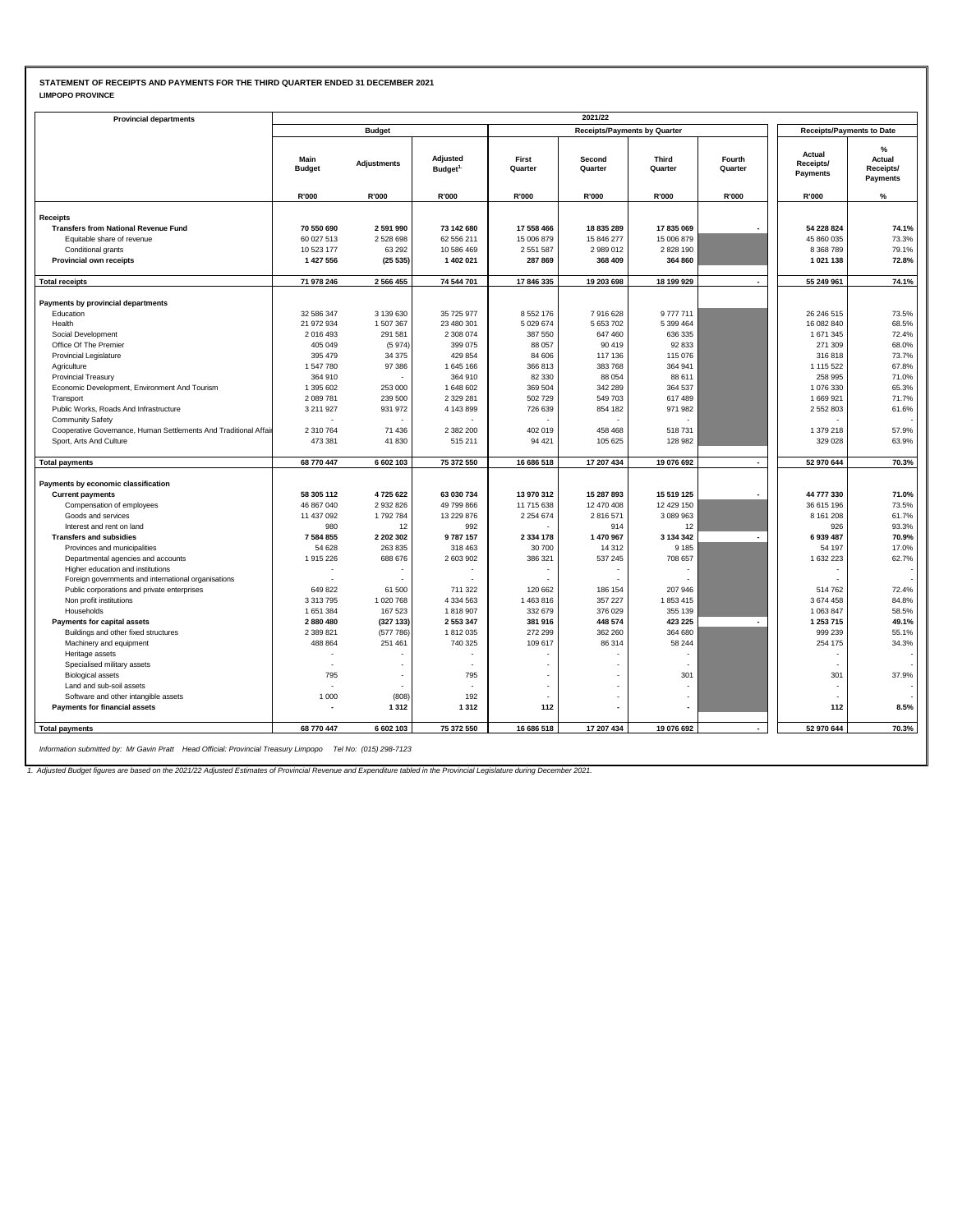### **STATEMENT OF RECEIPTS AND PAYMENTS FOR THE THIRD QUARTER ENDED 31 DECEMBER 2021 LIMPOPO PROVINCE**

| <b>LIMPOPO PROVINCE</b> |  |
|-------------------------|--|
|                         |  |

| <b>Provincial departments</b><br>Main<br><b>Budget</b><br>R'000<br><b>Receipts</b><br><b>Transfers from National Revenue Fund</b><br>70 550 690<br>60 027 513<br>Equitable share of revenue<br>Conditional grants<br>10 523 177<br>1 427 556<br><b>Provincial own receipts</b><br>71 978 246<br><b>Total receipts</b><br>Payments by provincial departments<br>Education<br>32 586 347<br>21 972 934<br>Health<br>Social Development<br>2016493<br>Office Of The Premier<br>405 049<br>395 479<br><b>Provincial Legislature</b><br>1547780<br>Agriculture<br>364 910<br><b>Provincial Treasury</b><br>Economic Development, Environment And Tourism<br>1 395 602<br>2089781<br>Transport<br>Public Works, Roads And Infrastructure<br>3 211 9 27<br><b>Community Safety</b><br>Cooperative Governance, Human Settlements And Traditional Affai<br>2 310 764<br>Sport, Arts And Culture<br>473 381<br>68 770 447<br><b>Total payments</b><br>Payments by economic classification<br>58 305 112<br><b>Current payments</b><br>Compensation of employees<br>46 867 040<br>Goods and services<br>11 437 092<br>Interest and rent on land<br>980<br><b>Transfers and subsidies</b><br>7584855<br>54 628<br>Provinces and municipalities<br>Departmental agencies and accounts<br>1915226<br>Higher education and institutions<br>Foreign governments and international organisations<br>Public corporations and private enterprises<br>649 822<br>Non profit institutions<br>3 3 1 3 7 9 5<br>Households<br>1651384<br>Payments for capital assets<br>2880480<br>Buildings and other fixed structures<br>2 389 821<br>488 864<br>Machinery and equipment<br>Heritage assets<br>Specialised military assets<br>795<br><b>Biological assets</b> | <b>Budget</b>      |                                 |                  |                                     |                         |                   |                                  |                                      |
|------------------------------------------------------------------------------------------------------------------------------------------------------------------------------------------------------------------------------------------------------------------------------------------------------------------------------------------------------------------------------------------------------------------------------------------------------------------------------------------------------------------------------------------------------------------------------------------------------------------------------------------------------------------------------------------------------------------------------------------------------------------------------------------------------------------------------------------------------------------------------------------------------------------------------------------------------------------------------------------------------------------------------------------------------------------------------------------------------------------------------------------------------------------------------------------------------------------------------------------------------------------------------------------------------------------------------------------------------------------------------------------------------------------------------------------------------------------------------------------------------------------------------------------------------------------------------------------------------------------------------------------------------------------------------------------------------------------------------------------|--------------------|---------------------------------|------------------|-------------------------------------|-------------------------|-------------------|----------------------------------|--------------------------------------|
|                                                                                                                                                                                                                                                                                                                                                                                                                                                                                                                                                                                                                                                                                                                                                                                                                                                                                                                                                                                                                                                                                                                                                                                                                                                                                                                                                                                                                                                                                                                                                                                                                                                                                                                                          |                    |                                 |                  | <b>Receipts/Payments by Quarter</b> |                         |                   | <b>Receipts/Payments to Date</b> |                                      |
|                                                                                                                                                                                                                                                                                                                                                                                                                                                                                                                                                                                                                                                                                                                                                                                                                                                                                                                                                                                                                                                                                                                                                                                                                                                                                                                                                                                                                                                                                                                                                                                                                                                                                                                                          | <b>Adjustments</b> | Adjusted<br>Budget <sup>1</sup> | First<br>Quarter | Second<br>Quarter                   | <b>Third</b><br>Quarter | Fourth<br>Quarter | Actual<br>Receipts/<br>Payments  | %<br>Actual<br>Receipts/<br>Payments |
|                                                                                                                                                                                                                                                                                                                                                                                                                                                                                                                                                                                                                                                                                                                                                                                                                                                                                                                                                                                                                                                                                                                                                                                                                                                                                                                                                                                                                                                                                                                                                                                                                                                                                                                                          | R'000              | R'000                           | R'000            | R'000                               | R'000                   | R'000             | R'000                            | %                                    |
|                                                                                                                                                                                                                                                                                                                                                                                                                                                                                                                                                                                                                                                                                                                                                                                                                                                                                                                                                                                                                                                                                                                                                                                                                                                                                                                                                                                                                                                                                                                                                                                                                                                                                                                                          |                    |                                 |                  |                                     |                         |                   |                                  |                                      |
|                                                                                                                                                                                                                                                                                                                                                                                                                                                                                                                                                                                                                                                                                                                                                                                                                                                                                                                                                                                                                                                                                                                                                                                                                                                                                                                                                                                                                                                                                                                                                                                                                                                                                                                                          | 2 591 990          | 73 142 680                      | 17 558 466       | 18 835 289                          | 17835069                |                   | 54 228 824                       | 74.1%                                |
|                                                                                                                                                                                                                                                                                                                                                                                                                                                                                                                                                                                                                                                                                                                                                                                                                                                                                                                                                                                                                                                                                                                                                                                                                                                                                                                                                                                                                                                                                                                                                                                                                                                                                                                                          | 2528698            | 62 556 211                      | 15 006 879       | 15 846 277                          | 15 006 879              |                   | 45 860 035                       | 73.3%                                |
|                                                                                                                                                                                                                                                                                                                                                                                                                                                                                                                                                                                                                                                                                                                                                                                                                                                                                                                                                                                                                                                                                                                                                                                                                                                                                                                                                                                                                                                                                                                                                                                                                                                                                                                                          | 63 29 2            | 10 586 469                      | 2 5 5 1 5 8 7    | 2 989 012                           | 2828 190                |                   | 8 3 68 7 89                      | 79.1%                                |
|                                                                                                                                                                                                                                                                                                                                                                                                                                                                                                                                                                                                                                                                                                                                                                                                                                                                                                                                                                                                                                                                                                                                                                                                                                                                                                                                                                                                                                                                                                                                                                                                                                                                                                                                          | (25535)            | 1 402 021                       | 287 869          | 368 409                             | 364 860                 |                   | 1021138                          | 72.8%                                |
|                                                                                                                                                                                                                                                                                                                                                                                                                                                                                                                                                                                                                                                                                                                                                                                                                                                                                                                                                                                                                                                                                                                                                                                                                                                                                                                                                                                                                                                                                                                                                                                                                                                                                                                                          |                    |                                 |                  |                                     |                         |                   |                                  |                                      |
|                                                                                                                                                                                                                                                                                                                                                                                                                                                                                                                                                                                                                                                                                                                                                                                                                                                                                                                                                                                                                                                                                                                                                                                                                                                                                                                                                                                                                                                                                                                                                                                                                                                                                                                                          | 2 5 6 6 4 5 5      | 74 544 701                      | 17 846 335       | 19 203 698                          | 18 199 929              |                   | 55 249 961                       | 74.1%                                |
|                                                                                                                                                                                                                                                                                                                                                                                                                                                                                                                                                                                                                                                                                                                                                                                                                                                                                                                                                                                                                                                                                                                                                                                                                                                                                                                                                                                                                                                                                                                                                                                                                                                                                                                                          |                    |                                 |                  |                                     |                         |                   |                                  |                                      |
|                                                                                                                                                                                                                                                                                                                                                                                                                                                                                                                                                                                                                                                                                                                                                                                                                                                                                                                                                                                                                                                                                                                                                                                                                                                                                                                                                                                                                                                                                                                                                                                                                                                                                                                                          | 3 139 630          | 35 725 977                      | 8 5 5 2 1 7 6    | 7916628                             | 9777711                 |                   | 26 246 515                       | 73.5%                                |
|                                                                                                                                                                                                                                                                                                                                                                                                                                                                                                                                                                                                                                                                                                                                                                                                                                                                                                                                                                                                                                                                                                                                                                                                                                                                                                                                                                                                                                                                                                                                                                                                                                                                                                                                          | 1 507 367          | 23 480 301                      | 5 0 29 6 74      | 5 653 702                           | 5 399 464               |                   | 16 082 840                       | 68.5%                                |
|                                                                                                                                                                                                                                                                                                                                                                                                                                                                                                                                                                                                                                                                                                                                                                                                                                                                                                                                                                                                                                                                                                                                                                                                                                                                                                                                                                                                                                                                                                                                                                                                                                                                                                                                          | 291 581            | 2 308 074                       | 387 550          | 647 460                             | 636 335                 |                   | 1 671 345                        | 72.4%                                |
|                                                                                                                                                                                                                                                                                                                                                                                                                                                                                                                                                                                                                                                                                                                                                                                                                                                                                                                                                                                                                                                                                                                                                                                                                                                                                                                                                                                                                                                                                                                                                                                                                                                                                                                                          | (5974)             | 399 075                         | 88 057           | 90 419                              | 92 833                  |                   | 271 309                          | 68.0%                                |
|                                                                                                                                                                                                                                                                                                                                                                                                                                                                                                                                                                                                                                                                                                                                                                                                                                                                                                                                                                                                                                                                                                                                                                                                                                                                                                                                                                                                                                                                                                                                                                                                                                                                                                                                          | 34 375             | 429 854                         | 84 606           | 117 136                             | 115 076                 |                   | 316818                           | 73.7%                                |
|                                                                                                                                                                                                                                                                                                                                                                                                                                                                                                                                                                                                                                                                                                                                                                                                                                                                                                                                                                                                                                                                                                                                                                                                                                                                                                                                                                                                                                                                                                                                                                                                                                                                                                                                          | 97 386             | 1645 166                        | 366 813          | 383 768                             | 364 941                 |                   | 1 1 1 5 5 2 2                    | 67.8%                                |
|                                                                                                                                                                                                                                                                                                                                                                                                                                                                                                                                                                                                                                                                                                                                                                                                                                                                                                                                                                                                                                                                                                                                                                                                                                                                                                                                                                                                                                                                                                                                                                                                                                                                                                                                          |                    | 364 910                         | 82 330           | 88 054                              | 88 611                  |                   | 258 995                          | 71.0%                                |
|                                                                                                                                                                                                                                                                                                                                                                                                                                                                                                                                                                                                                                                                                                                                                                                                                                                                                                                                                                                                                                                                                                                                                                                                                                                                                                                                                                                                                                                                                                                                                                                                                                                                                                                                          | 253 000            | 1 648 602                       | 369 504          | 342 289                             | 364 537                 |                   | 1076330                          | 65.3%                                |
|                                                                                                                                                                                                                                                                                                                                                                                                                                                                                                                                                                                                                                                                                                                                                                                                                                                                                                                                                                                                                                                                                                                                                                                                                                                                                                                                                                                                                                                                                                                                                                                                                                                                                                                                          | 239 500            | 2 3 2 9 2 8 1                   | 502 729          | 549 703                             | 617 489                 |                   | 1 669 921                        | 71.7%                                |
|                                                                                                                                                                                                                                                                                                                                                                                                                                                                                                                                                                                                                                                                                                                                                                                                                                                                                                                                                                                                                                                                                                                                                                                                                                                                                                                                                                                                                                                                                                                                                                                                                                                                                                                                          | 931 972            | 4 143 899                       | 726 639          | 854 182                             | 971 982                 |                   | 2 5 5 2 8 0 3                    | 61.6%                                |
|                                                                                                                                                                                                                                                                                                                                                                                                                                                                                                                                                                                                                                                                                                                                                                                                                                                                                                                                                                                                                                                                                                                                                                                                                                                                                                                                                                                                                                                                                                                                                                                                                                                                                                                                          |                    |                                 |                  |                                     |                         |                   |                                  |                                      |
|                                                                                                                                                                                                                                                                                                                                                                                                                                                                                                                                                                                                                                                                                                                                                                                                                                                                                                                                                                                                                                                                                                                                                                                                                                                                                                                                                                                                                                                                                                                                                                                                                                                                                                                                          | 71 436             | 2 382 200                       | 402 019          | 458 468                             | 518 731                 |                   | 1 379 218                        | 57.9%                                |
|                                                                                                                                                                                                                                                                                                                                                                                                                                                                                                                                                                                                                                                                                                                                                                                                                                                                                                                                                                                                                                                                                                                                                                                                                                                                                                                                                                                                                                                                                                                                                                                                                                                                                                                                          | 41830              | 515 211                         | 94 421           | 105 625                             | 128 982                 |                   | 329 028                          | 63.9%                                |
|                                                                                                                                                                                                                                                                                                                                                                                                                                                                                                                                                                                                                                                                                                                                                                                                                                                                                                                                                                                                                                                                                                                                                                                                                                                                                                                                                                                                                                                                                                                                                                                                                                                                                                                                          |                    |                                 |                  |                                     |                         |                   |                                  |                                      |
|                                                                                                                                                                                                                                                                                                                                                                                                                                                                                                                                                                                                                                                                                                                                                                                                                                                                                                                                                                                                                                                                                                                                                                                                                                                                                                                                                                                                                                                                                                                                                                                                                                                                                                                                          | 6 602 103          | 75 372 550                      | 16 686 518       | 17 207 434                          | 19 076 692              |                   | 52 970 644                       | 70.3%                                |
|                                                                                                                                                                                                                                                                                                                                                                                                                                                                                                                                                                                                                                                                                                                                                                                                                                                                                                                                                                                                                                                                                                                                                                                                                                                                                                                                                                                                                                                                                                                                                                                                                                                                                                                                          |                    |                                 |                  |                                     |                         |                   |                                  |                                      |
|                                                                                                                                                                                                                                                                                                                                                                                                                                                                                                                                                                                                                                                                                                                                                                                                                                                                                                                                                                                                                                                                                                                                                                                                                                                                                                                                                                                                                                                                                                                                                                                                                                                                                                                                          | 4725622            | 63 030 734                      | 13 970 312       | 15 287 893                          | 15 519 125              |                   | 44 777 330                       | 71.0%                                |
|                                                                                                                                                                                                                                                                                                                                                                                                                                                                                                                                                                                                                                                                                                                                                                                                                                                                                                                                                                                                                                                                                                                                                                                                                                                                                                                                                                                                                                                                                                                                                                                                                                                                                                                                          | 2 9 3 2 8 2 6      | 49 799 866                      | 11 715 638       | 12 470 408                          | 12 429 150              |                   | 36 615 196                       | 73.5%                                |
|                                                                                                                                                                                                                                                                                                                                                                                                                                                                                                                                                                                                                                                                                                                                                                                                                                                                                                                                                                                                                                                                                                                                                                                                                                                                                                                                                                                                                                                                                                                                                                                                                                                                                                                                          | 1792784            | 13 229 876                      | 2 2 5 4 6 7 4    | 2816571                             | 3 089 963               |                   | 8 1 6 1 2 0 8                    | 61.7%                                |
|                                                                                                                                                                                                                                                                                                                                                                                                                                                                                                                                                                                                                                                                                                                                                                                                                                                                                                                                                                                                                                                                                                                                                                                                                                                                                                                                                                                                                                                                                                                                                                                                                                                                                                                                          | 12                 | 992                             |                  | 914                                 | 12                      |                   | 926                              | 93.3%                                |
|                                                                                                                                                                                                                                                                                                                                                                                                                                                                                                                                                                                                                                                                                                                                                                                                                                                                                                                                                                                                                                                                                                                                                                                                                                                                                                                                                                                                                                                                                                                                                                                                                                                                                                                                          | 2 202 302          | 9787157                         | 2 3 3 4 1 7 8    | 1 470 967                           | 3 134 342               | $\overline{a}$    | 6939487                          | 70.9%                                |
|                                                                                                                                                                                                                                                                                                                                                                                                                                                                                                                                                                                                                                                                                                                                                                                                                                                                                                                                                                                                                                                                                                                                                                                                                                                                                                                                                                                                                                                                                                                                                                                                                                                                                                                                          | 263 835            | 318 463                         | 30 700           | 14 3 12                             | 9 1 8 5                 |                   | 54 197                           | 17.0%                                |
|                                                                                                                                                                                                                                                                                                                                                                                                                                                                                                                                                                                                                                                                                                                                                                                                                                                                                                                                                                                                                                                                                                                                                                                                                                                                                                                                                                                                                                                                                                                                                                                                                                                                                                                                          | 688 676            | 2 603 902                       | 386 321          | 537 245                             | 708 657                 |                   | 1 632 223                        | 62.7%                                |
|                                                                                                                                                                                                                                                                                                                                                                                                                                                                                                                                                                                                                                                                                                                                                                                                                                                                                                                                                                                                                                                                                                                                                                                                                                                                                                                                                                                                                                                                                                                                                                                                                                                                                                                                          |                    |                                 |                  |                                     |                         |                   |                                  |                                      |
|                                                                                                                                                                                                                                                                                                                                                                                                                                                                                                                                                                                                                                                                                                                                                                                                                                                                                                                                                                                                                                                                                                                                                                                                                                                                                                                                                                                                                                                                                                                                                                                                                                                                                                                                          |                    |                                 |                  |                                     |                         |                   |                                  |                                      |
|                                                                                                                                                                                                                                                                                                                                                                                                                                                                                                                                                                                                                                                                                                                                                                                                                                                                                                                                                                                                                                                                                                                                                                                                                                                                                                                                                                                                                                                                                                                                                                                                                                                                                                                                          | 61 500             | 711 322                         | 120 662          | 186 154                             | 207 946                 |                   | 514762                           | 72.4%                                |
|                                                                                                                                                                                                                                                                                                                                                                                                                                                                                                                                                                                                                                                                                                                                                                                                                                                                                                                                                                                                                                                                                                                                                                                                                                                                                                                                                                                                                                                                                                                                                                                                                                                                                                                                          | 1 020 768          | 4 3 3 4 5 6 3                   | 1463816          | 357 227                             | 1853415                 |                   | 3674458                          | 84.8%                                |
|                                                                                                                                                                                                                                                                                                                                                                                                                                                                                                                                                                                                                                                                                                                                                                                                                                                                                                                                                                                                                                                                                                                                                                                                                                                                                                                                                                                                                                                                                                                                                                                                                                                                                                                                          | 167 523            | 1818907                         | 332 679          | 376 029                             | 355 139                 |                   | 1 063 847                        | 58.5%                                |
|                                                                                                                                                                                                                                                                                                                                                                                                                                                                                                                                                                                                                                                                                                                                                                                                                                                                                                                                                                                                                                                                                                                                                                                                                                                                                                                                                                                                                                                                                                                                                                                                                                                                                                                                          | (327133)           | 2 553 347                       | 381 916          | 448 574                             | 423 225                 |                   | 1 253 715                        | 49.1%                                |
|                                                                                                                                                                                                                                                                                                                                                                                                                                                                                                                                                                                                                                                                                                                                                                                                                                                                                                                                                                                                                                                                                                                                                                                                                                                                                                                                                                                                                                                                                                                                                                                                                                                                                                                                          | (577786)           | 1812035                         | 272 299          | 362 260                             | 364 680                 |                   | 999 239                          | 55.1%                                |
|                                                                                                                                                                                                                                                                                                                                                                                                                                                                                                                                                                                                                                                                                                                                                                                                                                                                                                                                                                                                                                                                                                                                                                                                                                                                                                                                                                                                                                                                                                                                                                                                                                                                                                                                          | 251 461            | 740 325                         | 109 617          | 86 314                              | 58 244                  |                   | 254 175                          | 34.3%                                |
|                                                                                                                                                                                                                                                                                                                                                                                                                                                                                                                                                                                                                                                                                                                                                                                                                                                                                                                                                                                                                                                                                                                                                                                                                                                                                                                                                                                                                                                                                                                                                                                                                                                                                                                                          |                    |                                 |                  |                                     | $\sim$                  |                   |                                  |                                      |
|                                                                                                                                                                                                                                                                                                                                                                                                                                                                                                                                                                                                                                                                                                                                                                                                                                                                                                                                                                                                                                                                                                                                                                                                                                                                                                                                                                                                                                                                                                                                                                                                                                                                                                                                          |                    | 795                             |                  |                                     | 301                     |                   | 301                              | 37.9%                                |
| Land and sub-soil assets                                                                                                                                                                                                                                                                                                                                                                                                                                                                                                                                                                                                                                                                                                                                                                                                                                                                                                                                                                                                                                                                                                                                                                                                                                                                                                                                                                                                                                                                                                                                                                                                                                                                                                                 |                    |                                 |                  |                                     |                         |                   |                                  |                                      |
| Software and other intangible assets<br>1 000                                                                                                                                                                                                                                                                                                                                                                                                                                                                                                                                                                                                                                                                                                                                                                                                                                                                                                                                                                                                                                                                                                                                                                                                                                                                                                                                                                                                                                                                                                                                                                                                                                                                                            | (808)              | 192                             |                  |                                     |                         |                   |                                  |                                      |
| <b>Payments for financial assets</b>                                                                                                                                                                                                                                                                                                                                                                                                                                                                                                                                                                                                                                                                                                                                                                                                                                                                                                                                                                                                                                                                                                                                                                                                                                                                                                                                                                                                                                                                                                                                                                                                                                                                                                     | 1312               | 1312                            | 112              |                                     |                         |                   | 112                              | 8.5%                                 |
|                                                                                                                                                                                                                                                                                                                                                                                                                                                                                                                                                                                                                                                                                                                                                                                                                                                                                                                                                                                                                                                                                                                                                                                                                                                                                                                                                                                                                                                                                                                                                                                                                                                                                                                                          |                    |                                 |                  |                                     |                         |                   |                                  |                                      |
| <b>Total payments</b><br>68 770 447                                                                                                                                                                                                                                                                                                                                                                                                                                                                                                                                                                                                                                                                                                                                                                                                                                                                                                                                                                                                                                                                                                                                                                                                                                                                                                                                                                                                                                                                                                                                                                                                                                                                                                      | 6 602 103          | 75 372 550                      | 16 686 518       | 17 207 434                          | 19 076 692              |                   | 52 970 644                       | 70.3%                                |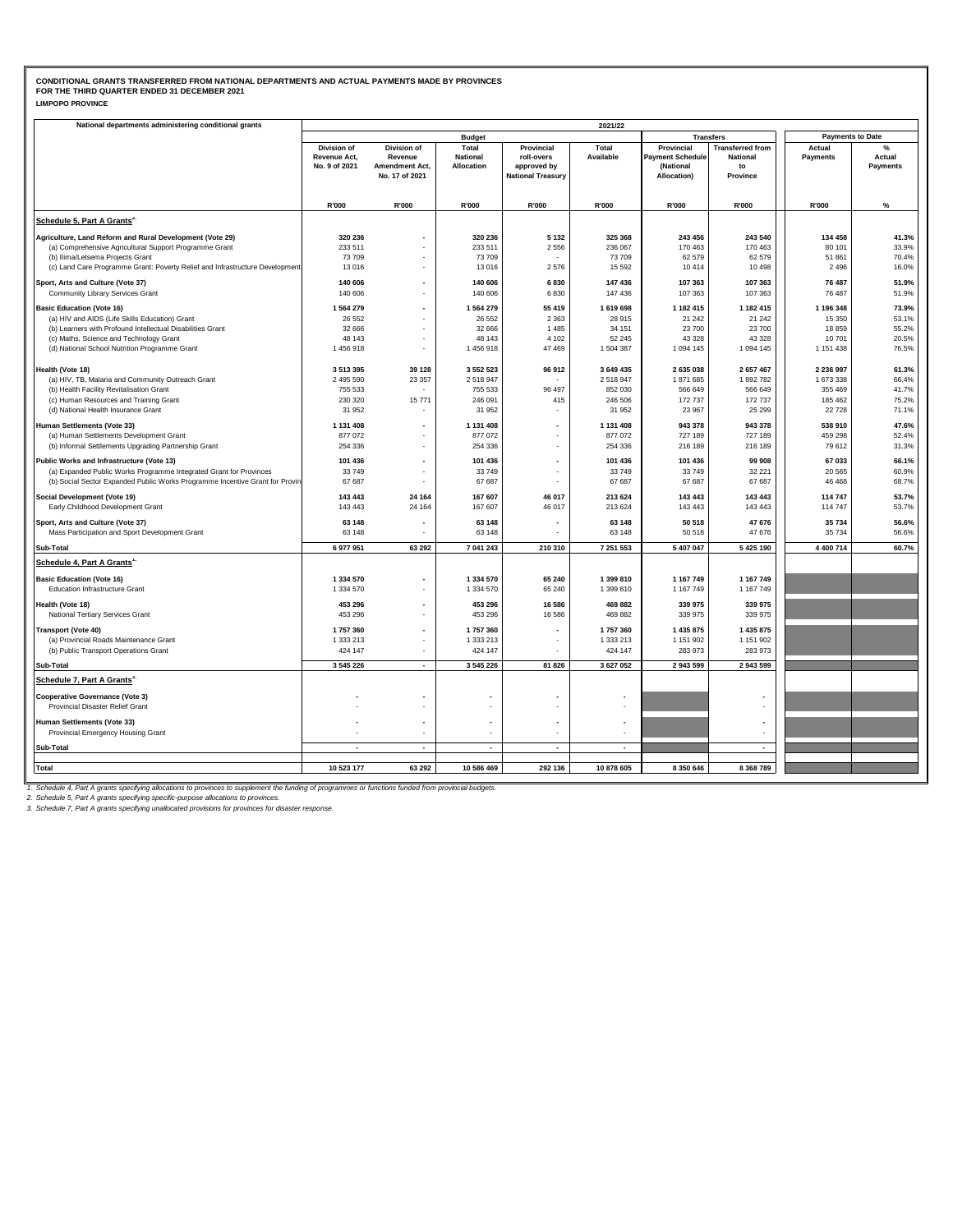| National departments administering conditional grants                                                                                              | 2021/22                       |                           |                               |                           |                    |                                      |                         |                         |                    |  |  |  |
|----------------------------------------------------------------------------------------------------------------------------------------------------|-------------------------------|---------------------------|-------------------------------|---------------------------|--------------------|--------------------------------------|-------------------------|-------------------------|--------------------|--|--|--|
|                                                                                                                                                    |                               |                           | <b>Budget</b>                 |                           |                    |                                      | <b>Transfers</b>        | <b>Payments to Date</b> |                    |  |  |  |
|                                                                                                                                                    | <b>Division of</b>            | Division of               | Total                         | Provincial                | Total              | Provincial                           | <b>Transferred from</b> | Actual                  | %                  |  |  |  |
|                                                                                                                                                    | Revenue Act,<br>No. 9 of 2021 | Revenue<br>Amendment Act, | <b>National</b><br>Allocation | roll-overs<br>approved by | Available          | <b>Payment Schedule</b><br>(National | <b>National</b><br>to   | <b>Payments</b>         | Actual<br>Payments |  |  |  |
|                                                                                                                                                    |                               | No. 17 of 2021            |                               | <b>National Treasury</b>  |                    | Allocation)                          | Province                |                         |                    |  |  |  |
|                                                                                                                                                    |                               |                           |                               |                           |                    |                                      |                         |                         |                    |  |  |  |
|                                                                                                                                                    | R'000                         | R'000                     | R'000                         | R'000                     | R'000              | R'000                                | R'000                   | R'000                   | %                  |  |  |  |
| Schedule 5, Part A Grants <sup>2.</sup>                                                                                                            |                               |                           |                               |                           |                    |                                      |                         |                         |                    |  |  |  |
|                                                                                                                                                    |                               |                           |                               |                           |                    |                                      |                         |                         |                    |  |  |  |
| Agriculture, Land Reform and Rural Development (Vote 29)                                                                                           | 320 236                       |                           | 320 236                       | 5 1 3 2                   | 325 368            | 243 456                              | 243 540                 | 134 458                 | 41.3%              |  |  |  |
| (a) Comprehensive Agricultural Support Programme Grant                                                                                             | 233 511<br>73 709             |                           | 233 511<br>73 709             | 2 5 5 6                   | 236 067<br>73709   | 170 463<br>62 579                    | 170 463<br>62 579       | 80 101<br>51 861        | 33.9%<br>70.4%     |  |  |  |
| (b) Ilima/Letsema Projects Grant<br>(c) Land Care Programme Grant: Poverty Relief and Infrastructure Development                                   | 13 0 16                       |                           | 13 016                        | 2576                      | 15 5 9 2           | 10 414                               | 10 4 98                 | 2496                    | 16.0%              |  |  |  |
|                                                                                                                                                    |                               |                           |                               |                           |                    |                                      |                         |                         |                    |  |  |  |
| Sport, Arts and Culture (Vote 37)<br>Community Library Services Grant                                                                              | 140 606<br>140 606            |                           | 140 606<br>140 606            | 6830<br>6830              | 147 436<br>147 436 | 107 363<br>107 363                   | 107 363<br>107 363      | 76 487<br>76 487        | 51.9%<br>51.9%     |  |  |  |
|                                                                                                                                                    |                               |                           |                               |                           |                    |                                      |                         |                         |                    |  |  |  |
| <b>Basic Education (Vote 16)</b>                                                                                                                   | 1564279                       |                           | 1 564 279                     | 55 419                    | 1619698            | 1 182 415<br>21 24 2                 | 1 182 415               | 1 196 348               | 73.9%              |  |  |  |
| (a) HIV and AIDS (Life Skills Education) Grant<br>(b) Learners with Profound Intellectual Disabilities Grant                                       | 26 5 5 2<br>32 666            |                           | 26 552<br>32 666              | 2 3 6 3<br>1 4 8 5        | 28 915<br>34 151   | 23 700                               | 21 24 2<br>23 700       | 15 350<br>18859         | 53.1%<br>55.2%     |  |  |  |
| (c) Maths, Science and Technology Grant                                                                                                            | 48 143                        |                           | 48 143                        | 4 102                     | 52 245             | 43 328                               | 43 328                  | 10701                   | 20.5%              |  |  |  |
| (d) National School Nutrition Programme Grant                                                                                                      | 1456918                       |                           | 1456918                       | 47 469                    | 1504387            | 1 094 145                            | 1 094 145               | 1 151 438               | 76.5%              |  |  |  |
|                                                                                                                                                    |                               |                           |                               |                           |                    |                                      |                         |                         |                    |  |  |  |
| Health (Vote 18)                                                                                                                                   | 3513395                       | 39 128                    | 3 552 523                     | 96 912                    | 3 649 435          | 2 635 038                            | 2 657 467               | 2 236 997               | 61.3%              |  |  |  |
| (a) HIV, TB, Malaria and Community Outreach Grant<br>(b) Health Facility Revitalisation Grant                                                      | 2 495 590<br>755 533          | 23 357                    | 2 518 947<br>755 533          | 96 497                    | 2518947<br>852 030 | 1871685<br>566 649                   | 1892782<br>566 649      | 1 673 338<br>355 469    | 66.4%<br>41.7%     |  |  |  |
| (c) Human Resources and Training Grant                                                                                                             | 230 320                       | 15 771                    | 246 091                       | 415                       | 246 506            | 172 737                              | 172 737                 | 185 462                 | 75.2%              |  |  |  |
| (d) National Health Insurance Grant                                                                                                                | 31 952                        |                           | 31 952                        |                           | 31 952             | 23 967                               | 25 29 9                 | 22728                   | 71.1%              |  |  |  |
| <b>Human Settlements (Vote 33)</b>                                                                                                                 | 1 131 408                     |                           | 1 131 408                     |                           | 1 131 408          | 943 378                              | 943 378                 | 538 910                 | 47.6%              |  |  |  |
| (a) Human Settlements Development Grant                                                                                                            | 877 072                       |                           | 877 072                       | $\sim$                    | 877 072            | 727 189                              | 727 189                 | 459 298                 | 52.4%              |  |  |  |
| (b) Informal Settlements Upgrading Partnership Grant                                                                                               | 254 336                       |                           | 254 336                       |                           | 254 336            | 216 189                              | 216 189                 | 79 612                  | 31.3%              |  |  |  |
| Public Works and Infrastructure (Vote 13)                                                                                                          | 101 436                       |                           | 101 436                       |                           | 101 436            | 101 436                              | 99 908                  | 67 033                  | 66.1%              |  |  |  |
| (a) Expanded Public Works Programme Integrated Grant for Provinces                                                                                 | 33749                         |                           | 33 749                        |                           | 33749              | 33 749                               | 32 221                  | 20 5 65                 | 60.9%              |  |  |  |
| (b) Social Sector Expanded Public Works Programme Incentive Grant for Provin                                                                       | 67 687                        |                           | 67 687                        |                           | 67 687             | 67 687                               | 67 687                  | 46 4 68                 | 68.7%              |  |  |  |
| Social Development (Vote 19)                                                                                                                       | 143 443                       | 24 164                    | 167 607                       | 46 017                    | 213 624            | 143 443                              | 143 443                 | 114 747                 | 53.7%              |  |  |  |
| Early Childhood Development Grant                                                                                                                  | 143 443                       | 24 164                    | 167 607                       | 46 017                    | 213 624            | 143 443                              | 143 443                 | 114 747                 | 53.7%              |  |  |  |
| Sport, Arts and Culture (Vote 37)                                                                                                                  | 63 148                        |                           | 63 148                        |                           | 63 148             | 50 518                               | 47 676                  | 35 734                  | 56.6%              |  |  |  |
| Mass Participation and Sport Development Grant                                                                                                     | 63 148                        |                           | 63 148                        |                           | 63 148             | 50 518                               | 47 676                  | 35 7 34                 | 56.6%              |  |  |  |
| Sub-Total                                                                                                                                          | 6 977 951                     | 63 292                    | 7 041 243                     | 210 310                   | 7 251 553          | 5 407 047                            | 5 425 190               | 4 400 714               | 60.7%              |  |  |  |
| Schedule 4, Part A Grants <sup>1</sup>                                                                                                             |                               |                           |                               |                           |                    |                                      |                         |                         |                    |  |  |  |
| <b>Basic Education (Vote 16)</b>                                                                                                                   | 1 334 570                     |                           | 1 334 570                     | 65 240                    | 1399810            | 1 167 749                            | 1 167 749               |                         |                    |  |  |  |
| Education Infrastructure Grant                                                                                                                     | 1 334 570                     |                           | 1 334 570                     | 65 240                    | 1 399 810          | 1 167 749                            | 1 167 749               |                         |                    |  |  |  |
| Health (Vote 18)                                                                                                                                   | 453 296                       |                           | 453 296                       | 16 586                    | 469 882            | 339 975                              | 339 975                 |                         |                    |  |  |  |
| National Tertiary Services Grant                                                                                                                   | 453 296                       |                           | 453 296                       | 16 586                    | 469 882            | 339 975                              | 339 975                 |                         |                    |  |  |  |
| <b>Transport (Vote 40)</b>                                                                                                                         | 1757360                       |                           | 1757360                       |                           | 1757360            | 1 435 875                            | 1 435 875               |                         |                    |  |  |  |
| (a) Provincial Roads Maintenance Grant                                                                                                             | 1 333 213                     |                           | 1 333 213                     |                           | 1 333 213          | 1 151 902                            | 1 151 902               |                         |                    |  |  |  |
| (b) Public Transport Operations Grant                                                                                                              | 424 147                       |                           | 424 147                       |                           | 424 147            | 283 973                              | 283 973                 |                         |                    |  |  |  |
| Sub-Total                                                                                                                                          | 3 545 226                     | $\blacksquare$            | 3 545 226                     | 81 826                    | 3 627 052          | 2 943 599                            | 2 943 599               |                         |                    |  |  |  |
| Schedule 7, Part A Grants <sup>3</sup>                                                                                                             |                               |                           |                               |                           |                    |                                      |                         |                         |                    |  |  |  |
| Cooperative Governance (Vote 3)                                                                                                                    |                               |                           |                               |                           |                    |                                      |                         |                         |                    |  |  |  |
| Provincial Disaster Relief Grant                                                                                                                   |                               |                           |                               |                           |                    |                                      |                         |                         |                    |  |  |  |
| <b>Human Settlements (Vote 33)</b>                                                                                                                 |                               |                           | ٠                             |                           | $\overline{a}$     |                                      |                         |                         |                    |  |  |  |
| Provincial Emergency Housing Grant                                                                                                                 |                               |                           |                               |                           |                    |                                      |                         |                         |                    |  |  |  |
| Sub-Total                                                                                                                                          | ÷,                            | $\overline{\phantom{a}}$  | $\overline{a}$                | $\sim$                    | $\overline{a}$     |                                      | ÷                       |                         |                    |  |  |  |
| <b>Total</b>                                                                                                                                       | 10 523 177                    | 63 292                    | 10 586 469                    | 292 136                   | 10 878 605         | 8 350 646                            | 8 368 789               |                         |                    |  |  |  |
|                                                                                                                                                    |                               |                           |                               |                           |                    |                                      |                         |                         |                    |  |  |  |
| Schedule 4. Part A grants specifying allocations to provinces to supplement the funding of programmes or functions funded from provincial budgets. |                               |                           |                               |                           |                    |                                      |                         |                         |                    |  |  |  |

1. Schedule 4, Part A grants specifying allocations to provinces to supplement the funding of programmes or functions funded from provincial budgets.<br>2. Schedule 5, Part A grants specifying specific-purpose allocations to

 $\mathbb{I}$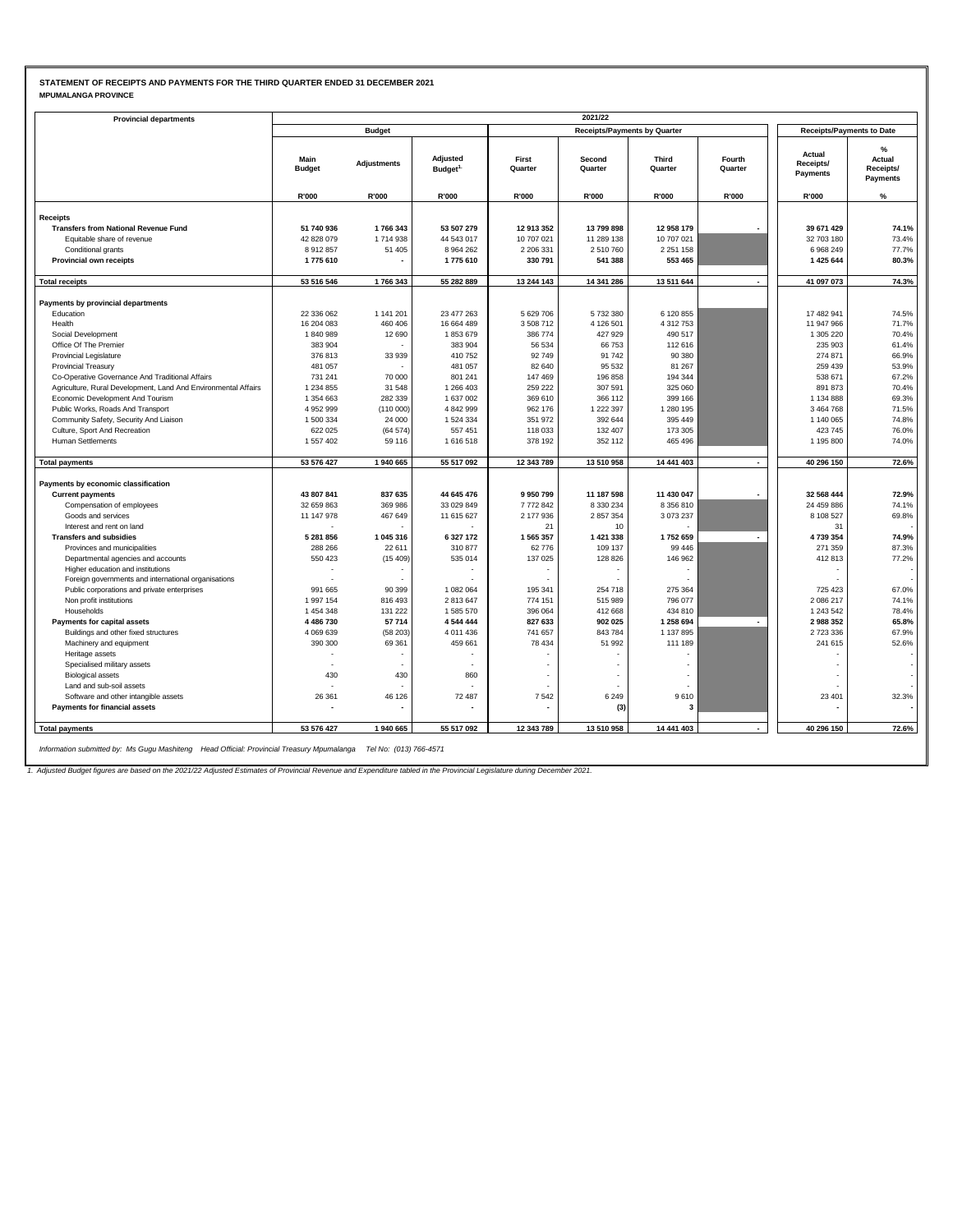### **STATEMENT OF RECEIPTS AND PAYMENTS FOR THE THIRD QUARTER ENDED 31 DECEMBER 2021 MPUMALANGA PROVINCE**

| MPUMALANGA PROVINCE |
|---------------------|
|---------------------|

| <b>Provincial departments</b>                                  |                          |                    |                                  |                      | 2021/22                             |                            |                   |                                  |                                      |
|----------------------------------------------------------------|--------------------------|--------------------|----------------------------------|----------------------|-------------------------------------|----------------------------|-------------------|----------------------------------|--------------------------------------|
|                                                                |                          | <b>Budget</b>      |                                  |                      | <b>Receipts/Payments by Quarter</b> |                            |                   | <b>Receipts/Payments to Date</b> |                                      |
|                                                                | Main<br><b>Budget</b>    | <b>Adjustments</b> | Adjusted<br>Budget <sup>1.</sup> | First<br>Quarter     | Second<br>Quarter                   | Third<br>Quarter           | Fourth<br>Quarter | Actual<br>Receipts/<br>Payments  | %<br>Actual<br>Receipts/<br>Payments |
|                                                                | R'000                    | R'000              | R'000                            | R'000                | R'000                               | R'000                      | R'000             | R'000                            | %                                    |
|                                                                |                          |                    |                                  |                      |                                     |                            |                   |                                  |                                      |
| <b>Receipts</b><br><b>Transfers from National Revenue Fund</b> | 51 740 936               | 1766343            | 53 507 279                       | 12 913 352           | 13 799 898                          | 12 958 179                 |                   | 39 671 429                       | 74.1%                                |
| Equitable share of revenue                                     | 42 828 079               | 1714938            | 44 543 017                       | 10 707 021           | 11 289 138                          | 10 707 021                 |                   | 32 703 180                       | 73.4%                                |
| Conditional grants                                             | 8912857                  | 51 405             | 8 9 6 4 2 6 2                    | 2 206 331            | 2510760                             | 2 2 5 1 1 5 8              |                   | 6968249                          | 77.7%                                |
| <b>Provincial own receipts</b>                                 | 1775610                  |                    | 1775610                          | 330 791              | 541 388                             | 553 465                    |                   | 1 425 644                        | 80.3%                                |
|                                                                |                          |                    |                                  |                      |                                     |                            |                   |                                  |                                      |
| <b>Total receipts</b>                                          | 53 516 546               | 1766343            | 55 282 889                       | 13 244 143           | 14 341 286                          | 13 511 644                 |                   | 41 097 073                       | 74.3%                                |
| Payments by provincial departments                             |                          |                    |                                  |                      |                                     |                            |                   |                                  |                                      |
| Education                                                      | 22 336 062               | 1 141 201          | 23 477 263                       | 5 629 706            | 5732380                             | 6 120 855                  |                   | 17 482 941                       | 74.5%                                |
| Health                                                         | 16 204 083               | 460 406            | 16 664 489                       | 3 508 712            | 4 126 501                           | 4 312 753                  |                   | 11 947 966                       | 71.7%                                |
| Social Development                                             | 1840989                  | 12 690             | 1853679                          | 386 774              | 427 929                             | 490 517                    |                   | 1 305 220                        | 70.4%                                |
| Office Of The Premier                                          | 383 904                  |                    | 383 904                          | 56 534               | 66 753                              | 112 616                    |                   | 235 903                          | 61.4%                                |
| Provincial Legislature                                         | 376813                   | 33 939             | 410752                           | 92749                | 91 742                              | 90 380                     |                   | 274 871                          | 66.9%                                |
| <b>Provincial Treasury</b>                                     | 481 057                  |                    | 481 057                          | 82 640               | 95 532                              | 81 267                     |                   | 259 439                          | 53.9%                                |
| Co-Operative Governance And Traditional Affairs                | 731 241                  | 70 000             | 801 241                          | 147 469              | 196 858                             | 194 344                    |                   | 538 671                          | 67.2%                                |
| Agriculture, Rural Development, Land And Environmental Affairs | 1 234 855                | 31 548             | 1 266 403                        | 259 222              | 307 591                             | 325 060                    |                   | 891 873                          | 70.4%                                |
| Economic Development And Tourism                               | 1 354 663                | 282 339            | 1 637 002                        | 369 610              | 366 112                             | 399 166                    |                   | 1 134 888                        | 69.3%                                |
| Public Works, Roads And Transport                              | 4 952 999                | (110000)           | 4 842 999                        | 962 176              | 1 222 397                           | 1 280 195                  |                   | 3 4 6 4 7 6 8                    | 71.5%                                |
| Community Safety, Security And Liaison                         | 1500334                  | 24 000             | 1 524 334                        | 351 972              | 392 644                             | 395 449                    |                   | 1 140 065                        | 74.8%                                |
| Culture, Sport And Recreation                                  | 622 025                  | (64574)            | 557 451                          | 118 033              | 132 407                             | 173 305                    |                   | 423 745                          | 76.0%                                |
| <b>Human Settlements</b>                                       | 1 557 402                | 59 116             | 1616518                          | 378 192              | 352 112                             | 465 496                    |                   | 1 195 800                        | 74.0%                                |
| <b>Total payments</b>                                          | 53 576 427               | 1940 665           | 55 517 092                       | 12 343 789           | 13 510 958                          | 14 441 403                 |                   | 40 296 150                       | 72.6%                                |
|                                                                |                          |                    |                                  |                      |                                     |                            |                   |                                  |                                      |
| Payments by economic classification                            |                          | 837 635            |                                  | 9950799              |                                     | 11 430 047                 |                   | 32 568 444                       | 72.9%                                |
| <b>Current payments</b>                                        | 43 807 841               |                    | 44 645 476                       |                      | 11 187 598                          |                            |                   |                                  |                                      |
| Compensation of employees                                      | 32 659 863<br>11 147 978 | 369 986            | 33 029 849                       | 7772842<br>2 177 936 | 8 330 234<br>2 857 354              | 8 3 5 6 8 1 0<br>3 073 237 |                   | 24 459 886<br>8 108 527          | 74.1%<br>69.8%                       |
| Goods and services<br>Interest and rent on land                |                          | 467 649            | 11 615 627                       | 21                   | 10                                  |                            |                   | 31                               |                                      |
| <b>Transfers and subsidies</b>                                 | 5 281 856                | 1 045 316          | 6 327 172                        | 1565357              | 1 421 338                           | 1752 659                   |                   | 4739354                          | 74.9%                                |
| Provinces and municipalities                                   | 288 266                  | 22 611             | 310877                           | 62776                | 109 137                             | 99 446                     |                   | 271 359                          | 87.3%                                |
| Departmental agencies and accounts                             | 550 423                  | (15409)            | 535 014                          | 137 025              | 128 826                             | 146 962                    |                   | 412813                           | 77.2%                                |
| Higher education and institutions                              |                          |                    |                                  |                      |                                     |                            |                   |                                  |                                      |
| Foreign governments and international organisations            | $\overline{a}$           |                    |                                  |                      |                                     |                            |                   |                                  |                                      |
| Public corporations and private enterprises                    | 991 665                  | 90 399             | 1 082 064                        | 195 341              | 254 718                             | 275 364                    |                   | 725 423                          | 67.0%                                |
| Non profit institutions                                        | 1997154                  | 816 493            | 2813647                          | 774 151              | 515 989                             | 796 077                    |                   | 2086217                          | 74.1%                                |
| Households                                                     | 1 454 348                | 131 222            | 1585570                          | 396 064              | 412 668                             | 434 810                    |                   | 1 243 542                        | 78.4%                                |
| Payments for capital assets                                    | 4 486 730                | 57714              | 4 544 444                        | 827 633              | 902 025                             | 1 258 694                  | $\blacksquare$    | 2988352                          | 65.8%                                |
| Buildings and other fixed structures                           | 4 0 69 6 39              | (58203)            | 4 011 436                        | 741 657              | 843 784                             | 1 137 895                  |                   | 2 723 336                        | 67.9%                                |
| Machinery and equipment                                        | 390 300                  | 69 361             | 459 661                          | 78 434               | 51 992                              | 111 189                    |                   | 241 615                          | 52.6%                                |
| Heritage assets                                                |                          |                    |                                  |                      |                                     |                            |                   |                                  |                                      |
| Specialised military assets                                    |                          |                    |                                  |                      |                                     |                            |                   |                                  |                                      |
| <b>Biological assets</b>                                       | 430                      | 430                | 860                              |                      | $\overline{a}$                      |                            |                   |                                  |                                      |
| Land and sub-soil assets                                       |                          |                    |                                  |                      |                                     |                            |                   |                                  |                                      |
| Software and other intangible assets                           | 26 361                   | 46 126             | 72 487                           | 7542                 | 6 2 4 9                             | 9610                       |                   | 23 401                           | 32.3%                                |
| Payments for financial assets                                  |                          |                    |                                  |                      | (3)                                 | $\mathbf{a}$               |                   |                                  |                                      |
| <b>Total payments</b>                                          | 53 576 427               | 1940 665           | 55 517 092                       | 12 343 789           | 13 510 958                          | 14 441 403                 |                   | 40 296 150                       | 72.6%                                |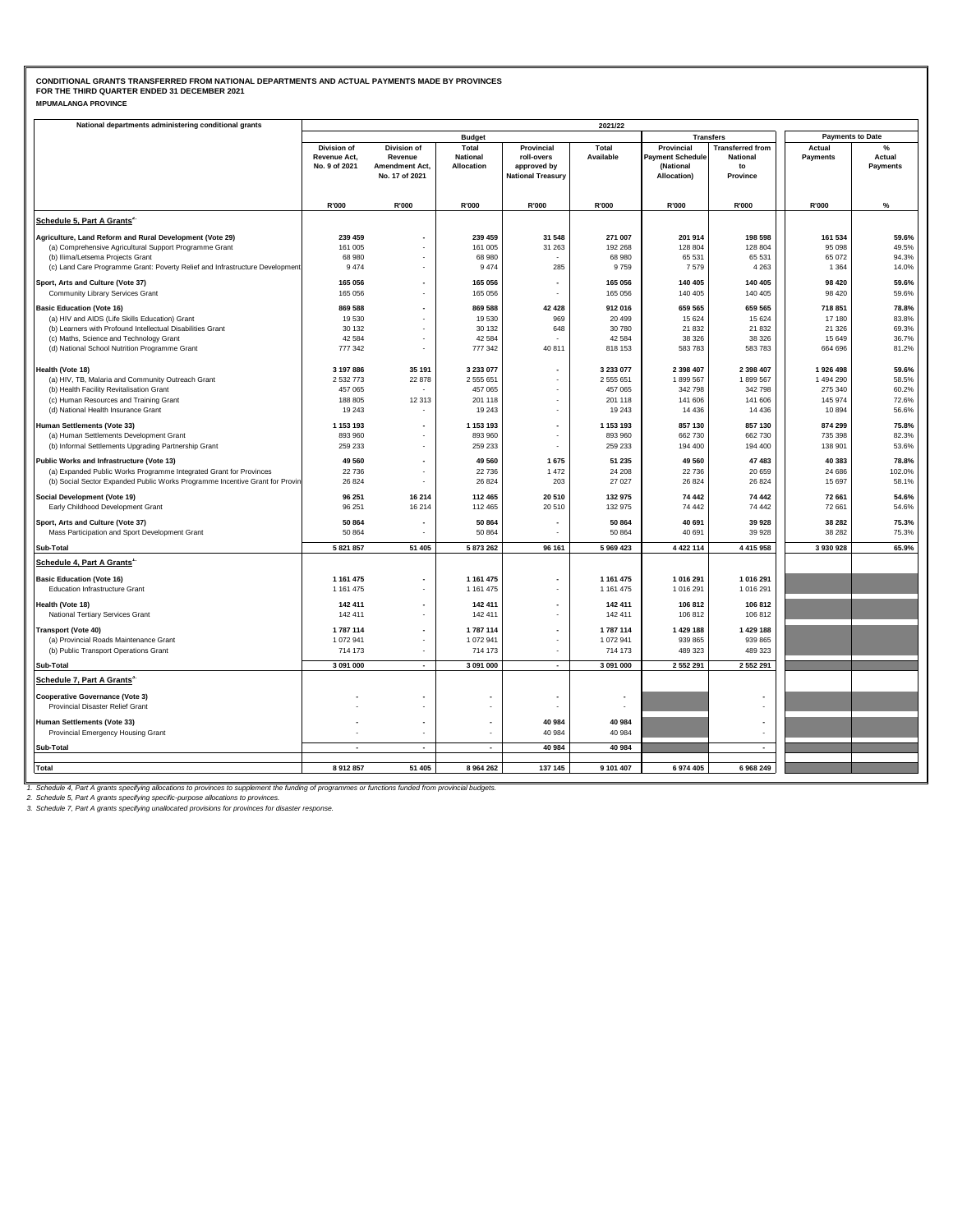| <b>MPUMALANGA PROVINCE</b> |  |
|----------------------------|--|
|----------------------------|--|

| National departments administering conditional grants                                                                                              | 2021/22                       |                           |                               |                                                      |                |                                      |                          |                         |                    |  |  |  |
|----------------------------------------------------------------------------------------------------------------------------------------------------|-------------------------------|---------------------------|-------------------------------|------------------------------------------------------|----------------|--------------------------------------|--------------------------|-------------------------|--------------------|--|--|--|
|                                                                                                                                                    |                               |                           | <b>Budget</b>                 |                                                      |                | <b>Transfers</b>                     |                          | <b>Payments to Date</b> |                    |  |  |  |
|                                                                                                                                                    | <b>Division of</b>            | Division of               | Total                         | Provincial                                           | Total          | Provincial                           | <b>Transferred from</b>  | Actual                  | $\%$               |  |  |  |
|                                                                                                                                                    | Revenue Act.<br>No. 9 of 2021 | Revenue<br>Amendment Act, | <b>National</b><br>Allocation | roll-overs<br>approved by                            | Available      | <b>Payment Schedule</b><br>(National | <b>National</b><br>to    | Payments                | Actual<br>Payments |  |  |  |
|                                                                                                                                                    |                               | No. 17 of 2021            |                               | <b>National Treasury</b>                             |                | Allocation)                          | Province                 |                         |                    |  |  |  |
|                                                                                                                                                    |                               |                           |                               |                                                      |                |                                      |                          |                         |                    |  |  |  |
|                                                                                                                                                    | R'000                         | R'000                     | R'000                         | R'000                                                | R'000          | R'000                                | R'000                    | R'000                   | %                  |  |  |  |
| Schedule 5, Part A Grants <sup>2</sup>                                                                                                             |                               |                           |                               |                                                      |                |                                      |                          |                         |                    |  |  |  |
|                                                                                                                                                    |                               |                           |                               |                                                      |                |                                      |                          |                         |                    |  |  |  |
| Agriculture, Land Reform and Rural Development (Vote 29)                                                                                           | 239 459                       |                           | 239 459                       | 31 548                                               | 271 007        | 201 914                              | 198 598                  | 161 534                 | 59.6%              |  |  |  |
| (a) Comprehensive Agricultural Support Programme Grant                                                                                             | 161 005                       |                           | 161 005                       | 31 263                                               | 192 268        | 128 804                              | 128 804                  | 95 098                  | 49.5%              |  |  |  |
| (b) Ilima/Letsema Projects Grant<br>(c) Land Care Programme Grant: Poverty Relief and Infrastructure Development                                   | 68 980<br>9474                |                           | 68 980<br>9 4 7 4             | 285                                                  | 68 980<br>9759 | 65 531<br>7579                       | 65 531<br>4 2 6 3        | 65 072<br>1 3 6 4       | 94.3%<br>14.0%     |  |  |  |
|                                                                                                                                                    |                               |                           |                               |                                                      |                |                                      |                          |                         |                    |  |  |  |
| Sport, Arts and Culture (Vote 37)                                                                                                                  | 165 056                       |                           | 165 056                       | $\overline{\phantom{a}}$                             | 165 056        | 140 405                              | 140 405                  | 98 4 20                 | 59.6%              |  |  |  |
| Community Library Services Grant                                                                                                                   | 165 056                       |                           | 165 056                       | $\overline{a}$                                       | 165 056        | 140 405                              | 140 405                  | 98 4 20                 | 59.6%              |  |  |  |
| <b>Basic Education (Vote 16)</b>                                                                                                                   | 869 588                       | $\blacksquare$            | 869 588                       | 42 4 28                                              | 912016         | 659 565                              | 659 565                  | 718 851                 | 78.8%              |  |  |  |
| (a) HIV and AIDS (Life Skills Education) Grant                                                                                                     | 19 5 30                       |                           | 19 530                        | 969                                                  | 20 499         | 15 6 24                              | 15 6 24                  | 17 180                  | 83.8%              |  |  |  |
| (b) Learners with Profound Intellectual Disabilities Grant                                                                                         | 30 132                        | $\overline{\phantom{a}}$  | 30 132                        | 648                                                  | 30 780         | 21 832                               | 21 832                   | 21 3 26                 | 69.3%              |  |  |  |
| (c) Maths, Science and Technology Grant                                                                                                            | 42 5 8 4                      |                           | 42 584                        |                                                      | 42 584         | 38 326                               | 38 326                   | 15 649                  | 36.7%              |  |  |  |
| (d) National School Nutrition Programme Grant                                                                                                      | 777 342                       | $\bar{a}$                 | 777 342                       | 40 811                                               | 818 153        | 583 783                              | 583 783                  | 664 696                 | 81.2%              |  |  |  |
| Health (Vote 18)                                                                                                                                   | 3 197 886                     | 35 191                    | 3 233 077                     | ٠                                                    | 3 233 077      | 2 398 407                            | 2 398 407                | 1926 498                | 59.6%              |  |  |  |
| (a) HIV, TB, Malaria and Community Outreach Grant                                                                                                  | 2 532 773                     | 22 878                    | 2 555 651                     | ٠                                                    | 2 555 651      | 1899 567                             | 1899 567                 | 1 494 290               | 58.5%              |  |  |  |
| (b) Health Facility Revitalisation Grant                                                                                                           | 457 065                       |                           | 457 065                       |                                                      | 457 065        | 342 798                              | 342 798                  | 275 340                 | 60.2%              |  |  |  |
| (c) Human Resources and Training Grant                                                                                                             | 188 805                       | 12 313                    | 201 118                       | $\blacksquare$                                       | 201 118        | 141 606                              | 141 606                  | 145 974                 | 72.6%              |  |  |  |
| (d) National Health Insurance Grant                                                                                                                | 19 24 3                       |                           | 19 24 3                       |                                                      | 19 24 3        | 14 4 36                              | 14 4 36                  | 10894                   | 56.6%              |  |  |  |
| Human Settlements (Vote 33)                                                                                                                        | 1 153 193                     | $\overline{\phantom{a}}$  | 1 153 193                     | $\overline{\phantom{a}}$                             | 1 153 193      | 857 130                              | 857 130                  | 874 299                 | 75.8%              |  |  |  |
| (a) Human Settlements Development Grant                                                                                                            | 893 960                       |                           | 893 960                       | $\mathbf{r}$                                         | 893 960        | 662 730                              | 662 730                  | 735 398                 | 82.3%              |  |  |  |
| (b) Informal Settlements Upgrading Partnership Grant                                                                                               | 259 233                       |                           | 259 233                       | $\overline{\phantom{a}}$                             | 259 233        | 194 400                              | 194 400                  | 138 901                 | 53.6%              |  |  |  |
| Public Works and Infrastructure (Vote 13)                                                                                                          | 49 5 60                       | $\overline{\phantom{a}}$  | 49 560                        | 1675                                                 | 51 235         | 49 560                               | 47 483                   | 40 383                  | 78.8%              |  |  |  |
| (a) Expanded Public Works Programme Integrated Grant for Provinces                                                                                 | 22736                         | $\overline{\phantom{a}}$  | 22 736                        | 1 4 7 2                                              | 24 208         | 22 736                               | 20 659                   | 24 68 6                 | 102.0%             |  |  |  |
| (b) Social Sector Expanded Public Works Programme Incentive Grant for Provin                                                                       | 26 8 24                       | $\ddot{\phantom{1}}$      | 26 8 24                       | 203                                                  | 27 0 27        | 26 8 24                              | 26 824                   | 15 697                  | 58.1%              |  |  |  |
| Social Development (Vote 19)                                                                                                                       | 96 251                        | 16 214                    | 112 465                       | 20 510                                               | 132 975        | 74 442                               | 74 442                   | 72 661                  | 54.6%              |  |  |  |
| Early Childhood Development Grant                                                                                                                  | 96 251                        | 16 214                    | 112 465                       | 20 510                                               | 132 975        | 74 442                               | 74 442                   | 72 661                  | 54.6%              |  |  |  |
| Sport, Arts and Culture (Vote 37)                                                                                                                  | 50 864                        |                           | 50 864                        |                                                      | 50 864         | 40 691                               | 39 928                   | 38 28 2                 | 75.3%              |  |  |  |
| Mass Participation and Sport Development Grant                                                                                                     | 50 864                        | $\overline{\phantom{a}}$  | 50 864                        |                                                      | 50 864         | 40 691                               | 39 928                   | 38 28 2                 | 75.3%              |  |  |  |
| Sub-Total                                                                                                                                          | 5 821 857                     | 51 405                    | 5 873 262                     | 96 161                                               | 5 969 423      | 4 4 2 11 4                           | 4 4 1 5 9 5 8            | 3 930 928               | 65.9%              |  |  |  |
| Schedule 4, Part A Grants <sup>1</sup>                                                                                                             |                               |                           |                               |                                                      |                |                                      |                          |                         |                    |  |  |  |
|                                                                                                                                                    |                               |                           |                               |                                                      |                |                                      |                          |                         |                    |  |  |  |
| <b>Basic Education (Vote 16)</b>                                                                                                                   | 1 161 475                     |                           | 1 161 475                     | $\overline{\phantom{a}}$<br>$\overline{\phantom{a}}$ | 1 161 475      | 1 016 291                            | 1 016 291                |                         |                    |  |  |  |
| <b>Education Infrastructure Grant</b>                                                                                                              | 1 161 475                     |                           | 1 161 475                     |                                                      | 1 161 475      | 1 016 291                            | 1 016 291                |                         |                    |  |  |  |
| Health (Vote 18)                                                                                                                                   | 142 411                       |                           | 142 411                       |                                                      | 142 411        | 106 812                              | 106 812                  |                         |                    |  |  |  |
| National Tertiary Services Grant                                                                                                                   | 142 411                       |                           | 142 411                       | $\blacksquare$                                       | 142 411        | 106 812                              | 106 812                  |                         |                    |  |  |  |
| <b>Transport (Vote 40)</b>                                                                                                                         | 1787114                       |                           | 1 787 114                     | $\blacksquare$                                       | 1787114        | 1 429 188                            | 1 429 188                |                         |                    |  |  |  |
| (a) Provincial Roads Maintenance Grant                                                                                                             | 1 072 941                     | $\sim$                    | 1 072 941                     | $\blacksquare$                                       | 1 072 941      | 939 865                              | 939 865                  |                         |                    |  |  |  |
| (b) Public Transport Operations Grant                                                                                                              | 714 173                       | $\overline{\phantom{a}}$  | 714 173                       | $\mathbb{Z}^+$                                       | 714 173        | 489 323                              | 489 323                  |                         |                    |  |  |  |
| Sub-Total                                                                                                                                          | 3 091 000                     | $\blacksquare$            | 3 091 000                     | $\overline{\phantom{a}}$                             | 3 091 000      | 2 552 291                            | 2 552 291                |                         |                    |  |  |  |
| Schedule 7, Part A Grants <sup>3.</sup>                                                                                                            |                               |                           |                               |                                                      |                |                                      |                          |                         |                    |  |  |  |
| <b>Cooperative Governance (Vote 3)</b>                                                                                                             |                               |                           |                               |                                                      |                |                                      |                          |                         |                    |  |  |  |
| Provincial Disaster Relief Grant                                                                                                                   |                               |                           |                               |                                                      |                |                                      |                          |                         |                    |  |  |  |
| Human Settlements (Vote 33)                                                                                                                        |                               | $\overline{\phantom{a}}$  |                               | 40 984                                               | 40 984         |                                      |                          |                         |                    |  |  |  |
| Provincial Emergency Housing Grant                                                                                                                 |                               |                           |                               | 40 984                                               | 40 984         |                                      |                          |                         |                    |  |  |  |
| Sub-Total                                                                                                                                          |                               | $\blacksquare$            |                               | 40 984                                               | 40 984         |                                      | $\overline{\phantom{a}}$ |                         |                    |  |  |  |
|                                                                                                                                                    |                               |                           |                               |                                                      |                |                                      |                          |                         |                    |  |  |  |
| <b>Total</b>                                                                                                                                       | 8912857                       | 51 405                    | 8 9 64 2 62                   | 137 145                                              | 9 101 407      | 6 974 405                            | 6 968 249                |                         |                    |  |  |  |
| Schoolule 4. Pert A greate enecifiung ellecations to provinces to supplement the funding of programmes or functions funded from provincial budgets |                               |                           |                               |                                                      |                |                                      |                          |                         |                    |  |  |  |

1. Schedule 4, Part A grants specifying allocations to provinces to supplement the funding of programmes or functions funded from provincial budgets.<br>2. Schedule 5, Part A grants specifying specific-purpose allocations to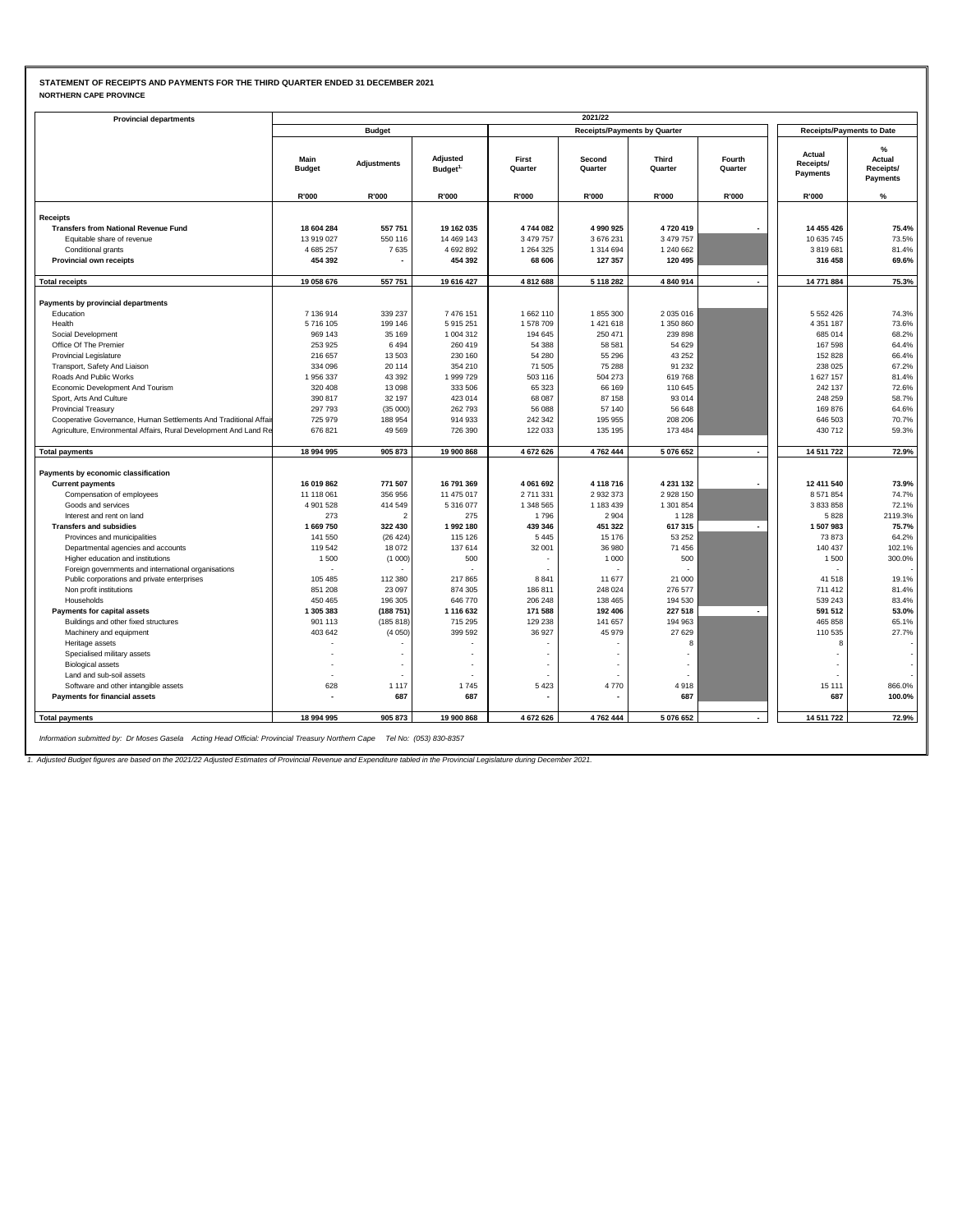### **STATEMENT OF RECEIPTS AND PAYMENTS FOR THE THIRD QUARTER ENDED 31 DECEMBER 2021 NORTHERN CAPE PROVINCE**

| <b>NORTHERN CAPE PROVINCE</b> |  |
|-------------------------------|--|
|-------------------------------|--|

| <b>Provincial departments</b>                                          |                       |                          |                                  |                  | 2021/22                             |                         |                          |                                  |                                                |
|------------------------------------------------------------------------|-----------------------|--------------------------|----------------------------------|------------------|-------------------------------------|-------------------------|--------------------------|----------------------------------|------------------------------------------------|
|                                                                        |                       | <b>Budget</b>            |                                  |                  | <b>Receipts/Payments by Quarter</b> |                         |                          | <b>Receipts/Payments to Date</b> |                                                |
|                                                                        | Main<br><b>Budget</b> | <b>Adjustments</b>       | Adjusted<br>Budget <sup>1.</sup> | First<br>Quarter | Second<br>Quarter                   | <b>Third</b><br>Quarter | Fourth<br>Quarter        | Actual<br>Receipts/<br>Payments  | $\%$<br>Actual<br>Receipts/<br><b>Payments</b> |
|                                                                        | R'000                 | R'000                    | R'000                            | R'000            | R'000                               | R'000                   | R'000                    | R'000                            | $\%$                                           |
|                                                                        |                       |                          |                                  |                  |                                     |                         |                          |                                  |                                                |
| <b>Receipts</b><br><b>Transfers from National Revenue Fund</b>         | 18 604 284            | 557 751                  | 19 162 035                       | 4744082          | 4 990 925                           | 4720419                 |                          | 14 455 426                       | 75.4%                                          |
| Equitable share of revenue                                             | 13 919 027            | 550 116                  | 14 469 143                       | 3 479 757        | 3 676 231                           | 3 479 757               |                          | 10 635 745                       | 73.5%                                          |
| Conditional grants                                                     | 4685257               | 7635                     | 4692892                          | 1 264 325        | 1 314 694                           | 1 240 662               |                          | 3819681                          | 81.4%                                          |
| Provincial own receipts                                                | 454 392               |                          | 454 392                          | 68 606           | 127 357                             | 120 495                 |                          | 316 458                          | 69.6%                                          |
|                                                                        |                       |                          |                                  |                  |                                     |                         |                          |                                  |                                                |
| <b>Total receipts</b>                                                  | 19 058 676            | 557 751                  | 19 616 427                       | 4812688          | 5 118 282                           | 4 840 914               | $\overline{\phantom{a}}$ | 14 771 884                       | 75.3%                                          |
| Payments by provincial departments                                     |                       |                          |                                  |                  |                                     |                         |                          |                                  |                                                |
| Education                                                              | 7 136 914             | 339 237                  | 7 476 151                        | 1662 110         | 1855300                             | 2 0 3 5 0 1 6           |                          | 5 5 5 2 4 2 6                    | 74.3%                                          |
| Health                                                                 | 5716105               | 199 146                  | 5915251                          | 1578709          | 1 421 618                           | 1 350 860               |                          | 4 3 5 1 1 8 7                    | 73.6%                                          |
| Social Development                                                     | 969 143               | 35 169                   | 1 004 312                        | 194 645          | 250 471                             | 239 898                 |                          | 685 014                          | 68.2%                                          |
| Office Of The Premier                                                  | 253 925               | 6494                     | 260 419                          | 54 388           | 58 581                              | 54 629                  |                          | 167 598                          | 64.4%                                          |
| Provincial Legislature                                                 | 216 657               | 13 503                   | 230 160                          | 54 280           | 55 296                              | 43 25 2                 |                          | 152 828                          | 66.4%                                          |
| Transport, Safety And Liaison                                          | 334 096               | 20 114                   | 354 210                          | 71 505           | 75 288                              | 91 232                  |                          | 238 025                          | 67.2%                                          |
| Roads And Public Works                                                 | 1956337               | 43 392                   | 1 999 729                        | 503 116          | 504 273                             | 619768                  |                          | 1627157                          | 81.4%                                          |
| Economic Development And Tourism                                       | 320 408               | 13 098                   | 333 506                          | 65 323           | 66 169                              | 110 645                 |                          | 242 137                          | 72.6%                                          |
| Sport, Arts And Culture                                                | 390 817               | 32 197                   | 423 014                          | 68 087           | 87 158                              | 93 014                  |                          | 248 259                          | 58.7%                                          |
| <b>Provincial Treasury</b>                                             | 297 793               | (35000)                  | 262793                           | 56 088           | 57 140                              | 56 648                  |                          | 169876                           | 64.6%                                          |
| Cooperative Governance, Human Settlements And Traditional Affai        | 725 979               | 188 954                  | 914 933                          | 242 342          | 195 955                             | 208 206                 |                          | 646 503                          | 70.7%                                          |
| Agriculture, Environmental Affairs, Rural Development And Land Re      | 676 821               | 49 569                   | 726 390                          | 122 033          | 135 195                             | 173 484                 |                          | 430 712                          | 59.3%                                          |
| <b>Total payments</b>                                                  | 18 994 995            | 905 873                  | 19 900 868                       | 4 672 626        | 4762444                             | 5 076 652               | $\overline{a}$           | 14 511 722                       | 72.9%                                          |
|                                                                        |                       |                          |                                  |                  |                                     |                         |                          |                                  |                                                |
| Payments by economic classification                                    |                       |                          |                                  |                  |                                     |                         |                          |                                  |                                                |
| <b>Current payments</b>                                                | 16 019 862            | 771 507                  | 16 791 369                       | 4 061 692        | 4 118 716                           | 4 231 132               |                          | 12 411 540                       | 73.9%                                          |
| Compensation of employees                                              | 11 118 061            | 356 956                  | 11 475 017                       | 2 711 331        | 2 932 373                           | 2 9 28 150              |                          | 8571854                          | 74.7%                                          |
| Goods and services                                                     | 4 901 528             | 414 549                  | 5316077                          | 1 348 565        | 1 183 439                           | 1 301 854               |                          | 3833858                          | 72.1%                                          |
| Interest and rent on land                                              | 273                   | $\overline{\phantom{0}}$ | 275                              | 1796             | 2 9 0 4                             | 1 1 2 8                 |                          | 5828                             | 2119.3%                                        |
| <b>Transfers and subsidies</b>                                         | 1669750               | 322 430                  | 1992180                          | 439 346          | 451 322                             | 617 315                 | $\blacksquare$           | 1507983                          | 75.7%                                          |
| Provinces and municipalities                                           | 141 550               | (26 424)                 | 115 126                          | 5 4 4 5          | 15 176                              | 53 252                  |                          | 73873                            | 64.2%                                          |
| Departmental agencies and accounts                                     | 119 542               | 18 072                   | 137 614                          | 32 001           | 36 980                              | 71 456                  |                          | 140 437                          | 102.1%                                         |
| Higher education and institutions                                      | 1500                  | (1000)                   | 500                              |                  | 1 000                               | 500                     |                          | 1500                             | 300.0%                                         |
| Foreign governments and international organisations                    | 105 485               | 112 380                  | 217 865                          | 8841             | 11 677                              | 21 000                  |                          | 41 518                           | 19.1%                                          |
| Public corporations and private enterprises<br>Non profit institutions | 851 208               | 23 097                   | 874 305                          | 186 811          | 248 024                             | 276 577                 |                          | 711 412                          | 81.4%                                          |
| Households                                                             | 450 465               | 196 305                  | 646 770                          | 206 248          | 138 465                             | 194 530                 |                          | 539 243                          | 83.4%                                          |
| Payments for capital assets                                            | 1 305 383             | (188751)                 | 1116632                          | 171 588          | 192 406                             | 227 518                 | $\overline{\phantom{a}}$ | 591 512                          | 53.0%                                          |
| Buildings and other fixed structures                                   | 901 113               | (185 818)                | 715 295                          | 129 238          | 141 657                             | 194 963                 |                          | 465 858                          | 65.1%                                          |
| Machinery and equipment                                                | 403 642               | (4050)                   | 399 592                          | 36 927           | 45 979                              | 27 629                  |                          | 110 535                          | 27.7%                                          |
| Heritage assets                                                        |                       |                          |                                  |                  |                                     | 8                       |                          | 8                                |                                                |
| Specialised military assets                                            |                       |                          |                                  |                  |                                     |                         |                          |                                  |                                                |
| <b>Biological assets</b>                                               |                       |                          |                                  |                  |                                     |                         |                          |                                  |                                                |
| Land and sub-soil assets                                               |                       |                          |                                  |                  |                                     |                         |                          |                                  |                                                |
| Software and other intangible assets                                   | 628                   | 1 1 1 7                  | 1745                             | 5 4 2 3          | 4770                                | 4918                    |                          | 15 11 1                          | 866.0%                                         |
| <b>Payments for financial assets</b>                                   |                       | 687                      | 687                              |                  |                                     | 687                     |                          | 687                              | 100.0%                                         |
|                                                                        | 18 994 995            | 905 873                  | 19 900 868                       | 4672626          | 4762444                             | 5 076 652               |                          | 14 511 722                       | 72.9%                                          |
| <b>Total payments</b>                                                  |                       |                          |                                  |                  |                                     |                         |                          |                                  |                                                |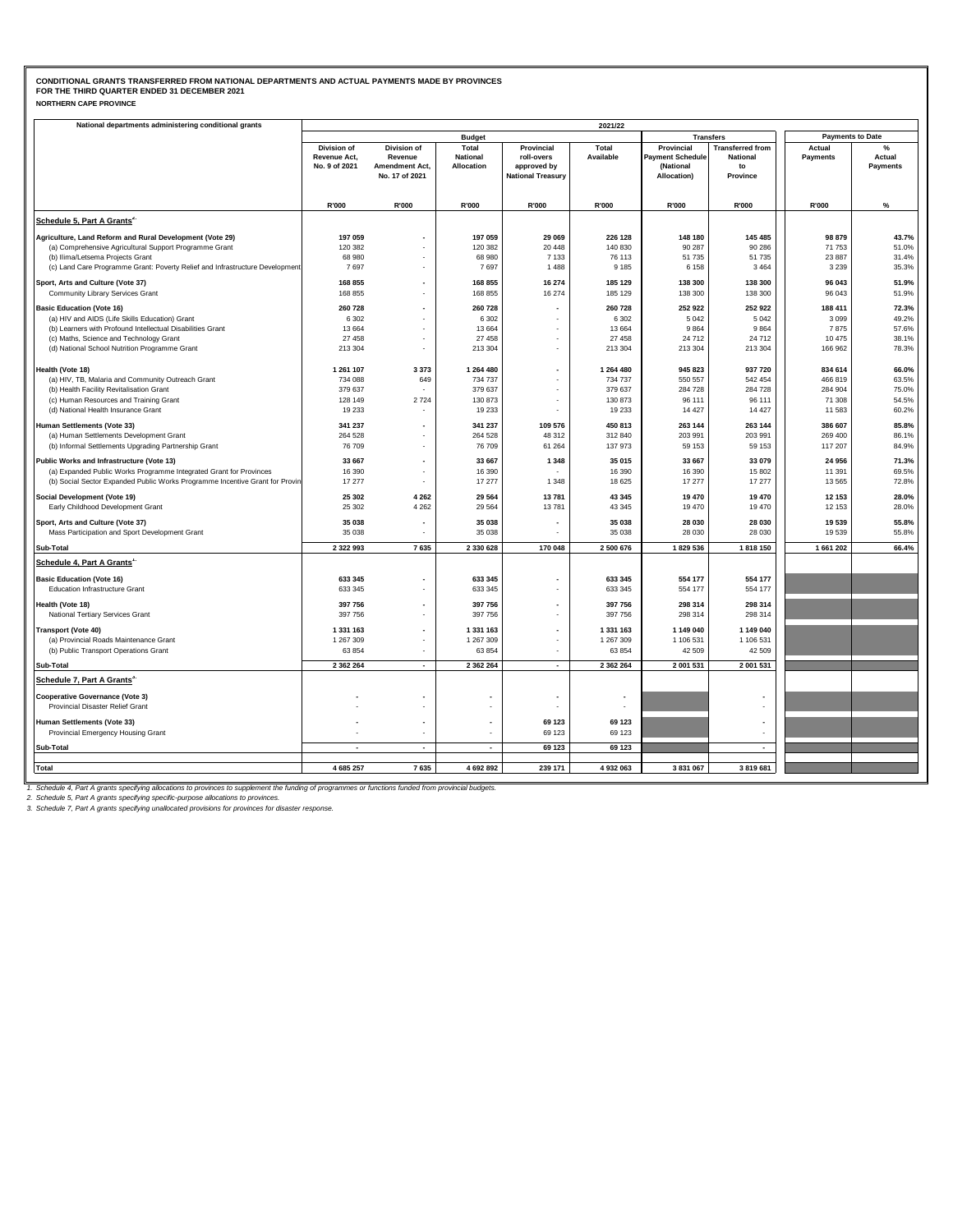|  | <b>NORTHERN CAPE PROVINCE</b> |
|--|-------------------------------|
|--|-------------------------------|

| National departments administering conditional grants                                                              | 2021/22                                      |                                                            |                                        |                                                                     |                    |                                                            |                                                              |                         |                                   |  |  |
|--------------------------------------------------------------------------------------------------------------------|----------------------------------------------|------------------------------------------------------------|----------------------------------------|---------------------------------------------------------------------|--------------------|------------------------------------------------------------|--------------------------------------------------------------|-------------------------|-----------------------------------|--|--|
|                                                                                                                    |                                              |                                                            | <b>Budget</b>                          |                                                                     |                    | <b>Transfers</b>                                           |                                                              | <b>Payments to Date</b> |                                   |  |  |
|                                                                                                                    | Division of<br>Revenue Act,<br>No. 9 of 2021 | Division of<br>Revenue<br>Amendment Act,<br>No. 17 of 2021 | Total<br><b>National</b><br>Allocation | Provincial<br>roll-overs<br>approved by<br><b>National Treasury</b> | Total<br>Available | Provincial<br>Payment Schedule<br>(National<br>Allocation) | <b>Transferred from</b><br><b>National</b><br>to<br>Province | Actual<br>Payments      | $\%$<br>Actual<br><b>Payments</b> |  |  |
|                                                                                                                    | R'000                                        | R'000                                                      | R'000                                  | R'000                                                               | R'000              | R'000                                                      | R'000                                                        | R'000                   | $\%$                              |  |  |
| Schedule 5, Part A Grants <sup>2</sup>                                                                             |                                              |                                                            |                                        |                                                                     |                    |                                                            |                                                              |                         |                                   |  |  |
|                                                                                                                    | 197 059                                      |                                                            | 197 059                                | 29 069                                                              | 226 128            | 148 180                                                    | 145 485                                                      | 98 879                  | 43.7%                             |  |  |
| Agriculture, Land Reform and Rural Development (Vote 29)<br>(a) Comprehensive Agricultural Support Programme Grant | 120 382                                      |                                                            | 120 382                                | 20 448                                                              | 140 830            | 90 287                                                     | 90 286                                                       | 71 753                  | 51.0%                             |  |  |
| (b) Ilima/Letsema Projects Grant                                                                                   | 68 980                                       |                                                            | 68 980                                 | 7 1 3 3                                                             | 76 113             | 51 735                                                     | 51 735                                                       | 23 8 87                 | 31.4%                             |  |  |
| (c) Land Care Programme Grant: Poverty Relief and Infrastructure Development                                       | 7697                                         |                                                            | 7697                                   | 1 4 8 8                                                             | 9 1 8 5            | 6 1 5 8                                                    | 3 4 6 4                                                      | 3 2 3 9                 | 35.3%                             |  |  |
| Sport, Arts and Culture (Vote 37)                                                                                  | 168 855                                      |                                                            | 168 855                                | 16 274                                                              | 185 129            | 138 300                                                    | 138 300                                                      | 96 043                  | 51.9%                             |  |  |
| Community Library Services Grant                                                                                   | 168 855                                      |                                                            | 168 855                                | 16 274                                                              | 185 129            | 138 300                                                    | 138 300                                                      | 96 043                  | 51.9%                             |  |  |
| <b>Basic Education (Vote 16)</b>                                                                                   | 260728                                       | $\overline{\phantom{a}}$                                   | 260 728                                |                                                                     | 260728             | 252 922                                                    | 252 922                                                      | 188 411                 | 72.3%                             |  |  |
| (a) HIV and AIDS (Life Skills Education) Grant                                                                     | 6 3 0 2                                      |                                                            | 6 3 0 2                                |                                                                     | 6 3 0 2            | 5 0 4 2                                                    | 5 0 4 2                                                      | 3 0 9 9                 | 49.2%                             |  |  |
| (b) Learners with Profound Intellectual Disabilities Grant                                                         | 13 6 64                                      |                                                            | 13 664                                 | ٠                                                                   | 13 6 64            | 9864                                                       | 9 8 6 4                                                      | 7875                    | 57.6%                             |  |  |
| (c) Maths, Science and Technology Grant                                                                            | 27 458                                       |                                                            | 27 458                                 |                                                                     | 27 458             | 24 712                                                     | 24 712                                                       | 10 475                  | 38.1%                             |  |  |
| (d) National School Nutrition Programme Grant                                                                      | 213 304                                      | $\bar{a}$                                                  | 213 304                                | $\blacksquare$                                                      | 213 304            | 213 304                                                    | 213 304                                                      | 166 962                 | 78.3%                             |  |  |
|                                                                                                                    |                                              |                                                            |                                        |                                                                     |                    |                                                            |                                                              |                         |                                   |  |  |
| Health (Vote 18)                                                                                                   | 1 261 107                                    | 3 3 7 3                                                    | 1 264 480                              | ÷,                                                                  | 1 264 480          | 945 823                                                    | 937 720                                                      | 834 614                 | 66.0%                             |  |  |
| (a) HIV, TB, Malaria and Community Outreach Grant<br>(b) Health Facility Revitalisation Grant                      | 734 088<br>379 637                           | 649                                                        | 734 737<br>379 637                     | ٠                                                                   | 734 737<br>379 637 | 550 557<br>284 728                                         | 542 454<br>284 728                                           | 466 819<br>284 904      | 63.5%<br>75.0%                    |  |  |
| (c) Human Resources and Training Grant                                                                             | 128 149                                      | 2 7 2 4                                                    | 130 873                                | ٠                                                                   | 130 873            | 96 111                                                     | 96 111                                                       | 71 308                  | 54.5%                             |  |  |
| (d) National Health Insurance Grant                                                                                | 19 233                                       |                                                            | 19 233                                 |                                                                     | 19 233             | 14 4 27                                                    | 14 4 27                                                      | 11 583                  | 60.2%                             |  |  |
|                                                                                                                    |                                              |                                                            |                                        |                                                                     |                    |                                                            |                                                              |                         |                                   |  |  |
| Human Settlements (Vote 33)<br>(a) Human Settlements Development Grant                                             | 341 237<br>264 528                           |                                                            | 341 237<br>264 528                     | 109 576<br>48 312                                                   | 450 813<br>312 840 | 263 144<br>203 991                                         | 263 144<br>203 991                                           | 386 607<br>269 400      | 85.8%<br>86.1%                    |  |  |
| (b) Informal Settlements Upgrading Partnership Grant                                                               | 76 709                                       |                                                            | 76 709                                 | 61 264                                                              | 137 973            | 59 153                                                     | 59 153                                                       | 117 207                 | 84.9%                             |  |  |
|                                                                                                                    | 33 667                                       | $\overline{\phantom{a}}$                                   | 33 667                                 |                                                                     | 35 015             | 33 667                                                     | 33 079                                                       | 24 956                  | 71.3%                             |  |  |
| Public Works and Infrastructure (Vote 13)<br>(a) Expanded Public Works Programme Integrated Grant for Provinces    | 16 390                                       | $\overline{\phantom{a}}$                                   | 16 390                                 | 1 3 4 8                                                             | 16 390             | 16 390                                                     | 15 802                                                       | 11 391                  | 69.5%                             |  |  |
| (b) Social Sector Expanded Public Works Programme Incentive Grant for Provin                                       | 17 277                                       | $\ddot{\phantom{1}}$                                       | 17 277                                 | 1 3 4 8                                                             | 18 6 25            | 17 277                                                     | 17 277                                                       | 13 5 65                 | 72.8%                             |  |  |
|                                                                                                                    | 25 302                                       |                                                            | 29 5 64                                | 13 781                                                              | 43 345             | 19 470                                                     | 19 470                                                       | 12 153                  |                                   |  |  |
| Social Development (Vote 19)<br>Early Childhood Development Grant                                                  | 25 302                                       | 4 2 6 2<br>4 2 6 2                                         | 29 5 64                                | 13781                                                               | 43 345             | 19 470                                                     | 19 470                                                       | 12 153                  | 28.0%<br>28.0%                    |  |  |
|                                                                                                                    |                                              |                                                            |                                        |                                                                     |                    |                                                            |                                                              |                         |                                   |  |  |
| Sport, Arts and Culture (Vote 37)                                                                                  | 35 038                                       |                                                            | 35 038                                 |                                                                     | 35 038             | 28 030                                                     | 28 030                                                       | 19 539                  | 55.8%                             |  |  |
| Mass Participation and Sport Development Grant                                                                     | 35 0 38                                      |                                                            | 35 038                                 |                                                                     | 35 038             | 28 030                                                     | 28 030                                                       | 19539                   | 55.8%                             |  |  |
| Sub-Total                                                                                                          | 2 3 2 2 9 9 3                                | 7635                                                       | 2 330 628                              | 170 048                                                             | 2 500 676          | 1829 536                                                   | 1818 150                                                     | 1 661 202               | 66.4%                             |  |  |
| Schedule 4, Part A Grants <sup>1</sup>                                                                             |                                              |                                                            |                                        |                                                                     |                    |                                                            |                                                              |                         |                                   |  |  |
| <b>Basic Education (Vote 16)</b>                                                                                   | 633 345                                      |                                                            | 633 345                                | $\blacksquare$                                                      | 633 345            | 554 177                                                    | 554 177                                                      |                         |                                   |  |  |
| Education Infrastructure Grant                                                                                     | 633 345                                      |                                                            | 633 345                                |                                                                     | 633 345            | 554 177                                                    | 554 177                                                      |                         |                                   |  |  |
| Health (Vote 18)                                                                                                   | 397 756                                      |                                                            | 397 756                                |                                                                     | 397 756            | 298 314                                                    | 298 314                                                      |                         |                                   |  |  |
| National Tertiary Services Grant                                                                                   | 397 756                                      |                                                            | 397 756                                | ٠                                                                   | 397 756            | 298 314                                                    | 298 314                                                      |                         |                                   |  |  |
| <b>Transport (Vote 40)</b>                                                                                         | 1 331 163                                    |                                                            | 1 331 163                              | $\overline{\phantom{a}}$                                            | 1 331 163          | 1 149 040                                                  | 1 149 040                                                    |                         |                                   |  |  |
| (a) Provincial Roads Maintenance Grant                                                                             | 1 267 309                                    |                                                            | 1 267 309                              |                                                                     | 1 267 309          | 1 106 531                                                  | 1 106 531                                                    |                         |                                   |  |  |
| (b) Public Transport Operations Grant                                                                              | 63 854                                       |                                                            | 63 854                                 | $\sim$                                                              | 63 854             | 42 509                                                     | 42 509                                                       |                         |                                   |  |  |
| Sub-Total                                                                                                          | 2 3 6 2 2 6 4                                | $\overline{a}$                                             | 2 362 264                              | $\overline{a}$                                                      | 2 3 6 2 2 6 4      | 2 001 531                                                  | 2 001 531                                                    |                         |                                   |  |  |
| Schedule 7, Part A Grants <sup>3</sup>                                                                             |                                              |                                                            |                                        |                                                                     |                    |                                                            |                                                              |                         |                                   |  |  |
| <b>Cooperative Governance (Vote 3)</b>                                                                             |                                              |                                                            |                                        |                                                                     |                    |                                                            |                                                              |                         |                                   |  |  |
| Provincial Disaster Relief Grant                                                                                   |                                              |                                                            |                                        |                                                                     |                    |                                                            |                                                              |                         |                                   |  |  |
| Human Settlements (Vote 33)                                                                                        |                                              |                                                            |                                        | 69 123                                                              | 69 123             |                                                            |                                                              |                         |                                   |  |  |
| Provincial Emergency Housing Grant                                                                                 |                                              |                                                            |                                        | 69 123                                                              | 69 123             |                                                            |                                                              |                         |                                   |  |  |
| Sub-Total                                                                                                          |                                              | $\overline{a}$                                             |                                        | 69 123                                                              | 69 123             |                                                            | ٠                                                            |                         |                                   |  |  |
|                                                                                                                    |                                              |                                                            |                                        |                                                                     |                    |                                                            |                                                              |                         |                                   |  |  |
| Total                                                                                                              | 4 685 257                                    | 7635                                                       | 4 692 892                              | 239 171                                                             | 4 932 063          | 3 831 067                                                  | 3 819 681                                                    |                         |                                   |  |  |
| at the fundion                                                                                                     |                                              | u bunationa bundad beam no                                 |                                        |                                                                     |                    |                                                            |                                                              |                         |                                   |  |  |

1. Schedule 4, Part A grants specifying allocations to provinces to supplement the funding of programmes or functions funded from provincial budgets.<br>2. Schedule 5, Part A grants specifying specific-purpose allocations to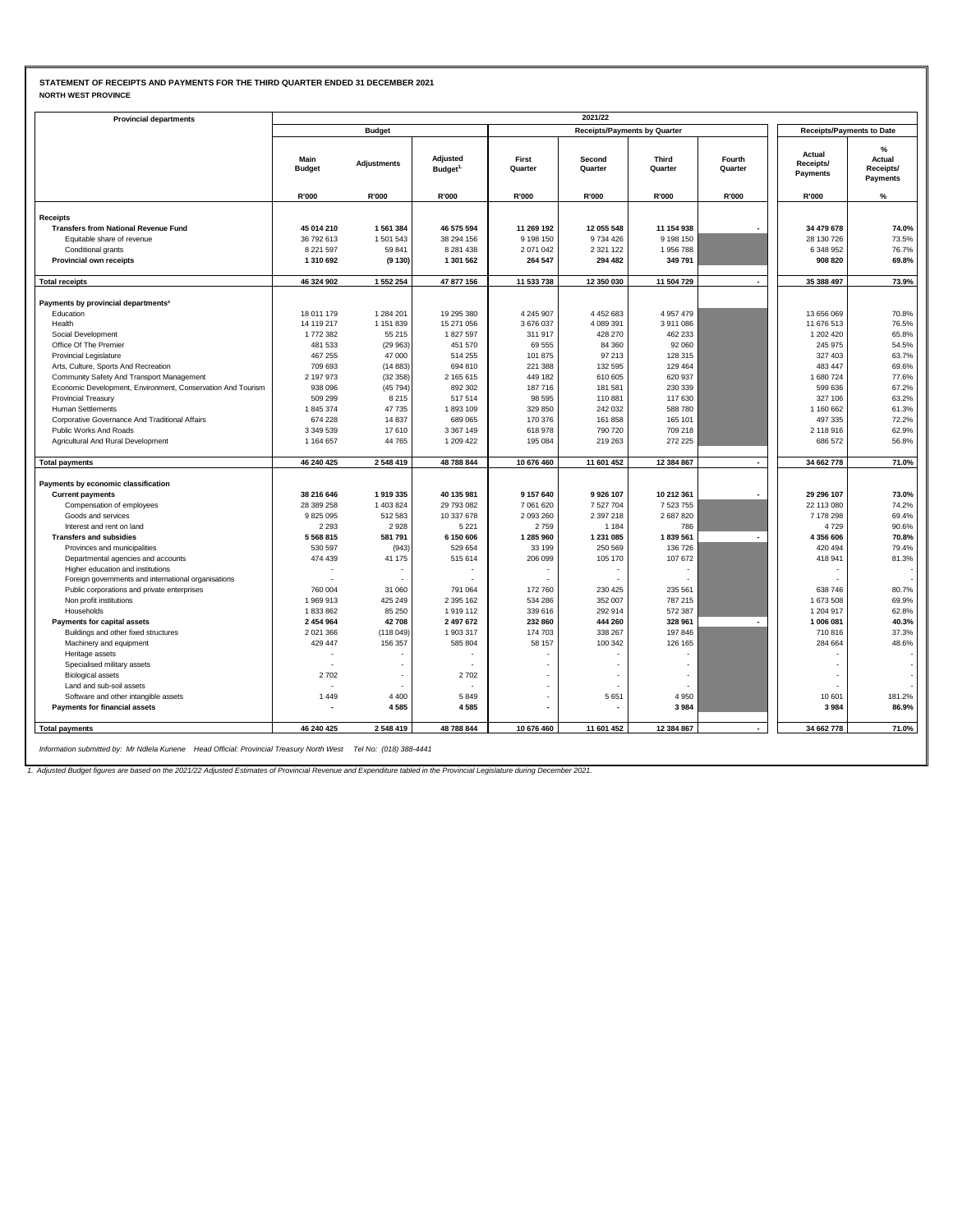### **STATEMENT OF RECEIPTS AND PAYMENTS FOR THE THIRD QUARTER ENDED 31 DECEMBER 2021 NORTH WEST PROVINCE**

| <b>Provincial departments</b>                               |                       |                    |                                  |                  | 2021/22                             |                                  |                   |                                 |                                             |
|-------------------------------------------------------------|-----------------------|--------------------|----------------------------------|------------------|-------------------------------------|----------------------------------|-------------------|---------------------------------|---------------------------------------------|
|                                                             |                       | <b>Budget</b>      |                                  |                  | <b>Receipts/Payments by Quarter</b> | <b>Receipts/Payments to Date</b> |                   |                                 |                                             |
|                                                             | Main<br><b>Budget</b> | <b>Adjustments</b> | Adjusted<br>Budget <sup>1.</sup> | First<br>Quarter | Second<br>Quarter                   | Third<br>Quarter                 | Fourth<br>Quarter | Actual<br>Receipts/<br>Payments | %<br>Actual<br>Receipts/<br><b>Payments</b> |
|                                                             | R'000                 | R'000              | R'000                            | R'000            | R'000                               | R'000                            | R'000             | R'000                           | $\%$                                        |
| Receipts                                                    |                       |                    |                                  |                  |                                     |                                  |                   |                                 |                                             |
| <b>Transfers from National Revenue Fund</b>                 | 45 014 210            | 1 561 384          | 46 575 594                       | 11 269 192       | 12 055 548                          | 11 154 938                       |                   | 34 479 678                      | 74.0%                                       |
| Equitable share of revenue                                  | 36 792 613            | 1501543            | 38 294 156                       | 9 1 9 8 1 5 0    | 9734426                             | 9 198 150                        |                   | 28 130 726                      | 73.5%                                       |
| Conditional grants                                          | 8 2 2 1 5 9 7         | 59 841             | 8 2 8 1 4 3 8                    | 2 071 042        | 2 3 2 1 1 2 2                       | 1956788                          |                   | 6 348 952                       | 76.7%                                       |
| Provincial own receipts                                     | 1 310 692             | (9130)             | 1 301 562                        | 264 547          | 294 482                             | 349 791                          |                   | 908 820                         | 69.8%                                       |
| <b>Total receipts</b>                                       | 46 324 902            | 1 552 254          | 47 877 156                       | 11 533 738       | 12 350 030                          | 11 504 729                       |                   | 35 388 497                      | 73.9%                                       |
|                                                             |                       |                    |                                  |                  |                                     |                                  |                   |                                 |                                             |
| Payments by provincial departments <sup>2</sup>             |                       |                    |                                  |                  |                                     |                                  |                   |                                 |                                             |
| Education                                                   | 18 011 179            | 1 284 201          | 19 295 380                       | 4 245 907        | 4 4 5 2 6 8 3                       | 4 9 5 7 4 7 9                    |                   | 13 656 069                      | 70.8%                                       |
| Health                                                      | 14 119 217            | 1 151 839          | 15 271 056                       | 3676037          | 4 089 391                           | 3911086                          |                   | 11 676 513                      | 76.5%                                       |
| Social Development                                          | 1772382               | 55 215             | 1827597                          | 311 917          | 428 270                             | 462 233                          |                   | 1 202 4 20                      | 65.8%                                       |
| Office Of The Premier                                       | 481 533               | (29963)            | 451 570                          | 69 555           | 84 360                              | 92 060                           |                   | 245 975                         | 54.5%                                       |
| <b>Provincial Legislature</b>                               | 467 255               | 47 000             | 514 255                          | 101 875          | 97 213                              | 128 315                          |                   | 327 403                         | 63.7%                                       |
| Arts, Culture, Sports And Recreation                        | 709 693               | (14883)            | 694 810                          | 221 388          | 132 595                             | 129 464                          |                   | 483 447                         | 69.6%                                       |
| Community Safety And Transport Management                   | 2 197 973             | (32358)            | 2 165 615                        | 449 182          | 610 605                             | 620 937                          |                   | 1680724                         | 77.6%                                       |
| Economic Development, Environment, Conservation And Tourism | 938 096               | (45 794)           | 892 302                          | 187716           | 181 581                             | 230 339                          |                   | 599 636                         | 67.2%                                       |
| <b>Provincial Treasury</b>                                  | 509 299               | 8 2 1 5            | 517514                           | 98 595           | 110 881                             | 117 630                          |                   | 327 106                         | 63.2%                                       |
| <b>Human Settlements</b>                                    | 1845374               | 47735              | 1893109                          | 329 850          | 242 032                             | 588 780                          |                   | 1 160 662                       | 61.3%                                       |
| Corporative Governance And Traditional Affairs              | 674 228               | 14 8 37            | 689 065                          | 170 376          | 161 858                             | 165 101                          |                   | 497 335                         | 72.2%                                       |
| Public Works And Roads                                      | 3 349 539             | 17610              | 3 3 6 7 1 4 9                    | 618 978          | 790 720                             | 709 218                          |                   | 2 118 916                       | 62.9%                                       |
| Agricultural And Rural Development                          | 1 1 6 4 6 5 7         | 44765              | 1 209 422                        | 195 084          | 219 263                             | 272 225                          |                   | 686 572                         | 56.8%                                       |
| <b>Total payments</b>                                       | 46 240 425            | 2548419            | 48 788 844                       | 10 676 460       | 11 601 452                          | 12 384 867                       |                   | 34 662 778                      | 71.0%                                       |
| Payments by economic classification                         |                       |                    |                                  |                  |                                     |                                  |                   |                                 |                                             |
| <b>Current payments</b>                                     | 38 216 646            | 1919335            | 40 135 981                       | 9 157 640        | 9926 107                            | 10 212 361                       |                   | 29 296 107                      | 73.0%                                       |
| Compensation of employees                                   | 28 389 258            | 1 403 824          | 29 793 082                       | 7 061 620        | 7527704                             | 7 523 755                        |                   | 22 113 080                      | 74.2%                                       |
| Goods and services                                          | 9825095               | 512 583            | 10 337 678                       | 2 093 260        | 2 3 9 7 2 1 8                       | 2 687 820                        |                   | 7 178 298                       | 69.4%                                       |
| Interest and rent on land                                   | 2 2 9 3               | 2928               | 5 2 2 1                          | 2759             | 1 1 8 4                             | 786                              |                   | 4729                            | 90.6%                                       |
| <b>Transfers and subsidies</b>                              | 5 5 6 8 8 1 5         | 581791             | 6 150 606                        | 1 285 960        | 1 231 085                           | 1839 561                         |                   | 4 356 606                       | 70.8%                                       |
| Provinces and municipalities                                | 530 597               | (943)              | 529 654                          | 33 199           | 250 569                             | 136 726                          |                   | 420 494                         | 79.4%                                       |
| Departmental agencies and accounts                          | 474 439               | 41 175             | 515 614                          | 206 099          | 105 170                             | 107 672                          |                   | 418 941                         | 81.3%                                       |
| Higher education and institutions                           |                       |                    |                                  |                  |                                     |                                  |                   |                                 |                                             |
| Foreign governments and international organisations         |                       |                    |                                  |                  |                                     |                                  |                   |                                 |                                             |
| Public corporations and private enterprises                 | 760 004               | 31 060             | 791 064                          | 172 760          | 230 425                             | 235 561                          |                   | 638746                          | 80.7%                                       |
| Non profit institutions                                     | 1969913               | 425 249            | 2 3 9 5 1 6 2                    | 534 286          | 352 007                             | 787 215                          |                   | 1 673 508                       | 69.9%                                       |
| Households                                                  | 1833862               | 85 250             | 1919112                          | 339 616          | 292 914                             | 572 387                          |                   | 1 204 917                       | 62.8%                                       |
| Payments for capital assets                                 | 2 454 964             | 42708              | 2 497 672                        | 232 860          | 444 260                             | 328 961                          | $\blacksquare$    | 1 006 081                       | 40.3%                                       |
| Buildings and other fixed structures                        | 2 0 2 1 3 6 6         | (118 049)          | 1 903 317                        | 174 703          | 338 267                             | 197 846                          |                   | 710816                          | 37.3%                                       |
| Machinery and equipment                                     | 429 447               | 156 357            | 585 804                          | 58 157           | 100 342                             | 126 165                          |                   | 284 664                         | 48.6%                                       |
| Heritage assets                                             |                       |                    |                                  |                  |                                     |                                  |                   |                                 |                                             |
| Specialised military assets                                 |                       |                    |                                  |                  |                                     |                                  |                   |                                 |                                             |
| <b>Biological assets</b>                                    | 2702                  |                    | 2702                             |                  |                                     |                                  |                   |                                 |                                             |
| Land and sub-soil assets                                    |                       |                    |                                  |                  |                                     |                                  |                   |                                 |                                             |
| Software and other intangible assets                        | 1449                  | 4 4 0 0<br>4585    | 5849                             |                  | 5 6 5 1                             | 4 9 5 0<br>3984                  |                   | 10 601                          | 181.2%<br>86.9%                             |
| Payments for financial assets                               |                       |                    | 4585                             |                  |                                     |                                  |                   | 3984                            |                                             |
| <b>Total payments</b>                                       | 46 240 425            | 2548419            | 48 788 844                       | 10 676 460       | 11 601 452                          | 12 384 867                       |                   | 34 662 778                      | 71.0%                                       |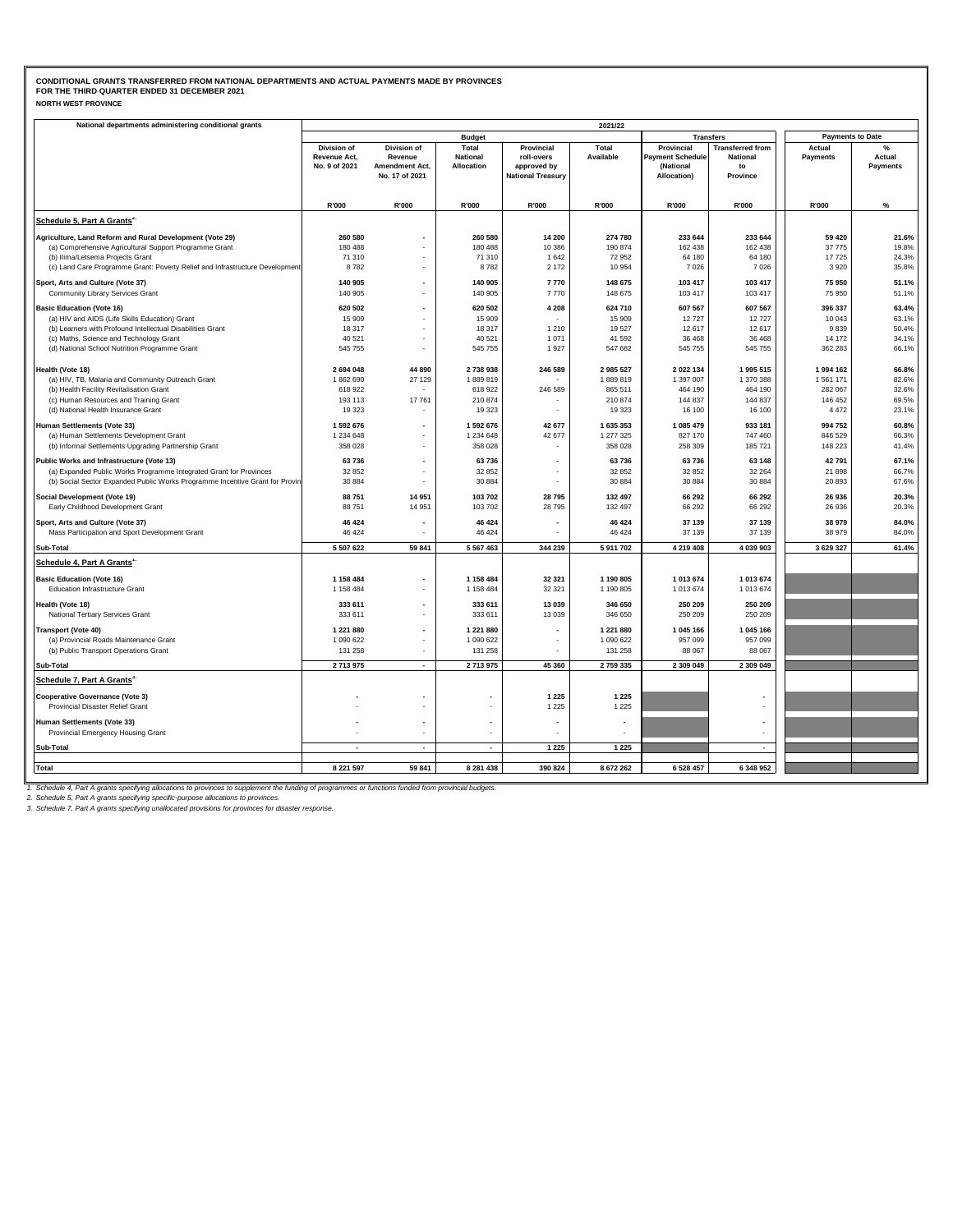| <b>NORTH WEST PROVINCE</b> |
|----------------------------|
|----------------------------|

| National departments administering conditional grants                        | 2021/22       |                |                          |                          |                    |                         |                         |                         |          |  |  |
|------------------------------------------------------------------------------|---------------|----------------|--------------------------|--------------------------|--------------------|-------------------------|-------------------------|-------------------------|----------|--|--|
|                                                                              |               |                | <b>Budget</b>            |                          |                    | <b>Transfers</b>        |                         | <b>Payments to Date</b> |          |  |  |
|                                                                              | Division of   | Division of    | Total                    | Provincial               | Total              | Provincial              | <b>Transferred from</b> | Actual                  | $\%$     |  |  |
|                                                                              | Revenue Act,  | Revenue        | National                 | roll-overs               | Available          | <b>Payment Schedule</b> | <b>National</b>         | Payments                | Actual   |  |  |
|                                                                              | No. 9 of 2021 | Amendment Act, | Allocation               | approved by              |                    | (National               | to                      |                         | Payments |  |  |
|                                                                              |               | No. 17 of 2021 |                          | <b>National Treasury</b> |                    | Allocation)             | Province                |                         |          |  |  |
|                                                                              |               |                |                          |                          |                    |                         |                         |                         |          |  |  |
|                                                                              | R'000         | R'000          | R'000                    | R'000                    | R'000              | R'000                   | R'000                   | R'000                   | %        |  |  |
| Schedule 5, Part A Grants <sup>2</sup>                                       |               |                |                          |                          |                    |                         |                         |                         |          |  |  |
| Agriculture, Land Reform and Rural Development (Vote 29)                     | 260 580       |                | 260 580                  | 14 200                   | 274 780            | 233 644                 | 233 644                 | 59 4 20                 | 21.6%    |  |  |
| (a) Comprehensive Agricultural Support Programme Grant                       | 180 488       |                | 180 488                  | 10 386                   | 190 874            | 162 438                 | 162 438                 | 37 775                  | 19.8%    |  |  |
| (b) Ilima/Letsema Projects Grant                                             | 71 310        |                | 71 310                   | 1 642                    | 72 952             | 64 180                  | 64 180                  | 17725                   | 24.3%    |  |  |
| (c) Land Care Programme Grant: Poverty Relief and Infrastructure Development | 8782          |                | 8782                     | 2 172                    | 10 954             | 7 0 2 6                 | 7 0 26                  | 3920                    | 35.8%    |  |  |
| Sport, Arts and Culture (Vote 37)                                            | 140 905       |                | 140 905                  | 7770                     | 148 675            | 103 417                 | 103 417                 | 75 950                  | 51.1%    |  |  |
| Community Library Services Grant                                             | 140 905       |                | 140 905                  | 7770                     | 148 675            | 103 417                 | 103 417                 | 75 950                  | 51.1%    |  |  |
| <b>Basic Education (Vote 16)</b>                                             | 620 502       | $\blacksquare$ | 620 502                  | 4 2 0 8                  | 624 710            | 607 567                 | 607 567                 | 396 337                 | 63.4%    |  |  |
| (a) HIV and AIDS (Life Skills Education) Grant                               | 15 909        |                | 15 909                   |                          | 15 909             | 12727                   | 12 727                  | 10 043                  | 63.1%    |  |  |
| (b) Learners with Profound Intellectual Disabilities Grant                   | 18 317        |                | 18 317                   | 1 2 1 0                  | 19527              | 12 617                  | 12 617                  | 9839                    | 50.4%    |  |  |
| (c) Maths, Science and Technology Grant                                      | 40 5 21       |                | 40 521                   | 1 0 7 1                  | 41 592             | 36 468                  | 36 468                  | 14 172                  | 34.1%    |  |  |
| (d) National School Nutrition Programme Grant                                | 545 755       |                | 545 755                  | 1927                     | 547 682            | 545 755                 | 545 755                 | 362 283                 | 66.1%    |  |  |
|                                                                              |               |                |                          |                          |                    |                         |                         |                         |          |  |  |
| Health (Vote 18)                                                             | 2694048       | 44 890         | 2 738 938                | 246 589                  | 2985527            | 2 022 134               | 1 995 515               | 1994 162                | 66.8%    |  |  |
| (a) HIV, TB, Malaria and Community Outreach Grant                            | 1862690       | 27 129         | 1889819                  |                          | 1889819            | 1 397 007               | 1 370 388               | 1561171                 | 82.6%    |  |  |
| (b) Health Facility Revitalisation Grant                                     | 618 922       |                | 618 922                  | 246 589                  | 865 511            | 464 190                 | 464 190                 | 282 067                 | 32.6%    |  |  |
| (c) Human Resources and Training Grant                                       | 193 113       | 17 761         | 210 874                  | ٠                        | 210 874            | 144 837                 | 144 837                 | 146 452                 | 69.5%    |  |  |
| (d) National Health Insurance Grant                                          | 19 3 23       |                | 19 3 23                  |                          | 19 3 23            | 16 100                  | 16 100                  | 4 4 7 2                 | 23.1%    |  |  |
| Human Settlements (Vote 33)                                                  | 1 592 676     |                | 1 592 676                | 42 677                   | 1 635 353          | 1 085 479               | 933 181                 | 994 752                 | 60.8%    |  |  |
| (a) Human Settlements Development Grant                                      | 1 234 648     | ÷.             | 1 234 648                | 42 677                   | 1 277 325          | 827 170                 | 747 460                 | 846 529                 | 66.3%    |  |  |
| (b) Informal Settlements Upgrading Partnership Grant                         | 358 028       |                | 358 028                  |                          | 358 028            | 258 309                 | 185 721                 | 148 223                 | 41.4%    |  |  |
| Public Works and Infrastructure (Vote 13)                                    | 63736         |                | 63 736                   |                          | 63736              | 63 736                  | 63 148                  | 42791                   | 67.1%    |  |  |
| (a) Expanded Public Works Programme Integrated Grant for Provinces           | 32 852        |                | 32 852                   | ÷.                       | 32 852             | 32 852                  | 32 264                  | 21 8 9 8                | 66.7%    |  |  |
| (b) Social Sector Expanded Public Works Programme Incentive Grant for Provin | 30 884        |                | 30 884                   |                          | 30 884             | 30 884                  | 30 884                  | 20 893                  | 67.6%    |  |  |
| Social Development (Vote 19)                                                 | 88751         | 14 951         | 103 702                  | 28 795                   | 132 497            | 66 292                  | 66 292                  | 26 936                  | 20.3%    |  |  |
| Early Childhood Development Grant                                            | 88751         | 14 951         | 103 702                  | 28 795                   | 132 497            | 66 29 2                 | 66 292                  | 26 936                  | 20.3%    |  |  |
|                                                                              |               |                | 46 424                   |                          |                    |                         | 37 139                  | 38 979                  |          |  |  |
| Sport, Arts and Culture (Vote 37)                                            | 46 4 24       |                |                          |                          | 46 424             | 37 139                  | 37 139                  |                         | 84.0%    |  |  |
| Mass Participation and Sport Development Grant                               | 46 4 24       |                | 46 424                   |                          | 46 424             | 37 139                  |                         | 38 979                  | 84.0%    |  |  |
| Sub-Total                                                                    | 5 507 622     | 59 841         | 5 567 463                | 344 239                  | 5911702            | 4 219 408               | 4 039 903               | 3 629 327               | 61.4%    |  |  |
| Schedule 4, Part A Grants <sup>1</sup>                                       |               |                |                          |                          |                    |                         |                         |                         |          |  |  |
| <b>Basic Education (Vote 16)</b>                                             | 1 158 484     |                | 1 158 484                | 32 321                   | 1 190 805          | 1 013 674               | 1 013 674               |                         |          |  |  |
| Education Infrastructure Grant                                               | 1 158 484     |                | 1 158 484                | 32 321                   | 1 190 805          | 1 013 674               | 1 013 674               |                         |          |  |  |
| Health (Vote 18)                                                             | 333 611       |                | 333 611                  | 13 039                   | 346 650            | 250 209                 | 250 209                 |                         |          |  |  |
| National Tertiary Services Grant                                             | 333 611       |                | 333 611                  | 13 039                   | 346 650            | 250 209                 | 250 209                 |                         |          |  |  |
| <b>Transport (Vote 40)</b>                                                   | 1 221 880     |                | 1 221 880                |                          | 1 221 880          | 1 045 166               | 1 045 166               |                         |          |  |  |
| (a) Provincial Roads Maintenance Grant                                       | 1 090 622     |                | 1 090 622                |                          | 1 090 622          | 957 099                 | 957 099                 |                         |          |  |  |
| (b) Public Transport Operations Grant                                        | 131 258       |                | 131 258                  |                          | 131 258            | 88 067                  | 88 067                  |                         |          |  |  |
| Sub-Total                                                                    | 2713975       | $\blacksquare$ | 2713975                  | 45 360                   | 2759335            | 2 309 049               | 2 309 049               |                         |          |  |  |
| Schedule 7, Part A Grants <sup>3</sup>                                       |               |                |                          |                          |                    |                         |                         |                         |          |  |  |
|                                                                              |               |                |                          |                          |                    |                         |                         |                         |          |  |  |
| <b>Cooperative Governance (Vote 3)</b><br>Provincial Disaster Relief Grant   |               |                |                          | 1 2 2 5<br>1 2 2 5       | 1 2 2 5<br>1 2 2 5 |                         |                         |                         |          |  |  |
|                                                                              |               |                |                          |                          |                    |                         |                         |                         |          |  |  |
| Human Settlements (Vote 33)                                                  |               |                |                          |                          |                    |                         |                         |                         |          |  |  |
| Provincial Emergency Housing Grant                                           |               |                |                          |                          |                    |                         |                         |                         |          |  |  |
| Sub-Total                                                                    | ٠             | $\blacksquare$ | $\overline{\phantom{a}}$ | 1 2 2 5                  | 1 2 2 5            |                         | $\blacksquare$          |                         |          |  |  |
| Total                                                                        | 8 2 2 1 5 9 7 | 59 841         | 8 281 438                | 390 824                  | 8 672 262          | 6 528 457               | 6 348 952               |                         |          |  |  |
|                                                                              |               |                |                          |                          |                    |                         |                         |                         |          |  |  |

1. Schedule 4, Part A grants specifying allocations to provinces to supplement the funding of programmes or functions funded from provincial budgets.<br>2. Schedule 5, Part A grants specifying specific-purpose allocations to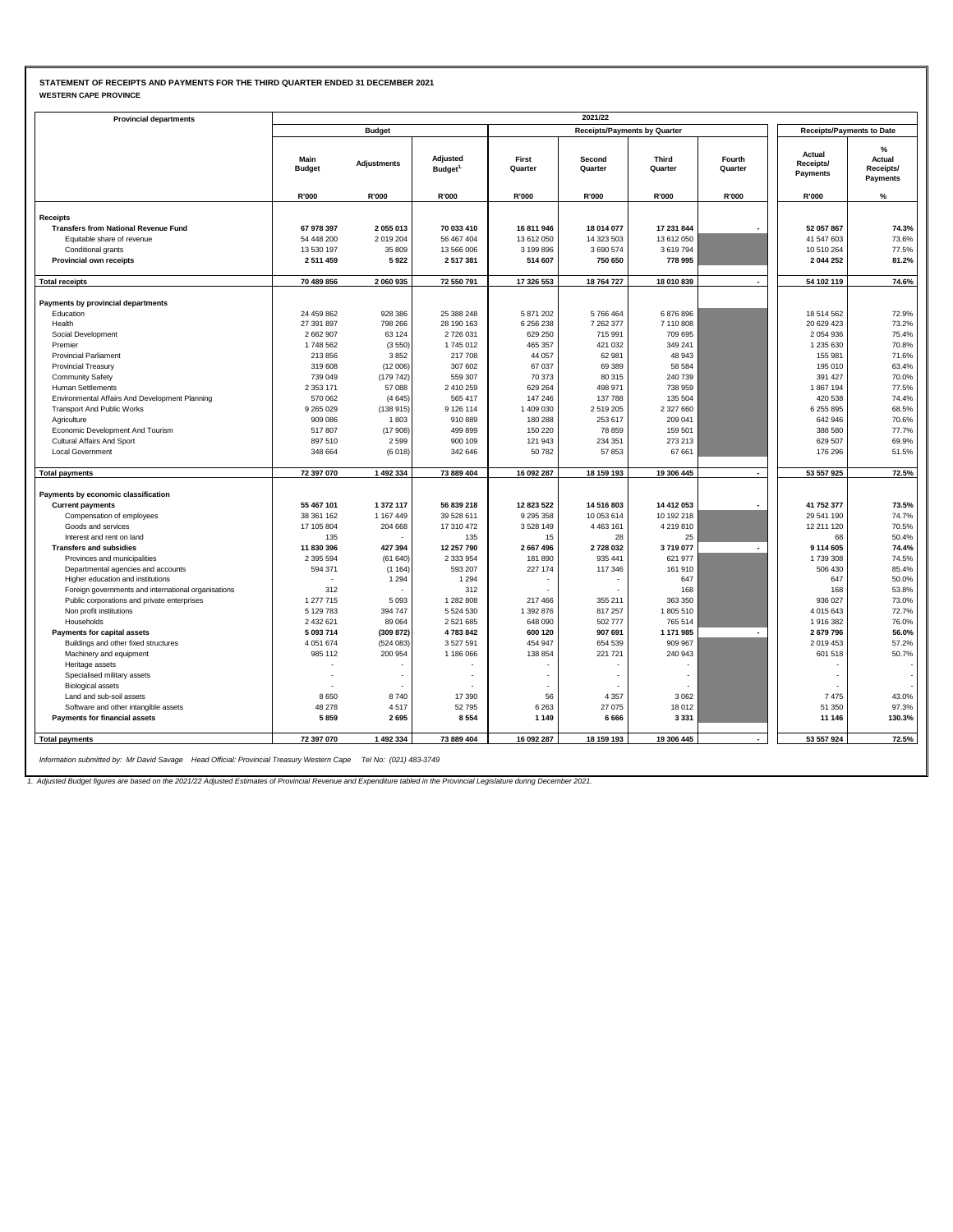### **STATEMENT OF RECEIPTS AND PAYMENTS FOR THE THIRD QUARTER ENDED 31 DECEMBER 2021 WESTERN CAPE PROVINCE**

| <b>WESTERN CAPE PROVINCE</b> |  |
|------------------------------|--|
|------------------------------|--|

| <b>Provincial departments</b>                                                                                    |                       |                    |                                 |                  | 2021/22                             |                                  |                          |                                 |                                                         |
|------------------------------------------------------------------------------------------------------------------|-----------------------|--------------------|---------------------------------|------------------|-------------------------------------|----------------------------------|--------------------------|---------------------------------|---------------------------------------------------------|
|                                                                                                                  |                       | <b>Budget</b>      |                                 |                  | <b>Receipts/Payments by Quarter</b> | <b>Receipts/Payments to Date</b> |                          |                                 |                                                         |
|                                                                                                                  |                       |                    |                                 |                  |                                     |                                  |                          |                                 |                                                         |
|                                                                                                                  | Main<br><b>Budget</b> | <b>Adjustments</b> | Adjusted<br>Budget <sup>1</sup> | First<br>Quarter | Second<br>Quarter                   | Third<br>Quarter                 | Fourth<br>Quarter        | Actual<br>Receipts/<br>Payments | $\frac{9}{6}$<br>Actual<br>Receipts/<br><b>Payments</b> |
|                                                                                                                  | R'000                 | R'000              | R'000                           | R'000            | R'000                               | R'000                            | R'000                    | R'000                           | %                                                       |
|                                                                                                                  |                       |                    |                                 |                  |                                     |                                  |                          |                                 |                                                         |
| <b>Receipts</b>                                                                                                  |                       |                    |                                 |                  |                                     |                                  |                          |                                 |                                                         |
| <b>Transfers from National Revenue Fund</b>                                                                      | 67 978 397            | 2055013            | 70 033 410                      | 16 811 946       | 18 014 077                          | 17 231 844                       |                          | 52 057 867                      | 74.3%                                                   |
| Equitable share of revenue                                                                                       | 54 448 200            | 2019204            | 56 467 404                      | 13 612 050       | 14 323 503                          | 13 612 050                       |                          | 41 547 603                      | 73.6%                                                   |
| Conditional grants                                                                                               | 13 530 197            | 35 809             | 13 566 006                      | 3 199 896        | 3 690 574                           | 3619794                          |                          | 10 510 264                      | 77.5%                                                   |
| Provincial own receipts                                                                                          | 2511459               | 5922               | 2517381                         | 514 607          | 750 650                             | 778 995                          |                          | 2044252                         | 81.2%                                                   |
| <b>Total receipts</b>                                                                                            | 70 489 856            | 2 060 935          | 72 550 791                      | 17 326 553       | 18 764 727                          | 18 010 839                       |                          | 54 102 119                      | 74.6%                                                   |
|                                                                                                                  |                       |                    |                                 |                  |                                     |                                  |                          |                                 |                                                         |
| Payments by provincial departments                                                                               |                       |                    |                                 |                  |                                     |                                  |                          |                                 |                                                         |
| Education                                                                                                        | 24 459 862            | 928 386            | 25 388 248                      | 5 871 202        | 5766464                             | 6876896                          |                          | 18 514 562                      | 72.9%                                                   |
| Health                                                                                                           | 27 391 897            | 798 266            | 28 190 163                      | 6 256 238        | 7 262 377                           | 7 110 808                        |                          | 20 629 423                      | 73.2%                                                   |
| Social Development                                                                                               | 2 662 907             | 63 124             | 2726031                         | 629 250          | 715 991                             | 709 695                          |                          | 2 0 5 4 9 3 6                   | 75.4%                                                   |
| Premier                                                                                                          | 1748 562              | (3550)             | 1745 012                        | 465 357          | 421 032                             | 349 241                          |                          | 1 235 630                       | 70.8%                                                   |
| <b>Provincial Parliament</b>                                                                                     | 213856                | 3852               | 217708                          | 44 057           | 62 981                              | 48 943                           |                          | 155 981                         | 71.6%                                                   |
| <b>Provincial Treasury</b>                                                                                       | 319 608               | (12006)            | 307 602                         | 67 037           | 69 389                              | 58 584                           |                          | 195 010                         | 63.4%                                                   |
| <b>Community Safety</b>                                                                                          | 739 049               | (179742)           | 559 307                         | 70 373           | 80 315                              | 240 739                          |                          | 391 427                         | 70.0%                                                   |
| <b>Human Settlements</b>                                                                                         | 2 3 5 3 1 7 1         | 57 088             | 2 410 259                       | 629 264          | 498 971                             | 738 959                          |                          | 1867194                         | 77.5%                                                   |
| Environmental Affairs And Development Planning                                                                   | 570 062               | (4645)             | 565 417                         | 147 246          | 137 788                             | 135 504                          |                          | 420 538                         | 74.4%                                                   |
| <b>Transport And Public Works</b>                                                                                | 9 2 6 5 0 2 9         | (138915)           | 9 126 114                       | 1 409 030        | 2519205                             | 2 327 660                        |                          | 6 255 895                       | 68.5%                                                   |
| Agriculture                                                                                                      | 909 086               | 1803               | 910 889                         | 180 288          | 253 617                             | 209 041                          |                          | 642 946                         | 70.6%                                                   |
| Economic Development And Tourism                                                                                 | 517807                | (17908)            | 499 899                         | 150 220          | 78 859                              | 159 501                          |                          | 388 580                         | 77.7%                                                   |
| Cultural Affairs And Sport                                                                                       | 897 510               | 2599               | 900 109                         | 121 943          | 234 351                             | 273 213                          |                          | 629 507                         | 69.9%                                                   |
| <b>Local Government</b>                                                                                          | 348 664               | (6018)             | 342 646                         | 50782            | 57 853                              | 67 661                           |                          | 176 296                         | 51.5%                                                   |
| <b>Total payments</b>                                                                                            | 72 397 070            | 1 492 334          | 73 889 404                      | 16 092 287       | 18 159 193                          | 19 306 445                       |                          | 53 557 925                      | 72.5%                                                   |
| Payments by economic classification                                                                              |                       |                    |                                 |                  |                                     |                                  |                          |                                 |                                                         |
| <b>Current payments</b>                                                                                          | 55 467 101            | 1 372 117          | 56 839 218                      | 12 823 522       | 14 516 803                          | 14 412 053                       | $\blacksquare$           | 41 752 377                      | 73.5%                                                   |
| Compensation of employees                                                                                        | 38 361 162            | 1 167 449          | 39 528 611                      | 9 2 9 5 3 5 8    | 10 053 614                          | 10 192 218                       |                          | 29 541 190                      | 74.7%                                                   |
| Goods and services                                                                                               | 17 105 804            | 204 668            | 17 310 472                      | 3528149          | 4 4 6 3 1 6 1                       | 4 219 810                        |                          | 12 211 120                      | 70.5%                                                   |
| Interest and rent on land                                                                                        | 135                   |                    | 135                             | 15               | 28                                  | 25                               |                          | 68                              | 50.4%                                                   |
| <b>Transfers and subsidies</b>                                                                                   | 11 830 396            | 427 394            | 12 257 790                      | 2 667 496        | 2728032                             | 3719077                          |                          | 9 114 605                       | 74.4%                                                   |
| Provinces and municipalities                                                                                     | 2 3 9 5 5 9 4         | (61640)            | 2 3 3 9 5 4                     | 181 890          | 935 441                             | 621 977                          |                          | 1739308                         | 74.5%                                                   |
| Departmental agencies and accounts                                                                               | 594 371               | (1164)             | 593 207                         | 227 174          | 117 346                             | 161 910                          |                          | 506 430                         | 85.4%                                                   |
| Higher education and institutions                                                                                |                       | 1 2 9 4            | 1 2 9 4                         |                  |                                     | 647                              |                          | 647                             | 50.0%                                                   |
| Foreign governments and international organisations                                                              | 312                   |                    | 312                             |                  |                                     | 168                              |                          | 168                             | 53.8%                                                   |
| Public corporations and private enterprises                                                                      | 1 277 715             | 5 0 9 3            | 1 282 808                       | 217 466          | 355 211                             | 363 350                          |                          | 936 027                         | 73.0%                                                   |
| Non profit institutions                                                                                          | 5 129 783             | 394 747            | 5 5 2 4 5 3 0                   | 1 392 876        | 817 257                             | 1805 510                         |                          | 4 0 1 5 6 4 3                   | 72.7%                                                   |
| Households                                                                                                       | 2 432 621             | 89 064             | 2521685                         | 648 090          | 502 777                             | 765 514                          |                          | 1916382                         | 76.0%                                                   |
| <b>Payments for capital assets</b>                                                                               | 5 093 714             | (309 872)          | 4783842                         | 600 120          | 907 691                             | 1 171 985                        | $\overline{\phantom{a}}$ | 2679796                         | 56.0%                                                   |
| Buildings and other fixed structures                                                                             | 4 0 5 1 6 7 4         | (524083)           | 3527591                         | 454 947          | 654 539                             | 909 967                          |                          | 2019453                         | 57.2%                                                   |
| Machinery and equipment                                                                                          | 985 112               | 200 954            | 1 186 066                       | 138 854          | 221 721                             | 240 943                          |                          | 601 518                         | 50.7%                                                   |
| Heritage assets                                                                                                  |                       |                    |                                 |                  |                                     |                                  |                          |                                 |                                                         |
| Specialised military assets                                                                                      | ÷,                    |                    |                                 |                  |                                     | $\sim$                           |                          |                                 |                                                         |
| <b>Biological assets</b>                                                                                         |                       |                    |                                 |                  |                                     | $\sim$                           |                          |                                 |                                                         |
| Land and sub-soil assets                                                                                         | 8650                  | 8740               | 17 390                          | 56               | 4 3 5 7                             | 3 0 6 2                          |                          | 7475                            | 43.0%                                                   |
| Software and other intangible assets                                                                             | 48 278                | 4517               | 52795                           | 6 2 6 3          | 27 075                              | 18 012                           |                          | 51 350                          | 97.3%                                                   |
| <b>Payments for financial assets</b>                                                                             | 5859                  | 2695               | 8554                            | 1 1 4 9          | 6 6 6 6                             | 3 3 3 1                          |                          | 11 146                          | 130.3%                                                  |
| <b>Total payments</b>                                                                                            | 72 397 070            | 1 492 334          | 73 889 404                      | 16 092 287       | 18 159 193                          | 19 306 445                       |                          | 53 557 924                      | 72.5%                                                   |
|                                                                                                                  |                       |                    |                                 |                  |                                     |                                  |                          |                                 |                                                         |
| Information submitted by: Mr David Savage Head Official: Provincial Treasury Western Cape Tel No: (021) 483-3749 |                       |                    |                                 |                  |                                     |                                  |                          |                                 |                                                         |